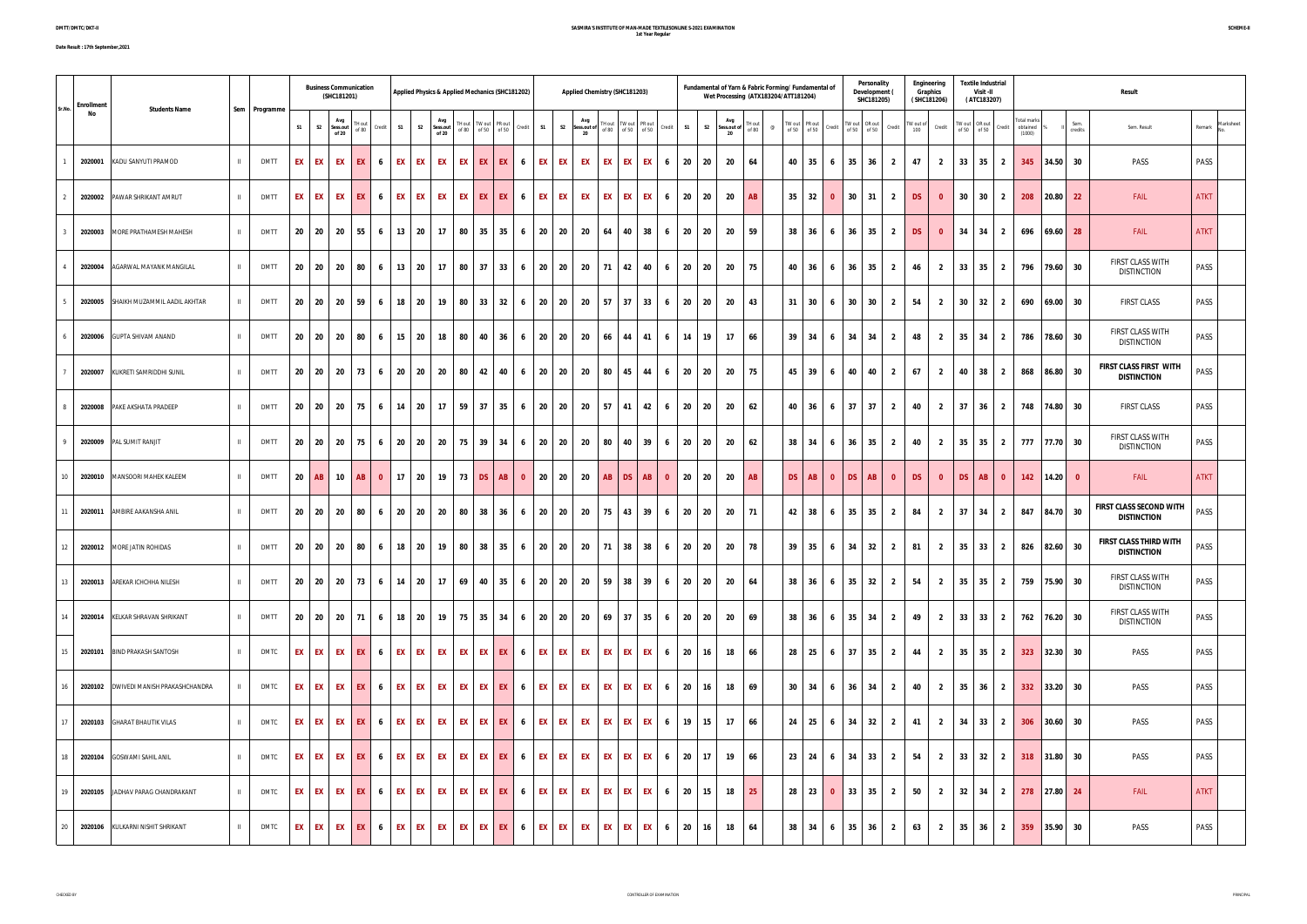## **SASMIRA'S INSTITUTE OF MAN-MADE TEXTILESONLINE S-2021 EXAMINATION 1st Year Regular**

| <b>Enrollment</b><br>Sr.No. |                                      |              |               |              |                | <b>Business Communication</b><br>(SHC181201) |                |      |                 | Applied Physics & Applied Mechanics (SHC181202) |              |                                     |              |                   | Applied Chemistry (SHC181203) |         |                                                                                                                               |                               |                 |          | Wet Processing (ATX183204/ATT181204)                                                                                                                                                                                                                                                                                                                                                                                                   |    |               |                              | Fundamental of Yarn & Fabric Forming/ Fundamental of |           | Personality<br>Development (<br>SHC181205)                                                    |                | Engineering<br>Graphics<br>(SHC181206) |                      | <b>Textile Industrial</b><br>Visit -II<br>(ATC183207)                                                           |                         |                                          |              |                 | Result                                              |                     |
|-----------------------------|--------------------------------------|--------------|---------------|--------------|----------------|----------------------------------------------|----------------|------|-----------------|-------------------------------------------------|--------------|-------------------------------------|--------------|-------------------|-------------------------------|---------|-------------------------------------------------------------------------------------------------------------------------------|-------------------------------|-----------------|----------|----------------------------------------------------------------------------------------------------------------------------------------------------------------------------------------------------------------------------------------------------------------------------------------------------------------------------------------------------------------------------------------------------------------------------------------|----|---------------|------------------------------|------------------------------------------------------|-----------|-----------------------------------------------------------------------------------------------|----------------|----------------------------------------|----------------------|-----------------------------------------------------------------------------------------------------------------|-------------------------|------------------------------------------|--------------|-----------------|-----------------------------------------------------|---------------------|
| No                          | <b>Students Name</b>                 |              | Sem Programme | S1           | S <sub>2</sub> | Avg<br>Sess.out<br>TH out<br>of 80<br>of 20  | Credit         | S1   |                 | Avg<br>S2 Sess.out<br>of 80<br>of 20            |              | TH out TW out PR out<br>of 50 of 50 | S1<br>Credit |                   | Avg<br>S2 Sess.out of<br>20   |         | $\begin{tabular}{ c c c c } \hline \text{TH} & out & \text{TW} & out \\ \hline of 80 & of 50 & of 50 \\ \hline \end{tabular}$ | Credit                        | S1              |          | Avg<br>S2 Sess.out of $\begin{array}{c} \n\text{H} \text{H} \\ \text{H} \text{H} \\ \text{H} \text{H} \\ \text{H} \text{H} \\ \text{H} \text{H} \\ \text{H} \text{H} \\ \text{H} \text{H} \\ \text{H} \text{H} \\ \text{H} \text{H} \\ \text{H} \text{H} \\ \text{H} \text{H} \\ \text{H} \text{H} \\ \text{H} \text{H} \\ \text{H} \text{H} \\ \text{H} \text{H} \\ \text{H} \text{H} \\ \text{H} \text{H} \\ \text{H} \text{H$<br>20 |    | $^\copyright$ | TW out PR out<br>of 50 of 50 | Credit                                               |           | $\begin{array}{r l} \text{TW out} & \text{OR out} \\ \text{of 50} & \text{of 50} \end{array}$ | Credit         | $TW$ out of $100$                      | Credit               | $\begin{tabular}{c c} \hline \text{TW out} & \text{OR out} \\ \hline \text{of 50} & \text{of 50} \end{tabular}$ | Credit                  | <b>Total marks</b><br>obtained<br>(1000) |              | Sem.<br>credits | Sem. Result                                         | Marksheet<br>Remark |
|                             | 2020001 KADU SANYUTI PRAMOD          | $\mathbf{H}$ | <b>DMTT</b>   | EX I         | EX EX          | EX I                                         | 6              |      | EX EX           | EX                                              | EX EX        | EX                                  | 6            | EX EX             | EX                            |         | EX EX EX                                                                                                                      | 6                             |                 | 20 20    | - 20                                                                                                                                                                                                                                                                                                                                                                                                                                   | 64 |               | 40                           | 35<br>6                                              |           | $35 \mid 36$                                                                                  | $\overline{2}$ | 47                                     | $\overline{2}$       | $33 \mid 35 \mid 2$                                                                                             |                         | 345                                      | $ 34.50 $ 30 |                 | PASS                                                | PASS                |
|                             | 2020002 PAWAR SHRIKANT AMRUT         | $\mathbf{H}$ | <b>DMTT</b>   | EX I         | EX             | <b>EX</b><br>EX I                            | 6              | EX   | EX              | EX<br>EX                                        | EX           | EX                                  | EX<br>6      | EX                | EX                            | EX      | EX                                                                                                                            | EX<br>6                       | 20              | 20       | - 20                                                                                                                                                                                                                                                                                                                                                                                                                                   | AB |               | 35                           | 32<br>$\mathbf{0}$                                   | 30        | 31                                                                                            | $\overline{2}$ | <b>DS</b>                              | 30<br>$\mathbf{0}$   | 30                                                                                                              | $\overline{2}$          | 208                                      | $ 20.80 $ 22 |                 | FAIL                                                | <b>ATKT</b>         |
|                             | 2020003 MORE PRATHAMESH MAHESH       |              | <b>DMTT</b>   | $20 \mid 20$ |                | 20<br>55                                     | 6 <sup>6</sup> |      | $13 \mid 20$    | 80<br>17                                        | 35           | 35                                  | 20<br>6      | $\overline{20}$   | 20                            | 64      | 40                                                                                                                            | 38<br>6                       | 20              | 20       | 20                                                                                                                                                                                                                                                                                                                                                                                                                                     | 59 |               | 38                           | 36<br>6                                              | 36        | 35                                                                                            | $\overline{2}$ | <b>DS</b>                              | $\mathbf{0}$         | $34$ 34                                                                                                         | $\overline{2}$          |                                          | 696 69.60 28 |                 | FAIL                                                | <b>ATKT</b>         |
|                             | 2020004 AGARWAL MAYANK MANGILAL      | $\mathbf{H}$ | <b>DMTT</b>   | 20 20        |                | 20<br>80                                     | 6              |      | $13$ 20         | 17                                              | 80 37        | 33                                  | 6            | 20 20             | 20                            |         | 71 42 40                                                                                                                      | 6                             |                 | 20 20    | - 20                                                                                                                                                                                                                                                                                                                                                                                                                                   | 75 |               | 40                           | 36<br>6                                              | 36        | 35                                                                                            | $\overline{2}$ | 46                                     | $\overline{2}$       | $33 \mid 35 \mid$                                                                                               | $\overline{\mathbf{2}}$ | 796                                      | $ 79.60 $ 30 |                 | FIRST CLASS WITH<br><b>DISTINCTION</b>              | PASS                |
|                             | 2020005 SHAIKH MUZAMMIL AADIL AKHTAR |              | <b>DMTT</b>   | $20 \mid 20$ |                | - 20<br>59                                   | 6              |      | 18 20           | 80<br>19                                        | 33           | 32                                  | 20<br>6      | 20                | - 20                          |         | $57$ 37 33                                                                                                                    | 6                             | 20              | 20       | - 20                                                                                                                                                                                                                                                                                                                                                                                                                                   | 43 |               | 31                           | 30<br>6                                              | 30        | 30                                                                                            | $\overline{2}$ | 54                                     | $\overline{2}$       | $30 \mid 32 \mid$                                                                                               | $\overline{\mathbf{2}}$ | 690                                      | $69.00$ 30   |                 | <b>FIRST CLASS</b>                                  | PASS                |
|                             | 2020006 GUPTA SHIVAM ANAND           | $\mathbf{H}$ | <b>DMTT</b>   | $20 \mid 20$ |                | 20<br>80                                     | 6              |      | $15$ 20         | 80<br>18                                        | 40           | 36                                  | 6            | 20 20             | 20                            |         | 66 44 41                                                                                                                      | 6                             |                 | 14<br>19 | 17                                                                                                                                                                                                                                                                                                                                                                                                                                     | 66 |               | 39 34                        | 6                                                    |           | 34 34                                                                                         | $\overline{2}$ | 48                                     | $\overline{2}$       | $35 \mid 34 \mid$                                                                                               | $\overline{2}$          | 786                                      | 78.60 30     |                 | <b>FIRST CLASS WITH</b><br><b>DISTINCTION</b>       | PASS                |
|                             | 2020007 KUKRETI SAMRIDDHI SUNIL      | $\mathbf{H}$ | <b>DMTT</b>   | 20<br>- 20   |                | 20<br>73 I                                   | 6              |      | 20 20           | - 20<br>80                                      | 42           | 40                                  | 6            | 20 20             | 20                            |         | 80 45 44                                                                                                                      | 6                             | 20              | 20       | - 20                                                                                                                                                                                                                                                                                                                                                                                                                                   | 75 |               | 45                           | 39<br>- 6                                            | 40        | 40                                                                                            | $\overline{2}$ | 67                                     | 40<br>$\overline{2}$ | 38                                                                                                              | $\overline{2}$          | 868                                      | 86.80 30     |                 | FIRST CLASS FIRST WITH<br><b>DISTINCTION</b>        | PASS                |
| 2020008                     | PAKE AKSHATA PRADEEP                 | $\mathbf{H}$ | <b>DMTT</b>   | 20 20        |                | 20<br>75 I                                   | 6              |      | 14 20           | 59<br>17                                        | 37           | 35                                  | 20<br>6      | 20                | 20                            | $57$ 41 |                                                                                                                               | 42<br>6                       | 20              | 20       | - 20                                                                                                                                                                                                                                                                                                                                                                                                                                   | 62 |               | 40                           | 36<br>6                                              | 37        | 37                                                                                            | $\overline{2}$ | 40                                     | 37<br>$\overline{2}$ | 36                                                                                                              | $\overline{2}$          | 748                                      | 74.80 30     |                 | <b>FIRST CLASS</b>                                  | PASS                |
|                             | 2020009 PAL SUMIT RANJIT             | $\mathbf{H}$ | <b>DMTT</b>   | $20 \mid 20$ |                | 20<br>75 I                                   | 6 <sup>1</sup> |      | 20 20           | 75<br>- 20                                      | 39           | 34                                  | 6            | 20 20             | 20                            | 80      | 40                                                                                                                            | 39<br>6                       | 20              | 20       | 20                                                                                                                                                                                                                                                                                                                                                                                                                                     | 62 |               | 38                           | 34<br>6                                              | 36        | 35                                                                                            | $\overline{2}$ | 40                                     | $\overline{2}$       | $35 \mid 35 \mid$                                                                                               | $\overline{\mathbf{2}}$ |                                          | 777 77.70 30 |                 | FIRST CLASS WITH<br><b>DISTINCTION</b>              | PASS                |
| 10                          | 2020010 MANSOORI MAHEK KALEEM        | $\mathbf{H}$ | <b>DMTT</b>   | 20<br>AB     |                | $10$ AB 0                                    |                |      | $17$ 20         | 19                                              |              | $73$ DS $AB$                        | $\bullet$    | 20 20             | 20                            |         | $AB$ DS                                                                                                                       | AB<br>$\overline{\mathbf{0}}$ | 20              | - 20     | 20                                                                                                                                                                                                                                                                                                                                                                                                                                     | AB |               | DS                           | <b>AB</b><br>$\mathbf{0}$                            | <b>DS</b> | AB                                                                                            | $\mathbf{0}$   | <b>DS</b>                              | $\mathbf{0}$         | DS <b>D</b><br>AB                                                                                               | $\mathbf{0}$            | 142                                      | 14.20        | $\mathbf{0}$    | <b>FAIL</b>                                         | <b>ATKT</b>         |
|                             | 2020011 AMBIRE AAKANSHA ANIL         | $\mathbf{H}$ | <b>DMTT</b>   | 20 20        |                | 20<br>80                                     | 6              | 20   | $\overline{20}$ | 80<br>- 20                                      | 38           | 36                                  | 20<br>6      | 20                | 20                            |         | 75 43 39                                                                                                                      | 6                             | 20              | 20       | 20                                                                                                                                                                                                                                                                                                                                                                                                                                     | 71 |               | 42                           | 38<br>6                                              | 35        | 35                                                                                            | $\overline{2}$ | 84                                     | 37<br>$\overline{2}$ | 34                                                                                                              | $\overline{2}$          | 847                                      | 84.70 30     |                 | FIRST CLASS SECOND WITH<br><b>DISTINCTION</b>       | PASS                |
| 12                          | 2020012 MORE JATIN ROHIDAS           | $\mathbf{H}$ | <b>DMTT</b>   | 20 20        |                | 20<br>80                                     | 6              |      | 18 20           | 19                                              | 80 38        | 35                                  | 6            | 20 20             | 20                            |         | 71 38 38                                                                                                                      | 6                             | 20              | 20       | - 20                                                                                                                                                                                                                                                                                                                                                                                                                                   | 78 |               | 39 35                        | 6 <sup>1</sup>                                       |           | $34$ 32                                                                                       | $\overline{2}$ | 81                                     | $\overline{2}$       | $35 \mid 33 \mid$                                                                                               | $\overline{2}$          |                                          | 826 82.60 30 |                 | <b>FIRST CLASS THIRD WITH</b><br><b>DISTINCTION</b> | PASS                |
| 13                          | 2020013 AREKAR ICHCHHA NILESH        | $\mathbf{H}$ | <b>DMTT</b>   | $20 \mid 20$ |                | 20 73 6                                      |                |      | $14$ 20         | 69<br>17                                        | 40           | 35                                  | 6            | $20 \mid 20 \mid$ | - 20                          |         | 59 38 39                                                                                                                      | 6                             | 20              | 20       | - 20                                                                                                                                                                                                                                                                                                                                                                                                                                   | 64 |               | 38                           | 36<br>6                                              | 35        | 32                                                                                            | $\overline{2}$ | 54                                     | $\overline{2}$       | $35 \mid 35 \mid$                                                                                               | $\overline{2}$          | 759                                      | 75.90 30     |                 | FIRST CLASS WITH<br><b>DISTINCTION</b>              | PASS                |
| 14                          | 2020014 KELKAR SHRAVAN SHRIKANT      | $\mathbf{H}$ | <b>DMTT</b>   | 20 20        |                | 20 71                                        | 6              |      | 18 20           | 75<br>19                                        | 35           | 34                                  | 20<br>6      | 20                | 20                            | $69$ 37 |                                                                                                                               | 35<br>6                       | 20              | 20       | 20                                                                                                                                                                                                                                                                                                                                                                                                                                     | 69 |               | 38                           | 36<br>6                                              | 35        | 34                                                                                            | $\overline{2}$ | 49                                     | $\overline{2}$       | $33 \mid 33 \mid$                                                                                               | $\overline{2}$          |                                          | 762 76.20 30 |                 | FIRST CLASS WITH<br><b>DISTINCTION</b>              | PASS                |
| 15                          | 2020101 BIND PRAKASH SANTOSH         | $\mathbf{H}$ | DMTC          |              |                | EX EX EX EX 6                                |                |      | EX EX           | EX                                              | EX EX        | EX 1                                | 6            | EX EX             | EX                            |         | EX EX EX                                                                                                                      | 6                             | 20 <sub>1</sub> | 16       | 18                                                                                                                                                                                                                                                                                                                                                                                                                                     | 66 |               |                              | 28 25 6 37 35                                        |           |                                                                                               | $\overline{2}$ | 44                                     | $\overline{2}$       | $35 \mid 35 \mid 2$                                                                                             |                         |                                          | 323 32.30 30 |                 | PASS                                                | PASS                |
| 16                          |                                      | $\mathbf{H}$ | DMTC          |              |                | EXEXEXTEXTEXT6                               |                |      | EX EX           | EX                                              |              | EX EX EX                            | 6            | EX EX             | EX                            |         | EX EX EX                                                                                                                      | 6 <sup>1</sup>                | 20              | 16       | 18                                                                                                                                                                                                                                                                                                                                                                                                                                     | 69 |               |                              | $30 \mid 34 \mid 6 \mid 36 \mid 34 \mid$             |           |                                                                                               | $\overline{2}$ | 40                                     | 2                    | $35$ 36 2                                                                                                       |                         | 332                                      | $ 33.20 $ 30 |                 | PASS                                                | PASS                |
| 17                          | 2020103 GHARAT BHAUTIK VILAS         | $\mathbf{H}$ | <b>DMTC</b>   |              |                | EX EX EX EX                                  | 6              |      | EX EX           | EX                                              | EX EX        | EX                                  | 6            | EX EX             | EX                            |         | EX EX EX                                                                                                                      | 6                             |                 | $19$ 15  | 17                                                                                                                                                                                                                                                                                                                                                                                                                                     | 66 |               |                              | $24$ 25 6                                            |           | $34$ 32                                                                                       | $\overline{2}$ | 41                                     | $\overline{2}$       | $34$ 33 2                                                                                                       |                         | 306                                      | $ 30.60 $ 30 |                 | PASS                                                | PASS                |
| 18                          | 2020104 GOSWAMI SAHIL ANIL           | $\mathbf{H}$ | DMTC          |              |                | EX EX EX EX 6                                |                |      | EX EX           | EX                                              | <b>EX EX</b> | EX 1                                | 6            | EX EX             | <b>EX</b>                     |         | EX EX EX                                                                                                                      | 6                             | 20              | 17       | 19                                                                                                                                                                                                                                                                                                                                                                                                                                     | 66 |               |                              | $23 \mid 24 \mid 6 \mid 34 \mid 33 \mid$             |           |                                                                                               | $\overline{2}$ | 54                                     | $\overline{2}$       | $33 \mid 32 \mid 2$                                                                                             |                         |                                          | 318 31.80 30 |                 | PASS                                                | PASS                |
| 19                          | 2020105 JADHAV PARAG CHANDRAKANT     | $\mathbf{H}$ | DMTC          |              |                | EX EX EX EX 6                                |                |      | EX EX           | EX                                              |              | EX EX EX                            | 6            | EX EX             | EX                            |         | EX EX EX                                                                                                                      | 6                             | 20              | 15       | 18                                                                                                                                                                                                                                                                                                                                                                                                                                     | 25 |               | $28$ 23                      | $\overline{\mathbf{0}}$                              |           | $33 \mid 35 \mid$                                                                             | $\overline{2}$ | 50                                     | 2                    | $32 \mid 34 \mid 2$                                                                                             |                         | 278                                      | 27.80 24     |                 | <b>FAIL</b>                                         | <b>ATKT</b>         |
| 20                          | 2020106 KULKARNI NISHIT SHRIKANT     | $\mathbf{H}$ | DMTC          | EX EX EX     |                | EX I                                         | 6              | EX I | EX              | EX                                              | EX EX        | EX                                  | 6            | EX EX             | EX                            | EX      | EX                                                                                                                            | EX<br>6                       | 20              | 16       | 18                                                                                                                                                                                                                                                                                                                                                                                                                                     | 64 |               | 38                           | 34<br>6                                              | 35        | 36                                                                                            | $\overline{2}$ | 63                                     | $\overline{2}$       | 35<br>36                                                                                                        | $\overline{2}$          | 359                                      | $35.90$ 30   |                 | PASS                                                | PASS                |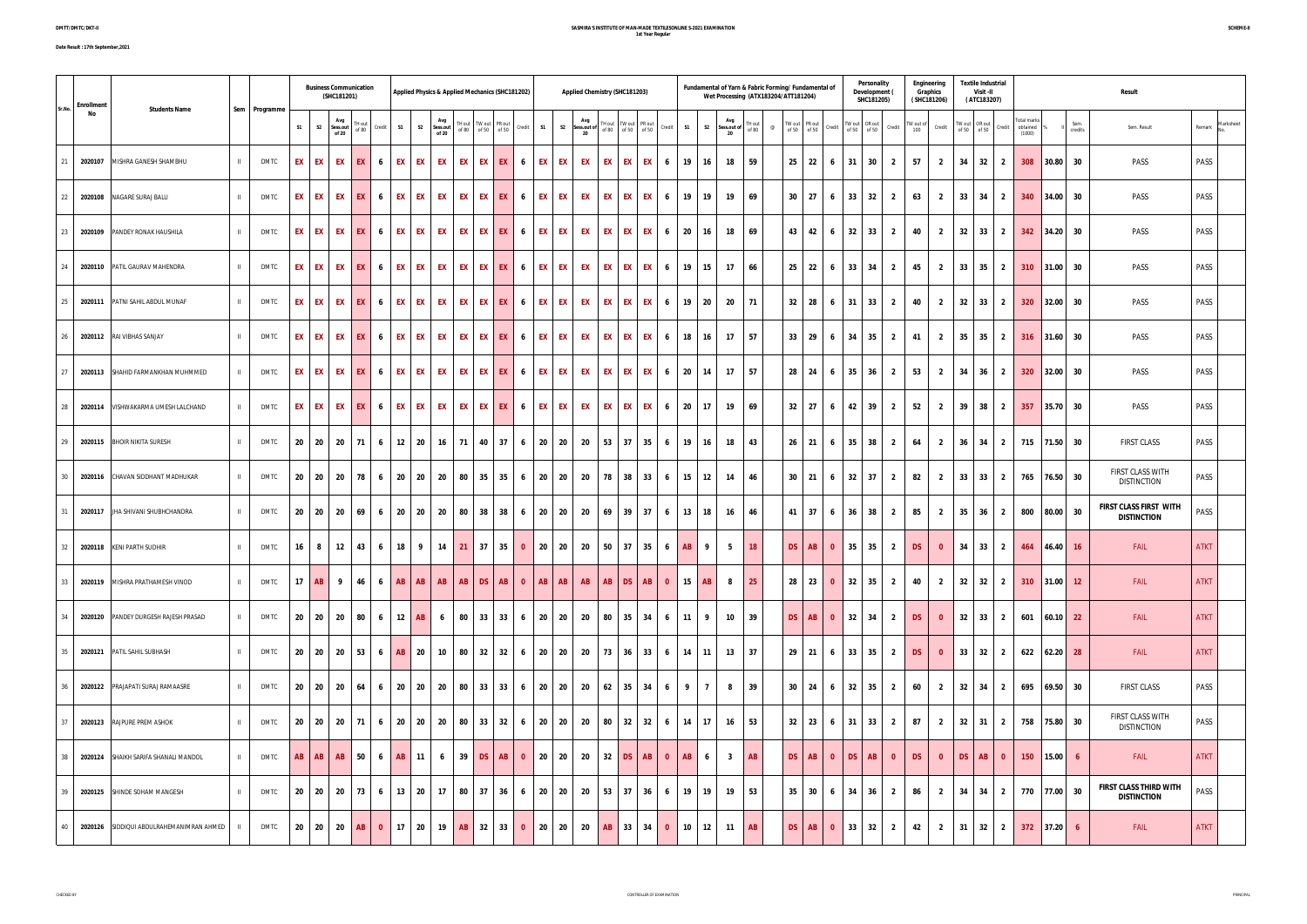## **SASMIRA'S INSTITUTE OF MAN-MADE TEXTILESONLINE S-2021 EXAMINATION 1st Year Regular**

| <b>Enrollment</b> |                                          |                |               |    |                   | <b>Business Communication</b><br>(SHC181201) |                 |              |                        |                             | Applied Physics & Applied Mechanics (SHC181202) |       |                         |              | Applied Chemistry (SHC181203)                      |               |                          |              |                        |                |                                                                                                                                                                                                                                                                                                                                                                                                                                                             | Fundamental of Yarn & Fabric Forming/ Fundamental of<br>Wet Processing (ATX183204/ATT181204) |    |                              |                           | Personality<br>Development (<br>SHC181205) |                | Engineering<br>Graphics<br>(SHC181206) |                         | <b>Textile Industrial</b><br>Visit -II<br>(ATC183207) |                         |                                     |                |                 | Result                                              |             |                  |
|-------------------|------------------------------------------|----------------|---------------|----|-------------------|----------------------------------------------|-----------------|--------------|------------------------|-----------------------------|-------------------------------------------------|-------|-------------------------|--------------|----------------------------------------------------|---------------|--------------------------|--------------|------------------------|----------------|-------------------------------------------------------------------------------------------------------------------------------------------------------------------------------------------------------------------------------------------------------------------------------------------------------------------------------------------------------------------------------------------------------------------------------------------------------------|----------------------------------------------------------------------------------------------|----|------------------------------|---------------------------|--------------------------------------------|----------------|----------------------------------------|-------------------------|-------------------------------------------------------|-------------------------|-------------------------------------|----------------|-----------------|-----------------------------------------------------|-------------|------------------|
| Sr.No.<br>No      | <b>Students Name</b>                     |                | Sem Programme | S1 |                   | Avg<br>Sess.out<br>of 20                     | TH out<br>of 80 | Credit       | S1                     | Avg<br>S2 Sess.out<br>of 20 | TH out   TW out   PR out<br>of 80 of 50 of 50   |       | Credit                  | S1           | Avg<br>S2 Sessiout of Hout Wout PRout Credit<br>20 |               | TH out   TW out   PR out |              | S1                     |                | Avg<br>S2 Sess.out of $\begin{array}{c} \n\text{Huy} \\ \text{Stab} \\ \text{H} \\ \text{H} \\ \text{H} \\ \text{H} \\ \text{H} \\ \text{H} \\ \text{H} \\ \text{H} \\ \text{H} \\ \text{H} \\ \text{H} \\ \text{H} \\ \text{H} \\ \text{H} \\ \text{H} \\ \text{H} \\ \text{H} \\ \text{H} \\ \text{H} \\ \text{H} \\ \text{H} \\ \text{H} \\ \text{H} \\ \text{H} \\ \text{H} \\ \text{H} \\ \text{H} \\ \text{H} \\ \text{H} \\ \text{H} \\ \text$<br>20 | $^{\circ}$                                                                                   |    | TW out PR out<br>of 50 of 50 | Credit                    | TW out OR out<br>of 50 of 50               | Credit         | TW out of Credit<br>100                |                         | TW out OR out<br>of 50 of 50                          | Credit                  | Total marks<br>obtained 9<br>(1000) |                | Sem.<br>credits | Sem. Result                                         |             | Remark Marksheet |
| 21                | 2020107 MISHRA GANESH SHAMBHU            | $\mathbf{H}$   | <b>DMTC</b>   |    | EX EX             | EX 1                                         | EX I            | 6            | EX EX                  | <b>EX</b>                   | EX EX EX                                        |       | 6 <sup>6</sup>          | EX EX        | EX                                                 |               |                          | EX EX EX 6   |                        | 19 16          | 18                                                                                                                                                                                                                                                                                                                                                                                                                                                          | 59                                                                                           |    | $25 \mid 22$                 | 31<br>6                   | 30                                         | $\overline{2}$ | 57                                     | $\overline{2}$          | $34$ 32                                               | $\overline{2}$          | 308                                 | $30.80$ 30     |                 | PASS                                                | PASS        |                  |
| 22                | 2020108 NAGARE SURAJ BALU                | $\mathbf{H}$   | <b>DMTC</b>   | EX | EX                | EX                                           | EX              | 6            | <b>EX</b><br>EX        | EX                          | EX                                              | EX EX | 6                       | EX           | EX<br><b>EX</b>                                    |               |                          | EX EX EX 6   |                        | 19 19          | 19                                                                                                                                                                                                                                                                                                                                                                                                                                                          | 69                                                                                           |    | $30 \mid 27$                 | 33<br>6                   | 32                                         | $\overline{2}$ | 63                                     | $\overline{2}$          | $33 \mid 34 \mid$                                     | $\overline{2}$          | 340                                 | $ 34.00 $ 30   |                 | PASS                                                | PASS        |                  |
| 23                | 2020109 PANDEY RONAK HAUSHILA            | $\mathbf{H}$   | <b>DMTC</b>   | EX | <b>EX</b>         | EX                                           | EX I            | 6            | EX <sup>1</sup><br>EX  | <b>EX</b>                   | EX EX EX                                        |       | 6                       | EX           | <b>EX</b><br>EX                                    |               |                          | EX EX EX 6   | 20                     | 16             | 18                                                                                                                                                                                                                                                                                                                                                                                                                                                          | 69                                                                                           |    | 43 42                        | 6                         | $32$ 33                                    | $\overline{2}$ | 40                                     | $\overline{2}$          | $32$ 33                                               | $\overline{\mathbf{2}}$ | 342                                 | $ 34.20 $ 30   |                 | PASS                                                | PASS        |                  |
| - 24              | 2020110 PATIL GAURAV MAHENDRA            | $\mathbf{H}$   | <b>DMTC</b>   |    | EX EX             | EX 1                                         | EX I            | 6            | <b>EX EX</b>           | <b>EX</b>                   | EX EX EX                                        |       | 6                       | EX EX        | EX                                                 |               |                          | EX EX EX 6   |                        | $19$ 15        | 17                                                                                                                                                                                                                                                                                                                                                                                                                                                          | 66                                                                                           |    | $25 \mid 22$                 | 33<br>6                   | 34                                         | $\overline{2}$ | 45                                     | $\overline{2}$          | $33 \mid 35 \mid 2$                                   |                         | 310                                 | $ 31.00 $ 30   |                 | PASS                                                | PASS        |                  |
| 25                | 2020111 PATNI SAHIL ABDUL MUNAF          | $\mathbf{H}$   | <b>DMTC</b>   | EX | EX                | EX                                           | EX              | 6            | <b>EX</b><br>EX        | <b>EX</b>                   | EX EX EX                                        |       | 6                       | EX           | EX<br>EX                                           |               |                          | EX EX EX 6   |                        | 19 20          | 20                                                                                                                                                                                                                                                                                                                                                                                                                                                          | 71                                                                                           |    | $32$ 28                      | 31<br>6                   | 33                                         | $\overline{2}$ | 40                                     | $\overline{2}$          | $32$ 33                                               | $\overline{\mathbf{2}}$ | 320                                 | $ 32.00 $ 30   |                 | PASS                                                | PASS        |                  |
| 26                | 2020112 RAI VIBHAS SANJAY                | $\mathbf{H}$   | <b>DMTC</b>   |    | EX EX             | EX 1                                         | EX I            | 6            | <b>EX EX</b>           | <b>EX</b>                   | EX EX EX                                        |       | 6                       | EX EX        | EX                                                 |               |                          |              | EX EX EX 6 18          | 16             | 17                                                                                                                                                                                                                                                                                                                                                                                                                                                          | 57                                                                                           |    | $33 \mid 29$                 | 6                         | $34$ 35                                    | $\overline{2}$ | 41                                     | $\overline{2}$          | $35 \mid 35 \mid 2$                                   |                         |                                     | $316$ 31.60 30 |                 | PASS                                                | PASS        |                  |
| 27                | 2020113 SHAHID FARMANKHAN MUHMMED        | $\mathbf{H}$   | <b>DMTC</b>   |    | EX EX             | EX I                                         | <b>EX</b> 6     |              | EX EX                  |                             | EX EX EX EX 6                                   |       |                         | EX EX        | EX                                                 |               |                          |              | EX EX EX 6 20 14       |                | 17 57                                                                                                                                                                                                                                                                                                                                                                                                                                                       |                                                                                              |    | 28 24                        | 6                         | $35$ 36                                    | $\overline{2}$ | 53                                     | $\overline{2}$          | $34$ 36 2                                             |                         | 320                                 | $32.00$ 30     |                 | PASS                                                | PASS        |                  |
| 28                | 2020114   VISHWAKARMA UMESH LALCHAND     | $\mathbf{H}$   | <b>DMTC</b>   | EX | EX                | EX                                           | EX I            | 6            | EX<br>EX I             | EX                          | EX EX EX                                        |       | 6                       | EX EX        | <b>EX</b>                                          |               |                          | EX EX EX     | 6                      | 20 17          | 19                                                                                                                                                                                                                                                                                                                                                                                                                                                          | 69                                                                                           |    | $32$ 27                      | 6                         | $42 \mid 39$                               | $\overline{2}$ | 52                                     | $\overline{2}$          | 39<br>38                                              | $\overline{2}$          | 357                                 | $35.70$ 30     |                 | PASS                                                | PASS        |                  |
| 29                | 2020115 BHOIR NIKITA SURESH              | $\mathbf{H}$   | <b>DMTC</b>   |    | $20 \mid 20 \mid$ | 20                                           | - 71 I          | 6            | $12 \mid 20$           |                             | 16 71 40 37                                     |       | 6 <sup>1</sup>          | 20 20        | 20                                                 |               |                          | $53$ 37 35 6 | 19 <sup>1</sup>        | 16             | 18                                                                                                                                                                                                                                                                                                                                                                                                                                                          | 43                                                                                           |    | 26 21                        | 35<br>6                   | 38                                         | $\overline{2}$ | 64                                     | $\overline{2}$          | $36 \mid 34$                                          | $\overline{2}$          |                                     | 715 71.50 30   |                 | <b>FIRST CLASS</b>                                  | PASS        |                  |
| 30                | 2020116 CHAVAN SIDDHANT MADHUKAR         | $\mathbf{II}$  | DMTC          |    | $20 \mid 20 \mid$ | <b>20</b>                                    | 78 6            |              |                        | 20 20 20                    | 80 35 35 6 20 20                                |       |                         |              | 20                                                 |               |                          | 78 38 33 6   |                        | $15$ 12        | 14                                                                                                                                                                                                                                                                                                                                                                                                                                                          | 46                                                                                           |    | $30 \mid 21$                 | 6                         | $32 \mid 37$                               | $\overline{2}$ | 82                                     | $\overline{2}$          | $33 \mid 33 \mid 2$                                   |                         | 765                                 | 76.50 30       |                 | FIRST CLASS WITH<br><b>DISTINCTION</b>              | PASS        |                  |
| - 31              | 2020117 JHA SHIVANI SHUBHCHANDRA         | $\mathbf{II}$  | <b>DMTC</b>   | 20 | - 20              | 20                                           | 69              | 6            | 20<br>20               | - 20                        | 80 38 38                                        |       | 6                       | $20 \mid 20$ | 20                                                 |               |                          | 69 39 37     | 6 <sup>1</sup>         | $13$ 18        | 16                                                                                                                                                                                                                                                                                                                                                                                                                                                          | 46                                                                                           |    | 41 37                        | 36<br>6                   | 38                                         | $\overline{2}$ | 85                                     | $\overline{2}$          | $35 \quad 36$                                         | $\overline{2}$          | 800                                 | 80.00 30       |                 | FIRST CLASS FIRST WITH<br><b>DISTINCTION</b>        | PASS        |                  |
| 32                | 2020118 KENI PARTH SUDHIR                | $\mathbf{H}$   | DMTC          | 16 | 8                 | 12                                           | 43              | 6            | 18  <br>9 <sup>7</sup> |                             | $14$ 21 37 35                                   |       | $\overline{\mathbf{0}}$ | $20 \mid 20$ |                                                    | 20 50 37 35 6 |                          |              | AB                     | - 9            | 5                                                                                                                                                                                                                                                                                                                                                                                                                                                           | 18                                                                                           | DS | AB                           | $\overline{\mathbf{0}}$   | $35$ 35                                    | $\overline{2}$ | DS -                                   | $\overline{\mathbf{0}}$ | $34$ 33 2                                             |                         | 464                                 | 46.40  16      |                 | <b>FAIL</b>                                         | <b>ATKT</b> |                  |
|                   | 33 2020119 MISHRA PRATHAMESH VINOD       | $\mathbf{H}$   | DMTC          |    | $17$ $AB$         | - 9                                          | 46              | 6            | <b>AB</b><br>AB        | AB                          | $AB$ $DS$                                       | AB    | $\overline{\mathbf{0}}$ | $AB$ $AB$    | AB                                                 | AB            | DS                       | AB           | $\mathbf{0}$<br>15     | <b>AB</b>      | 8                                                                                                                                                                                                                                                                                                                                                                                                                                                           | 25                                                                                           |    | 28 23                        | $\mathbf{0}$              | $32 \mid 35$                               | $\overline{2}$ | 40                                     | $\overline{2}$          | $32$ 32                                               | $\overline{\mathbf{2}}$ | 310                                 | $ 31.00 $ 12   |                 | <b>FAIL</b>                                         | <b>ATKT</b> |                  |
| 34                | 2020120 PANDEY DURGESH RAJESH PRASAD     | $\mathbf{H}$   | <b>DMTC</b>   |    |                   | 20 20 20                                     | 80              | 6            | AB<br>12 <sup>1</sup>  | 6                           | 80 33 33                                        |       | 6                       | 20 20        | 20                                                 |               |                          | 80 35 34     | 6 11                   | - 9            | 10                                                                                                                                                                                                                                                                                                                                                                                                                                                          | 39                                                                                           | DS | AB                           | $\mathbf{0}$              | $32 \mid 34$                               | $\overline{2}$ | DS:                                    | $\Omega$                | $32$ 33 2                                             |                         | 601                                 | $60.10$ 22     |                 | <b>FAIL</b>                                         | <b>ATKT</b> |                  |
| 35                | 2020121 PATIL SAHIL SUBHASH              | $\mathbf{H}$   | <b>DMTC</b>   |    | $20 \t 20$        | <b>20</b>                                    | 53 6            |              | 20<br>AB I             | 10                          | 80 32 32                                        |       | 6 <sup>1</sup>          | 20 20        | 20                                                 |               |                          |              | 73 36 33 6 14          | 11             | 13                                                                                                                                                                                                                                                                                                                                                                                                                                                          | 37                                                                                           |    | $29$ 21                      | 33<br>6 <sup>6</sup>      | 35                                         | $\overline{2}$ | DS                                     | $\mathbf{0}$            | $33 \mid 32 \mid 2$                                   |                         |                                     | 622 62.20 28   |                 | <b>FAIL</b>                                         | <b>ATKT</b> |                  |
| 36                | 2020122 PRAJAPATI SURAJ RAMAASRE         | $\mathbf{H}$   | <b>DMTC</b>   |    | $20 \mid 20$      | 20                                           | <b>64</b>       | 6            | 20<br>20               | 20                          | 80 33 33                                        |       | 6 <sup>1</sup>          | 20 20        | 20                                                 |               |                          | $62$ 35 34 6 | 9 <sup>1</sup>         | $\overline{7}$ | 8                                                                                                                                                                                                                                                                                                                                                                                                                                                           | 39                                                                                           |    | $30 \quad 24$                | 6                         | $32 \mid 35$                               | $\overline{2}$ | 60                                     | $\overline{2}$          | $32 \mid 34 \mid 2$                                   |                         | 695                                 | 69.50 30       |                 | <b>FIRST CLASS</b>                                  | PASS        |                  |
| 37                | 2020123 RAJPURE PREM ASHOK               | $\mathbf{H}$   | <b>DMTC</b>   |    |                   | 20 20 20                                     | 71              | 6            | 20 <sup>1</sup><br>20  | 20                          | 80 33 32                                        |       | 6                       | 20 20        | 20                                                 |               |                          | $80$ 32 32 6 | 14                     | 17             | 16                                                                                                                                                                                                                                                                                                                                                                                                                                                          | 53                                                                                           |    | $32 \mid 23$                 | 6                         | $31$ 33                                    | $\overline{2}$ | 87                                     | $\overline{2}$          | $32$ 31                                               | $\overline{2}$          |                                     | 758 75.80 30   |                 | FIRST CLASS WITH<br><b>DISTINCTION</b>              | PASS        |                  |
| 38                | 2020124 SHAIKH SARIFA SHANALI MANDOL     | $\mathbf{H}$   | DMTC          | AB | AB                | AB                                           | 50 l            | 6            | 11<br>AB               | 6                           | $39$ DS AB                                      |       | $\bullet$               | $20 \mid 20$ | 20                                                 | 32            |                          | $DS$ $AB$    | AB<br>$\mathbf{0}$     | 6              | $\overline{\mathbf{3}}$                                                                                                                                                                                                                                                                                                                                                                                                                                     | AB                                                                                           | DS | AB                           | <b>DS</b><br>$\mathbf{0}$ | AB                                         | $\mathbf{0}$   | DS.                                    | $\mathbf{0}$            | DS<br><b>AB</b>                                       | $\mathbf{0}$            | 150 <sub>1</sub>                    | 15.00          | - 6             | <b>FAIL</b>                                         | <b>ATKT</b> |                  |
| 39                | 2020125 SHINDE SOHAM MANGESH             | $\mathbf{II}$  | <b>DMTC</b>   |    | $20 \mid 20 \mid$ | <b>20</b>                                    | 73              | 6            | $13 \mid 20$           | 17                          | 80 37 36 6 20 20                                |       |                         |              | 20                                                 |               |                          |              | 53 37 36 6 19 19       |                | 19                                                                                                                                                                                                                                                                                                                                                                                                                                                          | 53                                                                                           |    | $35 \mid 30$                 | 6                         | $34$ 36                                    | $\overline{2}$ | 86                                     | $\overline{2}$          | $34$ 34 2                                             |                         |                                     | 770 77.00 30   |                 | <b>FIRST CLASS THIRD WITH</b><br><b>DISTINCTION</b> | PASS        |                  |
| 40                | 2020126 SIDDIQUI ABDULRAHEMANIMRAN AHMED | $\blacksquare$ | <b>DMTC</b>   | 20 | 20                | - 20                                         | <b>AB</b>       | $\mathbf{0}$ | 20<br>17 <sup>1</sup>  | 19                          | AB 32 33                                        |       | $\bullet$               | 20 20        | 20                                                 |               | AB 33 34                 |              | $\mathbf{0}$<br>$10-1$ | 12             | 11                                                                                                                                                                                                                                                                                                                                                                                                                                                          | <b>AB</b>                                                                                    | DS | AB                           | $\overline{\mathbf{0}}$   | $33 \mid 32 \mid$                          | $\overline{2}$ | 42                                     | $\overline{2}$          | $31$ 32                                               | $\overline{\mathbf{2}}$ |                                     | $372$ 37.20    | - 6             | <b>FAIL</b>                                         | <b>ATKT</b> |                  |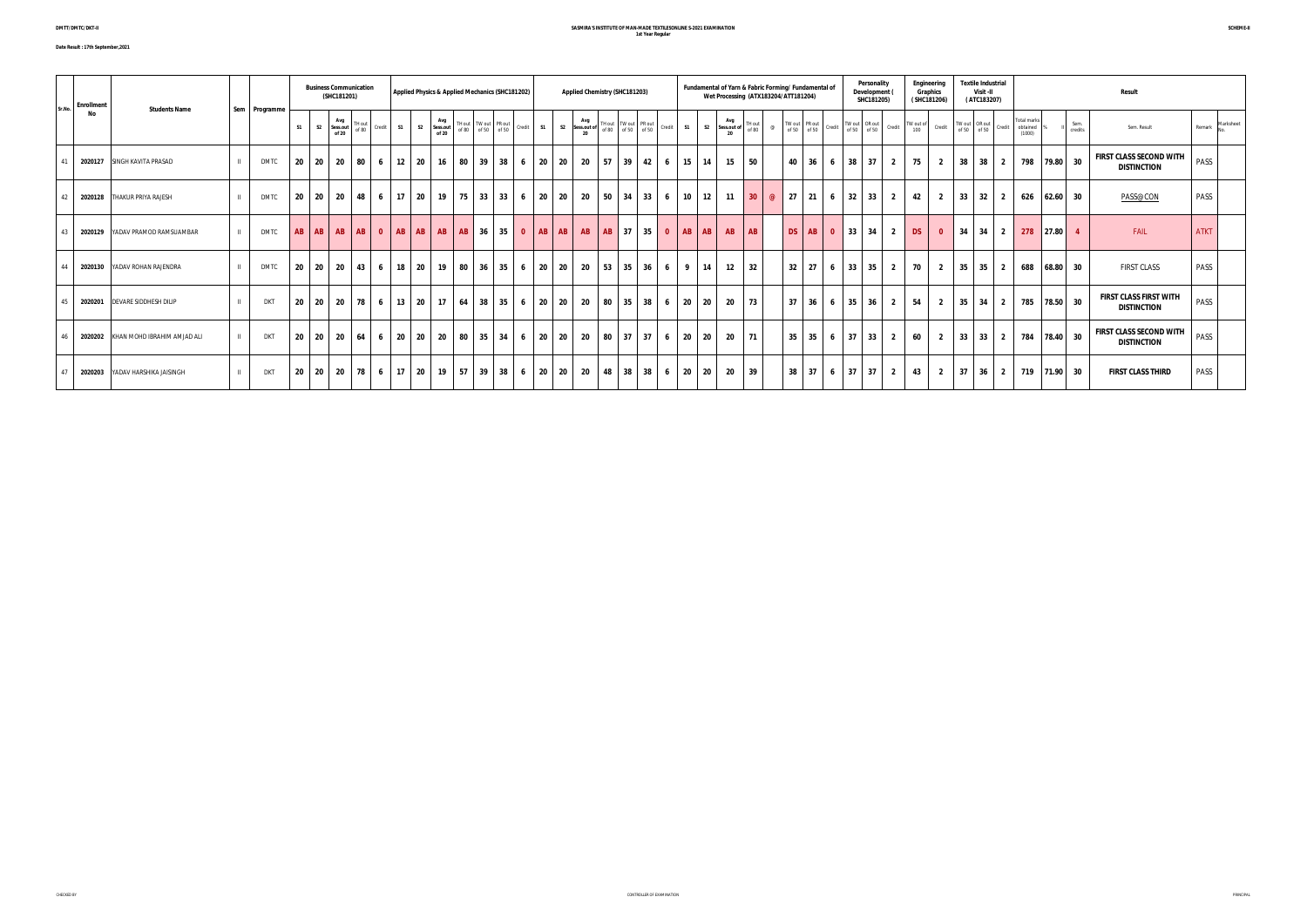**Date Result : 17th September,2021**

#### **SASMIRA'S INSTITUTE OF MAN-MADE TEXTILESONLINE S-2021 EXAMINATION 1st Year Regular**

|        | <b>Enrollment</b>                   |               |    |                | <b>Business Communication</b><br>(SHC181201) |                 |           |               |                | Applied Physics & Applied Mechanics (SHC181202) |    |                                               |                 |                         |           |           | Applied Chemistry (SHC181203) |                                  |                   |                |           | Fundamental of Yarn & Fabric Forming/ Fundamental of<br>Wet Processing (ATX183204/ATT181204) |    |                              |                 |                             | Personality<br>Development<br>SHC181205) |                         |                  | Engineering<br>Graphics<br>(SHC181206) |      | <b>Textile Industrial</b><br>Visit -II<br>(ATC183207) |                |                                          |       |                 | <b>Result</b>                                        |             |           |
|--------|-------------------------------------|---------------|----|----------------|----------------------------------------------|-----------------|-----------|---------------|----------------|-------------------------------------------------|----|-----------------------------------------------|-----------------|-------------------------|-----------|-----------|-------------------------------|----------------------------------|-------------------|----------------|-----------|----------------------------------------------------------------------------------------------|----|------------------------------|-----------------|-----------------------------|------------------------------------------|-------------------------|------------------|----------------------------------------|------|-------------------------------------------------------|----------------|------------------------------------------|-------|-----------------|------------------------------------------------------|-------------|-----------|
| Sr.No. | <b>Students Name</b><br>No          | Sem Programme | S1 | S <sub>2</sub> | Avg<br>Sess.out<br>of 20                     | TH out<br>of 80 | Credit S1 |               | S <sub>2</sub> | Avg<br>Sess.out<br>of 20                        |    | TH out   TW out   PR out<br>of 80 of 50 of 50 |                 | Credit S1               |           | Avg<br>20 |                               |                                  |                   | S <sub>2</sub> | Avg<br>20 | TH out<br>Sess.out of of 80                                                                  | @  | TW out PR out<br>of 50 of 50 | Credit          |                             | TW out OR out<br>of 50 of 50             | Credit                  | TW out of<br>100 | Credit                                 |      | TW out OR out<br>of 50 of 50 Credit                   |                | <b>Total marks</b><br>obtained<br>(1000) |       | Sem.<br>credits | Sem. Result                                          | Remark      | Marksheet |
| 41     | 2020127 SINGH KAVITA PRASAD         | DMTC          | 20 | 20             | $\vert$ 20 $\vert$                           | 80 l            | 6         | $12 \quad 20$ |                | 16                                              | 80 | 39                                            | 38              | 20<br>6                 | 20        | 20        |                               | $57$ 39 42 6                     | 15 14             |                | 15        | 50                                                                                           |    |                              |                 | 40 36 6 38 37               |                                          | $\overline{2}$          | 75               | $\overline{2}$                         |      | $38$ 38 2                                             |                | 798 79.80 30                             |       |                 | <b>FIRST CLASS SECOND WITH</b><br><b>DISTINCTION</b> | PASS        |           |
| 42     | 2020128 THAKUR PRIYA RAJESH         | <b>DMTC</b>   |    |                | 20 20 20 48 6 17 20                          |                 |           |               |                | 19                                              | 75 | 33                                            | 33 <sup>1</sup> | 20<br>6                 | 20        | 20        |                               | $50 \mid 34 \mid 33 \mid 6$      | $10 \mid 12 \mid$ |                | 11        | $30 \t@ 27 21 6 32 33 2$                                                                     |    |                              |                 |                             |                                          |                         | 42               | $\overline{2}$                         |      | $33 \quad 32 \quad 2$                                 |                | 626 62.60                                |       | - 30            | PASS@CON                                             | PASS        |           |
| 43     | 2020129 YADAV PRAMOD RAMSUAMBAR     | <b>DMTC</b>   |    |                |                                              |                 |           |               |                |                                                 |    | 36                                            | 35 <sup>1</sup> | $\overline{\mathbf{0}}$ | $AB$ $AB$ |           | AB   AB   37                  | $35$ 0 AB AB                     |                   |                | AB        | <b>AB</b>                                                                                    | DS |                              |                 | $AB \mid 0 \mid 33 \mid 34$ |                                          | $\overline{2}$          | <b>DS</b>        | $\overline{\mathbf{0}}$                | 34   | $34$ 2                                                |                | 278 27.80                                |       |                 | FAIL                                                 | <b>ATKT</b> |           |
| 44     | 2020130 YADAV ROHAN RAJENDRA        | <b>DMTC</b>   | 20 | - 20           | 20                                           | 43              | 6         | 18            | 20             | 19                                              | 80 | 36                                            | 35              | 20<br>6                 | 20        | 20        |                               | $53 \mid 35 \mid 36 \mid 6 \mid$ | $\overline{9}$    | 14             | 12        | 32                                                                                           | 32 | 27                           | $6\overline{6}$ |                             | $33 \mid 35$                             | $\overline{2}$          | 70               | $\overline{2}$                         | 35   | 35                                                    | $\overline{2}$ | 688                                      | 68.80 | 30              | <b>FIRST CLASS</b>                                   | PASS        |           |
| 45     | 2020201 DEVARE SIDDHESH DILIP       | <b>DKT</b>    | 20 | - 20           | 20                                           |                 |           | 78 6 13 20    |                | 17                                              | 64 | 38                                            | 35              | 20<br>6                 | 20        | 20        |                               | $80$ 35 38 6                     | 20 20             |                | 20        | 73                                                                                           |    |                              |                 | $37$ 36 6 35 36             |                                          | $\overline{2}$          | 54               | $\overline{2}$                         | 35   | $34$ 2                                                |                | 785 78.50 30                             |       |                 | <b>FIRST CLASS FIRST WITH</b><br><b>DISTINCTION</b>  | PASS        |           |
| 46     | 2020202 KHAN MOHD IBRAHIM AMJAD ALI | <b>DKT</b>    | 20 | 20             | 20   64   6   20   20                        |                 |           |               |                | - 20                                            | 80 | 35                                            | 34              | 20<br>6                 | 20        | 20        |                               | 80 37 37 6                       | 20 20             |                | - 20      | $\vert$ 71                                                                                   |    | $35$ 35                      |                 | $6$ 37 33                   |                                          | $\overline{2}$          | 60               | $\overline{2}$                         |      | $33 \mid 33 \mid 2$                                   |                | 784 78.40 30                             |       |                 | <b>FIRST CLASS SECOND WITH</b><br><b>DISTINCTION</b> | PASS        |           |
| 47     | 2020203 YADAV HARSHIKA JAISINGH     | <b>DKT</b>    | 20 | 20             | 20                                           |                 |           | 78 6 17 20    |                | 19 <sup>1</sup>                                 | 57 | 39                                            | 38              | 20<br>6                 | 20        | 20        |                               | 48 38 38 6                       | <b>20</b> l       | 20             | -20       | 39                                                                                           |    |                              |                 | $38$ 37 6 37 37             |                                          | $\overline{\mathbf{2}}$ | 43               |                                        | 2 37 | $36 \quad 2$                                          |                | 719 71.90 30                             |       |                 | <b>FIRST CLASS THIRD</b>                             | PASS        |           |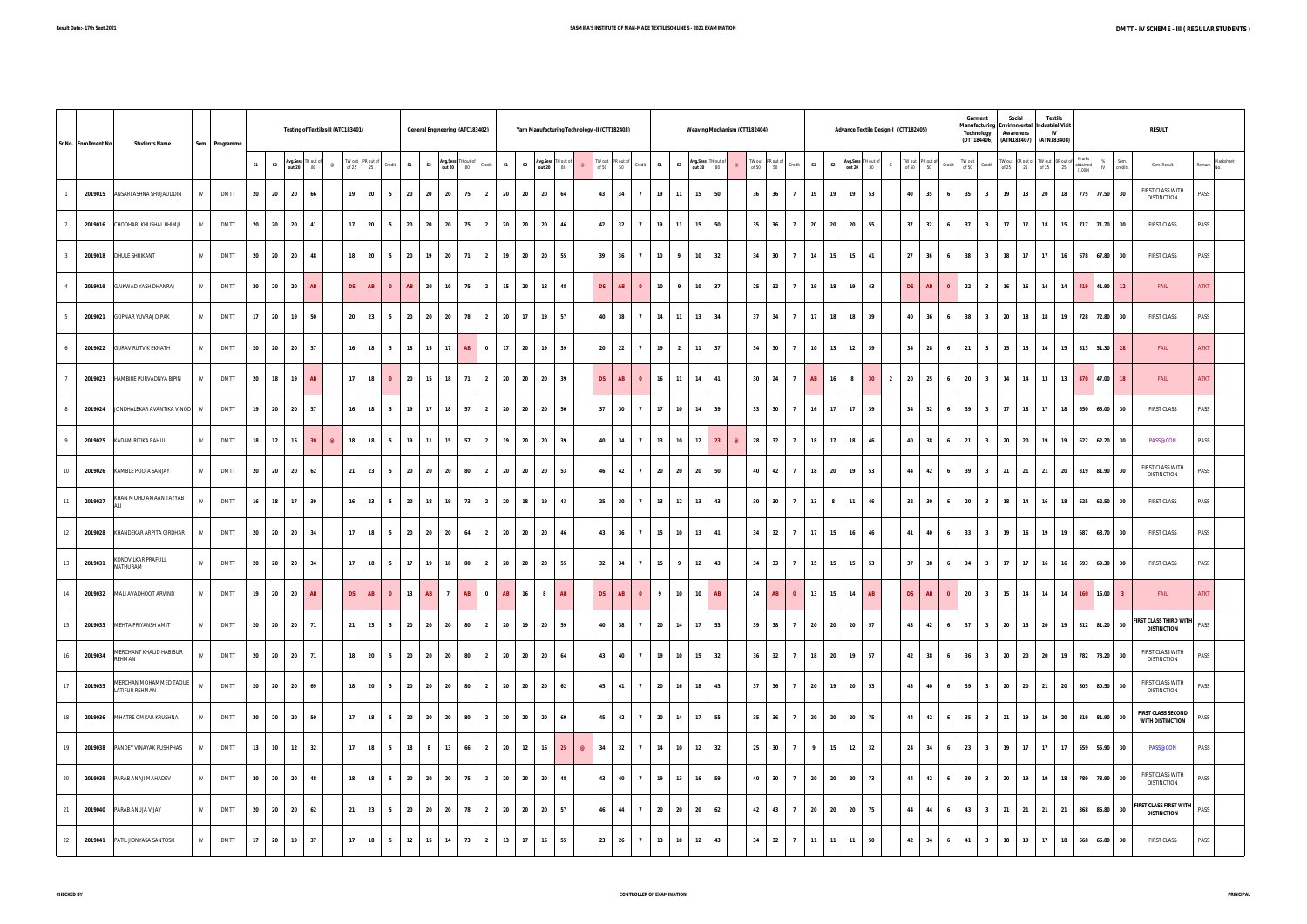|         | Sr.No. Enrollment No | <b>Students Name</b>                            |                 | Sem Programme |    |                |                                 | Testing of Textiles-II (ATC183401) |           |                                                                                        |                |       |                             | General Engineering (ATC183402) |                |            |                | Yarn Manufacturing Technology -II (CTT182403) |                |                                                                                                                     |                         |                      |                         |                              | <b>Weaving Mechanism (CTT182404)</b> |                                                                                               |               |                      |       |                               | Advance Textile Design-I (CTT182405) |                 |                                                                                                         |                        | Garment<br>Manufacturing Envirinmental Industrial Visit<br>Technology<br>(DTT184406) | Social<br>Awareness |    | <b>Textile</b><br><b>IV</b><br>(ATN183407) (ATN183408)                |    |                                 |                      | <b>RESULT</b>                                            |                     |
|---------|----------------------|-------------------------------------------------|-----------------|---------------|----|----------------|---------------------------------|------------------------------------|-----------|----------------------------------------------------------------------------------------|----------------|-------|-----------------------------|---------------------------------|----------------|------------|----------------|-----------------------------------------------|----------------|---------------------------------------------------------------------------------------------------------------------|-------------------------|----------------------|-------------------------|------------------------------|--------------------------------------|-----------------------------------------------------------------------------------------------|---------------|----------------------|-------|-------------------------------|--------------------------------------|-----------------|---------------------------------------------------------------------------------------------------------|------------------------|--------------------------------------------------------------------------------------|---------------------|----|-----------------------------------------------------------------------|----|---------------------------------|----------------------|----------------------------------------------------------|---------------------|
|         |                      |                                                 |                 |               | S1 | S <sub>2</sub> | Avg.Sess TH out of<br>out 20 80 | $^{\circ}$                         |           | $\begin{array}{r l} \text{TW out} & \text{PR out of} \\ \text{of 25} & 25 \end{array}$ | Credit         | S1    | S <sub>2</sub>              | Avg.Sess TH out of<br>out 20 80 |                | Credit S1  | S <sub>2</sub> | Avg.Sess TH out of<br>out 20 80               |                | $\begin{array}{ c c c }\n\hline\n\text{TW out} & \text{PR out of} \\ \hline\n\text{of 50} & \text{50}\n\end{array}$ | Credit                  | S1                   | S <sub>2</sub>          | Avg.Sess TH out of out 20 80 |                                      | $\begin{array}{r l} \text{TW out} & \text{PR out of} \\ \text{of 50} & \text{50} \end{array}$ |               | Credit<br><b>S1</b>  |       | S <sub>2</sub>                | Avg.Sess TH out of<br>out 20 80      |                 | $\begin{array}{r l} \text{TW out} & \text{PR out of} \\ \text{of 50} & \text{50} \end{array}$<br>Credit | $\frac{1}{100}$ TW out | Credit                                                                               |                     |    | TW out OR out of TW out OR out of Marks<br>of 25 25 0f 25 25 25 10000 |    | Marks<br>(1000)                 | % Sem.<br>IV credits | Sem. Result                                              | Marksheet<br>Remark |
|         |                      | 2019015 ANSARI ASHNA SHUJAUDDIN                 | IV              | <b>DMTT</b>   | 20 | 20             | 20                              | 66                                 | 19        | 20                                                                                     | 5 <sub>5</sub> | 20    | 20                          | 20 75                           | $\overline{2}$ | 20         | 20             | 20<br>64                                      |                | 43                                                                                                                  | 34                      | 19<br>7              | 11                      | 15                           | 50                                   | 36                                                                                            | 36            | $\overline{7}$       | 19    | 19<br>19                      | 53                                   | 40              | 35<br>6 <sup>1</sup>                                                                                    | 35                     | $\overline{\mathbf{3}}$                                                              | $19$ 18             |    |                                                                       |    | 20 18 775 77.50 30              |                      | FIRST CLASS WITH<br><b>DISTINCTION</b>                   | PASS                |
|         | 2019016              | CHODHARI KHUSHAL BHIMJI                         | IV              | <b>DMTT</b>   | 20 | 20             | 20                              | 41                                 | 17        | 20                                                                                     | 5              | 20    | 20<br>20                    | 75                              | $\overline{2}$ | 20         | 20             | 20<br>46                                      |                | 42                                                                                                                  | 32<br>$\overline{7}$    | 19                   | 11                      | 15                           | 50                                   | 35                                                                                            | 36            | $\overline{7}$<br>20 |       | 20<br>20                      | 55                                   | 37              | 32<br>6 <sup>1</sup>                                                                                    | 37                     | $\overline{\mathbf{3}}$                                                              | 17                  | 17 | 18                                                                    | 15 | 717 71.70 30                    |                      | <b>FIRST CLASS</b>                                       | PASS                |
|         | 2019018              | <b>DHULE SHRIKANT</b>                           | IV              | <b>DMTT</b>   | 20 | 20             | 20                              | 48                                 | 18        | 20                                                                                     | 5 <sub>5</sub> | 20    | 19                          | 20 71                           | $\overline{2}$ | 19         | 20             | 20<br>55                                      |                | 39                                                                                                                  | 36<br>$\overline{7}$    | 10                   | $\overline{9}$          | 10                           | 32                                   | 34                                                                                            | 30            | $7^{\circ}$<br>14    |       | 15<br>15                      | 41                                   | 27              | 36<br>$6\quad$                                                                                          | 38                     | $\overline{\mathbf{3}}$                                                              | 18                  | 17 | 17                                                                    | 16 | 678 67.80 30                    |                      | <b>FIRST CLASS</b>                                       | PASS                |
|         | 2019019              | GAIKWAD YASH DHANRAJ                            | IV              | <b>DMTT</b>   | 20 | 20             | 20                              | AB                                 | <b>DS</b> | AB                                                                                     | $\bullet$      | AB    | 20                          | 10 75                           | $\overline{2}$ | 15         | 20             | 18<br>48                                      |                | DS                                                                                                                  | AB                      | 10<br>$\bullet$      | 9                       | 10                           | 37                                   | 25                                                                                            | 32            | 7                    | 19    | 18<br>19                      | 43                                   | DS <sub>1</sub> | AB<br>$\overline{0}$                                                                                    | 22                     | $\overline{\mathbf{3}}$                                                              | $16$ 16             |    | 14 14                                                                 |    | 419 41.90 12                    |                      | FAIL                                                     | <b>ATKT</b>         |
|         | 2019021              | <b>GOPNAR YUVRAJ DIPAK</b>                      | IV              | <b>DMTT</b>   | 17 | 20             | 19                              | 50                                 | 20        | 23                                                                                     | 5              | 20    | 20<br>20                    | 78                              | $\overline{2}$ | 20         | 17             | 19<br>57                                      |                | 40                                                                                                                  | 38<br>$\overline{7}$    | 14                   | 11                      | 13                           | 34                                   | 37                                                                                            | 34            | $\overline{7}$<br>17 |       | 18<br>18                      | 39                                   | 40              | 36                                                                                                      | 38                     | $\overline{\mathbf{3}}$                                                              | 20                  | 18 | 18                                                                    | 19 | 728 72.80 30                    |                      | <b>FIRST CLASS</b>                                       | PASS                |
|         | 2019022              | <b>GURAV RUTVIK EKNATH</b>                      | IV              | <b>DMTT</b>   | 20 | 20             | 20                              | 37                                 | 16        | 18                                                                                     | 5 <sub>5</sub> | 18    | 15<br>17                    | AB                              | $\bf{0}$       | $-17$      | 20             | 19 39                                         |                | 20 22                                                                                                               | $\overline{7}$          | 19                   | $\overline{\mathbf{2}}$ | $11$ 37                      |                                      | 34                                                                                            | 30            | $\overline{7}$       | 10    | 13<br>12                      | 39                                   | 34              | 28<br>6 <sup>1</sup>                                                                                    | 21                     | $\overline{\mathbf{3}}$                                                              | 15 15               |    | 14                                                                    | 15 | 513 51.30 28                    |                      | FAIL                                                     | <b>ATKT</b>         |
|         | 2019023              | HAMBIRE PURVADNYA BIPIN                         | IV              | <b>DMTT</b>   | 20 | 18             | 19                              | AB                                 |           | 17 18                                                                                  | $\bullet$      | 20    | 15                          | 18 71                           |                |            |                | 2 20 20 20 39                                 |                | DS                                                                                                                  | AB                      | 16<br>$\bullet$      | 11                      | 14 41                        |                                      | 30 24                                                                                         |               | $\overline{7}$       | AB    | 16<br>$\overline{\mathbf{8}}$ | 30 2 20 25                           |                 | 6 <sub>1</sub>                                                                                          |                        | $20 \mid 3$                                                                          | 14 14               |    |                                                                       |    | 13 13 470 47.00 18              |                      | FAIL                                                     | <b>ATKT</b>         |
|         | 2019024              | JONDHALEKAR AVANTIKA VINOD                      | IV.             | <b>DMTT</b>   | 19 | 20             | 20                              | 37                                 | 16        | 18                                                                                     | 5              | 19    | 17<br>18                    | 57                              | $\overline{2}$ | 20         | 20             | 20<br>50                                      |                | 37                                                                                                                  | 30<br>$\overline{7}$    | 17                   | 10                      | 14                           | 39                                   | 33                                                                                            | 30            | $\overline{7}$<br>16 |       | 17<br>17                      | 39                                   | 34              | 32                                                                                                      | 39                     | $\overline{\mathbf{3}}$                                                              | 17                  | 18 | 17                                                                    | 18 | 650 65.00                       | 30                   | <b>FIRST CLASS</b>                                       | PASS                |
|         | 2019025              | KADAM RITIKA RAHUL                              | IV              | <b>DMTT</b>   | 18 | 12             | 15                              | 30 <sup>°</sup><br>$\circledcirc$  | 18        | 18                                                                                     | 5              | 19    | 11<br>15                    | 57                              | $\overline{2}$ | 19         | 20             | 20 39                                         |                | 40 34                                                                                                               | $\overline{7}$          | 13                   | 10                      | 12                           | 23<br>$\circledcirc$                 | 28                                                                                            | 32            | $7^{\circ}$          | 18    | 17<br>18                      | 46                                   | 40              | 38<br>6 <sub>1</sub>                                                                                    | 21                     | $\overline{\mathbf{3}}$                                                              | 20 20               |    | 19                                                                    | 19 | 622 62.20 30                    |                      | PASS@CON                                                 | PASS                |
| $10-10$ | 2019026              | KAMBLE POOJA SANJAY                             | IV <sub>1</sub> | <b>DMTT</b>   | 20 | 20             | 20                              | 62                                 |           | $21$ 23                                                                                | 5 <sub>5</sub> | 20 20 |                             | 20<br>80                        |                |            |                | 2 20 20 20 53                                 |                | 46 42                                                                                                               |                         | 7                    | 20 20                   | 20                           | 50                                   | 40                                                                                            | $-42$         | $\overline{7}$       | 18    | 20<br>19                      | 53                                   | 44              | 42<br>6 <sub>1</sub>                                                                                    |                        | 39 3 21 21                                                                           |                     |    |                                                                       |    | 21 20 819 81.90 30              |                      | FIRST CLASS WITH<br><b>DISTINCTION</b>                   | PASS                |
|         | 2019027              | KHAN MOHD AMAAN TAYYAB                          | IV              | <b>DMTT</b>   | 16 | 18             | 17                              | 39                                 | 16        | 23                                                                                     | 5              | 20    | 18<br>19                    | 73                              | $\overline{2}$ | 20         | 18             | 19<br>43                                      |                | 25                                                                                                                  | 30<br>$\overline{7}$    | 13                   | 12                      | 13                           | 43                                   | 30 <sup>°</sup>                                                                               | 30            | 13                   |       | 8<br>11                       | 46                                   | 32              | 30                                                                                                      | 20                     | $\overline{\mathbf{3}}$                                                              | 18                  | 14 | 16                                                                    | 18 | 625 62.50                       | 30                   | <b>FIRST CLASS</b>                                       | PASS                |
| 12      | 2019028              | KHANDEKAR ARPITA GIRDHAR                        | IV              | <b>DMTT</b>   | 20 | 20             | 20                              | 34                                 | 17        | 18                                                                                     | 5 <sub>5</sub> | 20    | 20<br>20                    | 64                              | $\overline{2}$ | 20         | 20             | 20<br>46                                      |                | 43 36                                                                                                               | $\overline{7}$          | 15                   | 10                      | 13                           | 41                                   | 34                                                                                            | 32            | 7<br>17              |       | 15<br>16                      | 46                                   | 41              | 40<br>6                                                                                                 | 33                     | $\overline{\mathbf{3}}$                                                              | 19                  | 16 | 19                                                                    | 19 | 687 68.70 30                    |                      | <b>FIRST CLASS</b>                                       | PASS                |
| 13      | 2019031              | KONDVILKAR PRAFULL<br>NATHURAM                  | IV              | <b>DMTT</b>   | 20 | 20             | 20                              | 34                                 |           | $17$   18                                                                              | 5 <sub>1</sub> | 17    | 19                          | 18 80                           |                | 2 20 20 20 |                | 55                                            |                | $32 \mid 34$                                                                                                        |                         | 7 <sup>7</sup>       | $15$ 9                  | $12 \mid 43$                 |                                      | 34 33                                                                                         |               | $\overline{7}$       | 15    | 15                            | $15 \mid 53$                         |                 | 37 38<br>6 <sup>1</sup>                                                                                 |                        | $34$ $3$                                                                             | $17$ 17             |    |                                                                       |    | 16 16 693 69.30 30              |                      | <b>FIRST CLASS</b>                                       | PASS                |
| 14      |                      | 2019032 MALI AVADHOOT ARVIND                    | IV <sub>1</sub> | <b>DMTT</b>   | 19 | 20             | 20                              | AB                                 | <b>DS</b> | AB                                                                                     | $\bullet$      | 13    | <b>AB</b><br>$\overline{7}$ | AB                              | $\bf{0}$       | AB         | 16             | <b>AB</b><br>8 <sup>1</sup>                   |                | DS                                                                                                                  | AB                      | 9<br>$\bullet$       | 10                      | 10                           | AB                                   | 24                                                                                            | AB            | $\bullet$            | 13    | 15<br>14                      | AB                                   | DS              | AB<br>$\overline{0}$                                                                                    | 20                     | $\overline{\mathbf{3}}$                                                              | $15$ 14             |    | 14                                                                    | 14 | 160 16.00                       |                      | <b>FAIL</b>                                              | <b>ATKT</b>         |
| 15      |                      | 2019033 MEHTA PRIYANSH AMIT                     | IV              | <b>DMTT</b>   | 20 | 20             | 20                              | 71                                 |           | $21 \quad 23 \quad 5$                                                                  |                | 20 20 |                             | 20 80                           | $\overline{2}$ | 20         | 19             | 20 59                                         |                |                                                                                                                     | 40 38<br>$\overline{7}$ |                      | 20 14                   | 17 53                        |                                      |                                                                                               | $39$ $38$ $7$ |                      | 20    | 20<br>20                      | 57                                   |                 | 43 42                                                                                                   |                        |                                                                                      |                     |    |                                                                       |    | 6 37 3 20 15 20 19 812 81.20 30 |                      | <b>FIRST CLASS THIRD WITH PASS</b><br><b>DISTINCTION</b> |                     |
| 16      | 2019034              | MERCHANT KHALID HABIBUR<br>REHMAN               | IV              | <b>DMTT</b>   | 20 | 20             | 20                              | 71                                 |           | 18 20                                                                                  | 5 <sub>1</sub> | 20 20 |                             | 20 80                           |                | 2 20       | 20             | 20<br>64                                      |                | 43 40                                                                                                               |                         | 19<br>7 <sup>7</sup> | 10                      | 15                           | 32                                   | 36 32                                                                                         |               | $\overline{7}$       | 18 20 | 19                            | 57                                   |                 | 42 38<br>$6-1$                                                                                          | 36                     | $\overline{\mathbf{3}}$                                                              |                     |    |                                                                       |    | 20 20 20 19 782 78.20 30        |                      | FIRST CLASS WITH<br><b>DISTINCTION</b>                   | PASS                |
| 17      | 2019035              | MERCHAN MOHAMMED TAQUE<br><b>LATIFUR REHMAN</b> | IV              | <b>DMTT</b>   | 20 | 20             | 20                              | 69                                 |           | 18 20                                                                                  | 5              | 20    | 20                          | 20<br>80                        | $\overline{2}$ | 20         | 20             | 20<br>62                                      |                | 45 41                                                                                                               |                         | 20<br>$\overline{7}$ | 16                      | 18                           | 43                                   | 37                                                                                            | 36            | $\overline{7}$<br>20 |       | 19<br>20                      | 53                                   | 43              | 40<br>6                                                                                                 | 39                     | $\overline{\mathbf{3}}$                                                              | 20 20               |    |                                                                       |    | 21 20 805 80.50 30              |                      | FIRST CLASS WITH<br><b>DISTINCTION</b>                   | PASS                |
| 18      |                      | 2019036 MHATRE OMKAR KRUSHNA                    | IV              | <b>DMTT</b>   | 20 | 20             | 20                              | 50                                 |           | $17$   18                                                                              | 5              | 20    | 20                          | 20<br>80                        | $\overline{2}$ | 20         | 20             | 20<br>69                                      |                | 45 42                                                                                                               |                         | 20<br>$\overline{7}$ | 14                      | 17                           | 55                                   | 35                                                                                            | 36            | $\overline{7}$<br>20 |       | 20<br>20                      | 75                                   | 44              | 42<br>6 <sup>1</sup>                                                                                    | 35                     | $\overline{\mathbf{3}}$                                                              | 21 19               |    |                                                                       |    | 19 20 819 81.90 30              |                      | <b>FIRST CLASS SECOND</b><br><b>WITH DISTINCTION</b>     | PASS                |
| 19      |                      | 2019038 PANDEY VINAYAK PUSHPHAS                 | IV.             | <b>DMTT</b>   | 13 | 10             | 12                              | 32                                 | 17        | 18                                                                                     | 5              | 18    | 8                           | 13<br>66                        | $\overline{2}$ | 20         | 12             | 16<br>25                                      | $\circledcirc$ | 34                                                                                                                  | 32                      | 14<br>$\overline{7}$ | 10                      | 12                           | 32                                   |                                                                                               |               | $25$ 30 7 9          |       | 15<br>12                      | 32                                   | 24              | 34<br>6 <sub>1</sub>                                                                                    | 23                     | $\overline{\mathbf{3}}$                                                              | $19$ 17             |    | $17$ 17                                                               |    | 559 55.90 30                    |                      | <b>PASS@CON</b>                                          | PASS                |
| 20      | 2019039              | PARAB ANAJI MAHADEV                             | IV <sub>1</sub> | <b>DMTT</b>   | 20 | 20             | 20                              | 48                                 | 18        | 18                                                                                     | 5              | 20 20 |                             | 20 75                           | $\overline{2}$ | 20         | 20             | 20<br>48                                      |                | 43 40                                                                                                               |                         | 19<br>$\overline{7}$ | 13                      | 16                           | 59                                   | 40                                                                                            | 30            | $\overline{7}$       | 20    | 20<br>20                      | 73                                   | 44              | 42<br>6 <sup>1</sup>                                                                                    | 39                     | $\overline{\mathbf{3}}$                                                              | 20 19               |    | 19                                                                    |    | 18 789 78.90 30                 |                      | FIRST CLASS WITH<br><b>DISTINCTION</b>                   | PASS                |
| 21      |                      | 2019040 PARAB ANUJA VIJAY                       | IV              | <b>DMTT</b>   | 20 | 20             | 20                              | 62                                 |           | 21 23                                                                                  | 5              | 20    | 20                          | 20 78                           | $\overline{2}$ | 20         | 20             | 20<br>57                                      |                | 46 44                                                                                                               |                         | 20<br>$\overline{7}$ | 20                      | 20                           | 62                                   | 42                                                                                            | 43            | $\overline{7}$<br>20 |       | 20<br>20                      | 75                                   | 44              | 44<br>6 <sub>1</sub>                                                                                    |                        | 43 3                                                                                 | 21 21               |    | 21 21                                                                 |    | 868 86.80 30                    |                      | <b>FIRST CLASS FIRST WITH</b><br><b>DISTINCTION</b>      | PASS                |
| 22      | 2019041              | PATIL JIDNYASA SANTOSH                          | IV <sub>1</sub> | <b>DMTT</b>   | 17 | 20             | 19                              | 37                                 | 17        | 18                                                                                     | 5 <sub>5</sub> | 12    | 15<br>14                    | 73                              | $\overline{2}$ | 13         | 17             | 15<br>55                                      |                | 23 26                                                                                                               |                         | 13<br>$\overline{7}$ | 10                      | 12                           | 43                                   | 34                                                                                            | 32            | 7<br>11              |       | 11<br>11                      | 50                                   | 42              | 34<br>6 <sub>1</sub>                                                                                    | 41                     | $\overline{\mathbf{3}}$                                                              | 18                  | 19 | 17                                                                    | 18 | 668 66.80 30                    |                      | <b>FIRST CLASS</b>                                       | PASS                |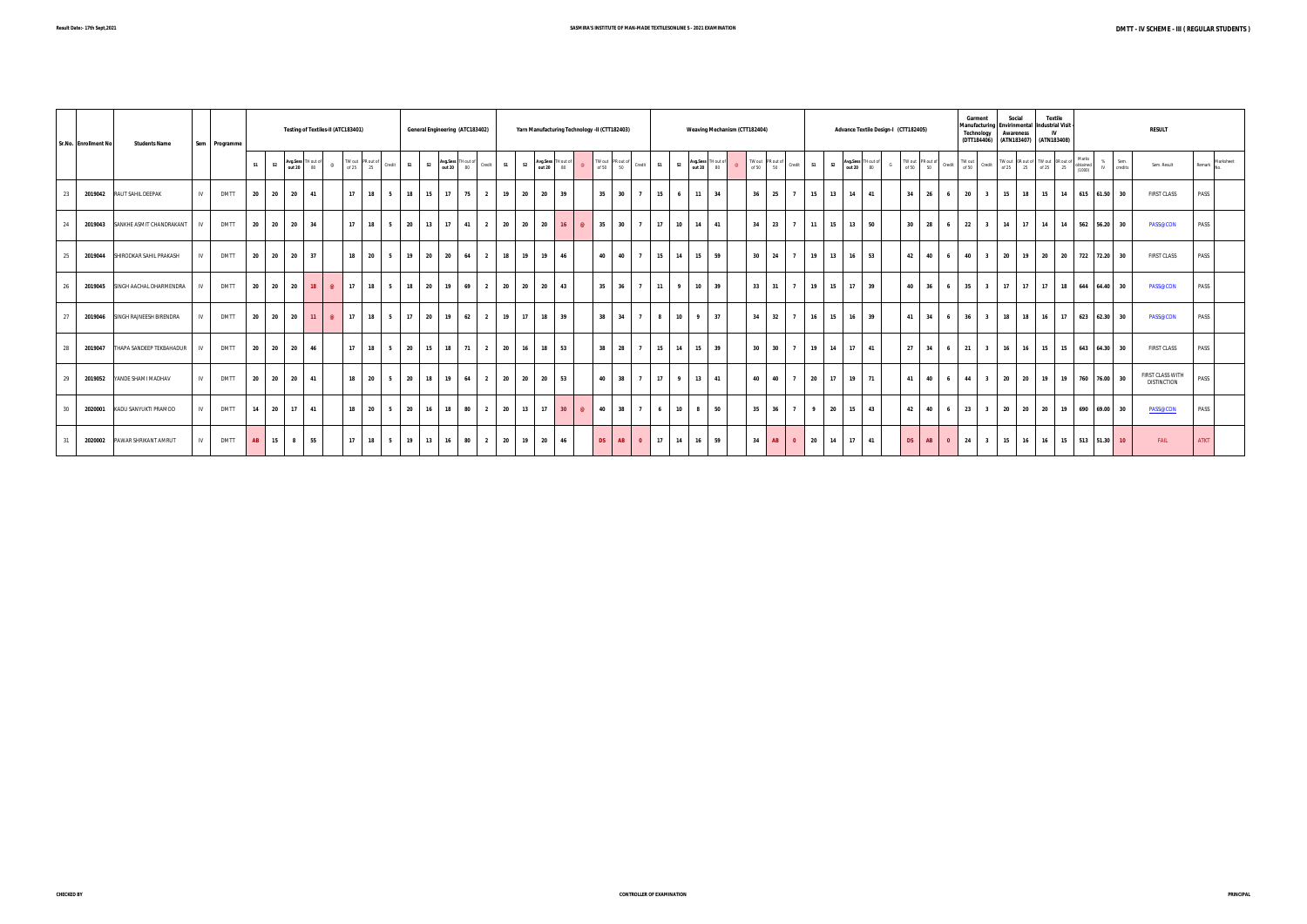|    | Sr.No. Enrollment No | <b>Students Name</b>             |     | Sem Programme |       |                | Testing of Textiles-II (ATC183401) |          |    |                                                                                                                                       |                |                       |       | General Engineering (ATC183402) |    |                | Yarn Manufacturing Technology -II (CTT182403) |                 |                |    |                            |                      |                |    | Weaving Mechanism (CTT182404) |              |                                            |                |                      |                                 |    | Advance Textile Design-I (CTT182405) |                       |                         | Garment<br>Technology | Manufacturing Envirinmental Industrial Visit<br>(DTT184406) (ATN183407) (ATN183408) | Social<br>Awareness |                | Textile |                            |                      | <b>RESULT</b>                          |                  |  |
|----|----------------------|----------------------------------|-----|---------------|-------|----------------|------------------------------------|----------|----|---------------------------------------------------------------------------------------------------------------------------------------|----------------|-----------------------|-------|---------------------------------|----|----------------|-----------------------------------------------|-----------------|----------------|----|----------------------------|----------------------|----------------|----|-------------------------------|--------------|--------------------------------------------|----------------|----------------------|---------------------------------|----|--------------------------------------|-----------------------|-------------------------|-----------------------|-------------------------------------------------------------------------------------|---------------------|----------------|---------|----------------------------|----------------------|----------------------------------------|------------------|--|
|    |                      |                                  |     |               | S1    | S <sub>2</sub> | Avg.Sess TH out of<br>out 20 80    |          |    | TW out $\begin{array}{ c c c c }\n\hline\n\text{TV out} & \text{PR out of} \\ \text{of 25} & 25 & \text{Credit}\n\hline\n\end{array}$ |                | S <sub>2</sub><br>S1  |       | Avg.Sess THout of Credit 51     |    | S <sub>2</sub> | Avg.Sess TH out of out 20 80                  |                 | $\circ$        |    | TW out PR out of Credit 51 |                      | S <sub>2</sub> |    | Avg.Sess TH out of out 20 80  |              | TW out PR out of Credit<br>of 50 50 Credit |                | S1<br>S <sub>2</sub> | Avg.Sess TH out of<br>out 20 80 |    | G                                    |                       |                         |                       |                                                                                     |                     |                |         |                            | % Sem.<br>IV credits | Sem. Result                            | Remark Marksheet |  |
| 23 |                      | 2019042 RAUT SAHIL DEEPAK        | IV  | <b>DMTT</b>   | 20    | 20             | 20<br>41                           |          | 17 | 18                                                                                                                                    | 5              | 18<br>15              | 17    | 175<br>$\overline{\mathbf{2}}$  | 19 | 20             | 20                                            | 39              |                | 35 | 30<br>$\overline{7}$       | 15                   | 6 <sup>1</sup> | 11 | 34                            | $36$ 25      |                                            | $\overline{7}$ | 15<br>13             | 14                              | 41 | 34                                   | 26                    | 6 <sup>1</sup>          | 20                    | 15<br>$\overline{\mathbf{3}}$                                                       |                     | 18 15          |         | 14 615 61.50 30            |                      | <b>FIRST CLASS</b>                     | PASS             |  |
| 24 |                      | 2019043 SANKHE ASMIT CHANDRAKANT | IV  | <b>DMTT</b>   | 20    | 20             | 20<br>34                           |          |    | $17$ 18 5                                                                                                                             |                | 20 13                 |       | $17$ 41<br>$\overline{2}$       |    | 20 20          | 20                                            | 16              | $\circledcirc$ |    | 35 30 7                    | 17                   | 10             | 14 | 41                            | $34$ 23      |                                            | $7^{\circ}$    | 15<br>11             | 13 50                           |    |                                      | $30 \quad 28 \quad 6$ |                         | 22                    | 3 14 17 14                                                                          |                     |                |         | 14 562 56.20 30            |                      | <b>PASS@CON</b>                        | PASS             |  |
| 25 | 2019044              | SHIRODKAR SAHIL PRAKASH          | N   | <b>DMTT</b>   | 20    | 20             | 20<br>37                           |          |    | $18$ 20                                                                                                                               | 5              | 19<br>20              | 20 64 | $\overline{2}$                  | 18 | $-19$ $+$      | 19                                            | 46              |                | 40 | 40<br>$\overline{7}$       | 15                   | 14             | 15 | 59                            | $30 \mid 24$ |                                            | $\overline{7}$ | 19<br>13             | $16 \quad 53$                   |    | 42                                   | 40                    | 6 <sup>1</sup>          | 40                    | $3 \mid 20$                                                                         |                     | $19$ 20        |         | 20 722 72.20 30            |                      | <b>FIRST CLASS</b>                     | PASS             |  |
| 26 | 2019045              | SINGH AACHAL DHARMENDRA          | IV  | <b>DMTT</b>   | 20    | 20             | 20<br>18                           | $\omega$ | 17 | 5 <sub>1</sub><br>18                                                                                                                  |                | 20<br>18              | 19    | 69<br>$\overline{2}$            | 20 | 20             | 20                                            | 43              |                | 35 | 36                         | 11<br>$\overline{7}$ | $\overline{9}$ | 10 | 39                            | $33 \mid 31$ |                                            | $\overline{7}$ | 19<br>15             | 17                              | 39 | 40                                   | 36                    | 6 <sup>1</sup>          | 35                    | 17<br>$\overline{\mathbf{3}}$                                                       | 17                  | $\pm$ 17 $\pm$ | $-18$   | 644 64.40 30               |                      | <b>PASS@CON</b>                        | PASS             |  |
| 27 |                      | 2019046 SINGH RAJNEESH BIRENDRA  | IV. | <b>DMTT</b>   | 20    |                | 20 20<br>11                        | $\omega$ | 17 | 18                                                                                                                                    | 5              | 20<br>17 <sup>1</sup> | 19    | 62<br>$\overline{2}$            | 19 | 17             | 18                                            | 39              |                | 38 | 34<br>$-7 - 1$             | 8 <sup>1</sup>       | 10             | 9  | 37                            | 34           | 32                                         | $\overline{7}$ | 16<br>15             | 16                              | 39 | 41                                   | 34                    | 6 <sup>1</sup>          | 36                    | 18 l<br>$\overline{\mathbf{3}}$                                                     | 18                  | <b>16</b>      |         | 17 623 62.30 30            |                      | <b>PASS@CON</b>                        | PASS             |  |
| 28 | 2019047              | THAPA SANDEEP TEKBAHADUR         | IV  | <b>DMTT</b>   | 20 20 |                | 20<br>46                           |          |    | $17$ 18 5                                                                                                                             |                | 20<br>15              |       | $18$ 71<br>$\overline{2}$       | 20 | 16             | 18 I                                          | 53              |                |    | 38 28 7                    | 15                   | <b>14</b>      | 15 | 39                            | $30 \mid 30$ |                                            | $\overline{7}$ | 19<br><b>14</b>      | 17                              | 41 | 27                                   | 34                    | 6 <sup>1</sup>          | 21                    | 3 <sup>1</sup><br>16                                                                |                     | $16$ 15        | 15      | 643 64.30 30               |                      | <b>FIRST CLASS</b>                     | PASS             |  |
| 29 | 2019052              | YANDE SHAMI MADHAV               | IV  | <b>DMTT</b>   | 20    | 20             | 41<br>20                           |          |    | 18 20                                                                                                                                 | 5 <sub>1</sub> | 20<br>18              |       | $19 \t 64 \t 2$                 |    | 20 20          | 20                                            | 53              |                |    | 40 38 7                    | 17                   | 9 <sub>1</sub> | 13 | 41                            | 40 40        |                                            | $\overline{7}$ | 20<br>17             | $19$ 71                         |    | 41                                   | 40                    | $6-1$                   | 44                    |                                                                                     |                     |                |         | 3 20 20 19 19 760 76.00 30 |                      | FIRST CLASS WITH<br><b>DISTINCTION</b> | PASS             |  |
| 30 | 2020001              | KADU SANYUKTI PRAMOD             | IV. | <b>DMTT</b>   | 14    | 20             | 41<br>17                           |          | 18 | 20                                                                                                                                    | 5              | 20<br>16              | 18    | 80<br>$\overline{2}$            | 20 | 13             | 17                                            | 30 <sup>2</sup> | $\omega$       | 40 | 38<br>$\overline{7}$       | 6                    | 10             | 8  | 50                            | 35           | 36                                         | $\overline{7}$ | 20<br>$\overline{9}$ | 15                              | 43 | 42                                   | 40                    | 6                       | 23                    | 20<br>$\overline{\mathbf{3}}$                                                       | 20                  | 20             | 19      | 690 69.00 30               |                      | PASS@CON                               | PASS             |  |
| 31 | 2020002              | PAWAR SHRIKANT AMRUT             | IV. | <b>DMTT</b>   | AB    | 15             | 55<br>8 <sup>1</sup>               |          |    | $17$   $18$   $5$                                                                                                                     |                | 19 13                 |       | 16 80 2                         |    | 20 19          | 20                                            | 46              |                | DS | <b>AB</b>                  | 0 17 14 16           |                |    | 59                            | $34$ $AB$    |                                            | $\bullet$      | 20<br>14             | 17                              | 41 | DS <b>D</b>                          | AB                    | $\overline{\mathbf{0}}$ | 24                    | $3 \mid 15 \mid$                                                                    |                     |                |         | 16 16 15 513 51.30 10      |                      | FAIL                                   | <b>ATKT</b>      |  |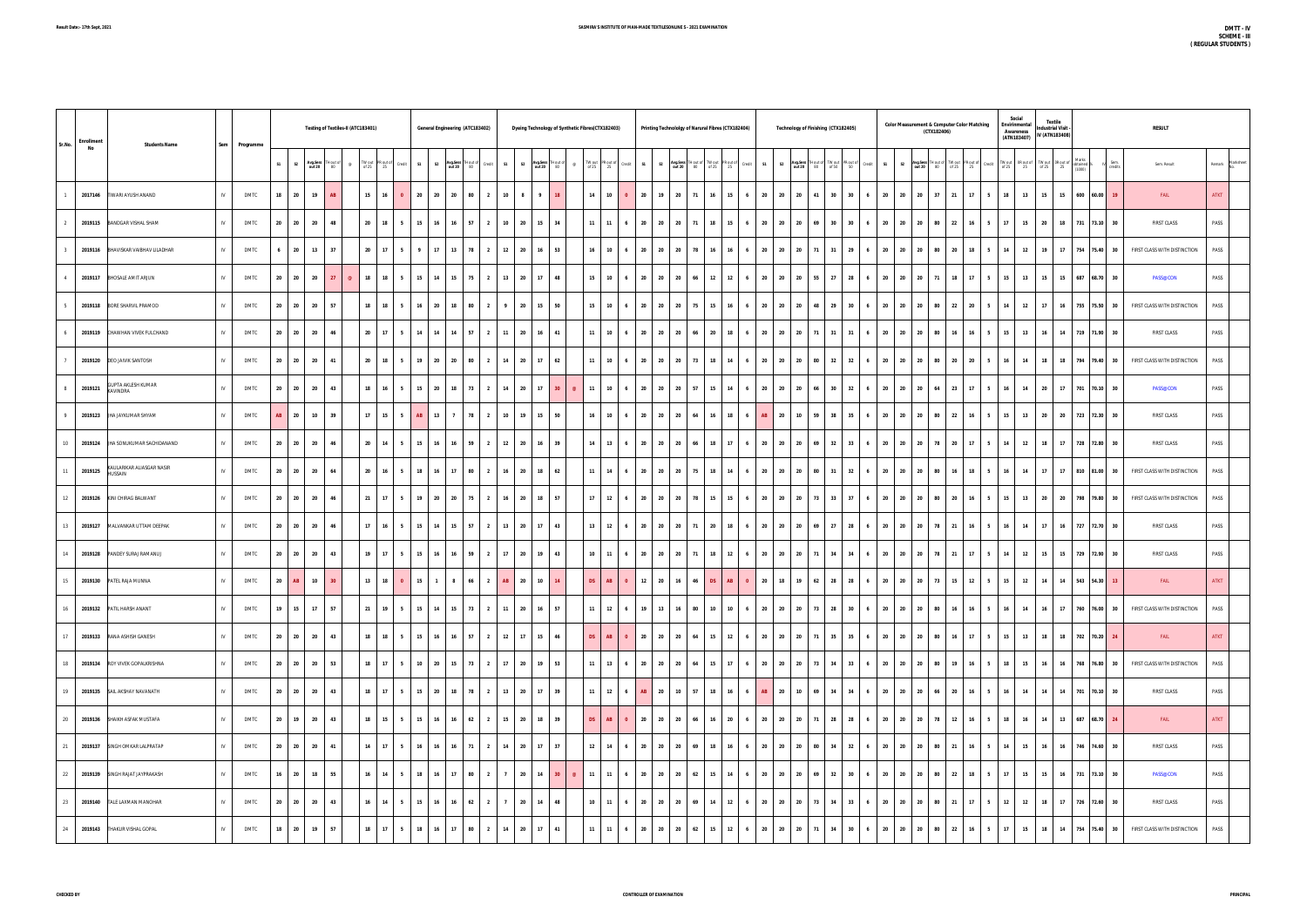| Sr.No.      | <b>Enrollment</b><br><b>Students Name</b>     |              | Sem Programme |                 |         |                                   | Testing of Textiles-II (ATC183401) |          |    |         |                                        |                |           | General Engineering (ATC183402)               |                                 |                     | Dyeing Technology of Synthetic Fibres(CTX182403) |                         |    |          |      |                             |                                 |                | Printing Technololgy of Narural Fibres (CTX182404) |    |                 |                      |      |                  |    |       | Technology of Finishing (CTX182405) |                |    |       | <b>Color Measurement &amp; Computer Color Matching</b><br>(CTX182406)                                                                                                                                                           |       |                 |                | Social<br>Envirinmental<br><b>Awareness</b><br>(ATN183407)                                                                                                                     |    | <b>Textile</b><br>Industrial Visit -<br>IV (ATN183408)                                                                                                                                                                                                                                                                                                                                                                                        |                    | <b>RESULT</b>                |             |                  |
|-------------|-----------------------------------------------|--------------|---------------|-----------------|---------|-----------------------------------|------------------------------------|----------|----|---------|----------------------------------------|----------------|-----------|-----------------------------------------------|---------------------------------|---------------------|--------------------------------------------------|-------------------------|----|----------|------|-----------------------------|---------------------------------|----------------|----------------------------------------------------|----|-----------------|----------------------|------|------------------|----|-------|-------------------------------------|----------------|----|-------|---------------------------------------------------------------------------------------------------------------------------------------------------------------------------------------------------------------------------------|-------|-----------------|----------------|--------------------------------------------------------------------------------------------------------------------------------------------------------------------------------|----|-----------------------------------------------------------------------------------------------------------------------------------------------------------------------------------------------------------------------------------------------------------------------------------------------------------------------------------------------------------------------------------------------------------------------------------------------|--------------------|------------------------------|-------------|------------------|
|             |                                               |              |               |                 |         | S1 S2 Avg.Sess THout of out 20 80 |                                    |          |    |         | $\circledcirc$ TW out PR out of Credit |                |           | S1 S2 Avg.Sess TH out of Credit               |                                 | S1                  |                                                  | S2 Avg.Sess TH out of @ |    |          |      |                             |                                 |                |                                                    |    |                 |                      |      |                  |    |       |                                     |                |    |       | TWoulPRoutor Codit ist ist Angless Hindrof TWoulPRoutor Street ist ist Angless Throud PRoutor PRoutor (PRoutor Through SessiTHoutor Through SessiTHoutor Through SessiTHoutor PRoutor (PRoutor Codit<br>  of 25 25 0 multiplies |       |                 |                | $\begin{tabular}{llll} \hline \text{TW out} & \text{OR out of} & \text{TW out} & \text{OR out of} \\ \hline \text{of 25} & \text{25} & \text{of 25} & \text{25} \end{tabular}$ |    | $\begin{tabular}{ c c c c } \hline \multicolumn{1}{ c }{\text{TWou}} & \multicolumn{1}{ c }{\text{Wou}} & \multicolumn{1}{ c }{\text{Wou}} & \multicolumn{1}{ c }{\text{Wou}} & \multicolumn{1}{ c }{\text{Wou}} & \multicolumn{1}{ c }{\text{Wou}} & \multicolumn{1}{ c }{\text{Wou}} & \multicolumn{1}{ c }{\text{Wou}} & \multicolumn{1}{ c }{\text{Wou}} & \multicolumn{1}{ c }{\text{Wou}} & \multicolumn{1}{ c }{\text{Wou}} & \multic$ |                    | Sem. Result                  |             | Remark Marksheet |
|             | 2017146 TIWARI AYUSH ANAND                    | $\mathsf{N}$ | <b>DMTC</b>   |                 | 18 20   | 19                                | AB                                 |          |    | $15$ 16 | $\bullet$                              | 20             | 20 20     |                                               | 80 2                            | 10                  | 8 <sup>2</sup>                                   | $\bullet$               |    |          |      | 10                          | - 20                            | 19             | 20                                                 | 71 | 16<br>15        |                      |      | 20 20            | 20 | 41 30 | 30                                  | 6              |    |       | 20 20 20 37                                                                                                                                                                                                                     | 21    | 17 <sup>1</sup> | 5 <sup>5</sup> | 13<br>18                                                                                                                                                                       | 15 | 15                                                                                                                                                                                                                                                                                                                                                                                                                                            | 600 60.00          | FAIL                         | <b>ATKT</b> |                  |
| 2           | 2019115 BANDGAR VISHAL SHAM                   | $\mathbb{N}$ | <b>DMTC</b>   |                 |         | 20 20 20                          | 48                                 |          |    | 20 18   | 5 <sub>1</sub>                         |                |           | 15 16 16 57 2                                 |                                 |                     | $10 \quad 20 \quad 15 \quad 34$                  |                         |    |          |      | $11$ 11 6                   |                                 |                | 20 20 20 71                                        |    |                 |                      |      |                  |    |       |                                     |                |    |       | 18   15   6   20   20   20   69   30   30   6   20   20   20   30   22   16   5                                                                                                                                                 |       |                 |                | 17<br>15                                                                                                                                                                       |    |                                                                                                                                                                                                                                                                                                                                                                                                                                               | 20 18 731 73.10 30 | <b>FIRST CLASS</b>           | PASS        |                  |
| $3^{\circ}$ | 2019116 BHAVISKAR VAIBHAV LILADHAR            | IV           | <b>DMTC</b>   |                 |         | $6 \qquad 20 \qquad 13$           | 37                                 |          | 20 | 17      | 5 <sub>1</sub>                         | $\overline{9}$ |           | 17 13 78 2                                    |                                 |                     | 12 20 16 53                                      |                         |    |          |      | $16$ 10 6                   |                                 |                | 20 20 20 78                                        |    |                 |                      |      |                  |    |       |                                     |                |    |       | 16   16   6   20   20   21   31   29   6   20   20   20   80   20                                                                                                                                                               |       |                 | 18 5           | 12<br>14                                                                                                                                                                       |    |                                                                                                                                                                                                                                                                                                                                                                                                                                               | 19 17 754 75.40 30 | FIRST CLASS WITH DISTINCTION | PASS        |                  |
| 4           | 2019117 BHOSALE AMIT ARJUN                    | $\mathbb{N}$ | <b>DMTC</b>   |                 | 20 20   | 20                                | 27                                 | $\omega$ | 18 | 18      | 5                                      | 15             | 14        | 15                                            | 75 2                            | 13                  | 20 17                                            |                         | 48 |          | 15   | 10<br>6                     |                                 |                | 20 20 20                                           | 66 | 12              | 12<br>$\overline{6}$ |      | 20 20            | 20 | 55    | 27 28 6                             |                | 20 | 20 20 | 71                                                                                                                                                                                                                              | 18    |                 | $17 \quad 5$   | 13<br>15                                                                                                                                                                       | 15 | 15                                                                                                                                                                                                                                                                                                                                                                                                                                            | 687 68.70 30       | <b>PASS@CON</b>              | PASS        |                  |
|             | 2019118 BORE SHARVIL PRAMOD                   | N            | <b>DMTC</b>   | 20              | 20      | 20                                | 57                                 |          | 18 | 18      | 5                                      | 16             | 20 18     |                                               | 80                              | $\overline{2}$<br>9 |                                                  | 20 15                   | 50 |          | 15   | 10<br>6                     | 20                              | $\frac{1}{20}$ | 20 l                                               | 75 | 15              | <b>16</b>            | 20 l | 20               | 20 | 48    | 29<br>30                            | 6              | 20 | 20    | 20<br>80                                                                                                                                                                                                                        | 22    | 20              |                | 12<br>14                                                                                                                                                                       | 17 | 16                                                                                                                                                                                                                                                                                                                                                                                                                                            | 755 75.50 30       | FIRST CLASS WITH DISTINCTION | PASS        |                  |
|             | 2019119 CHAWHAN VIVEK FULCHAND                | $\mathbb{N}$ | <b>DMTC</b>   |                 | 20 20   | 20                                | 46                                 |          | 20 | 17      | 5                                      | 14             | 14        | 14                                            | 57<br>$\overline{2}$            | 11                  |                                                  | 20 16                   | 41 |          |      | 10                          | 20                              | 20             | 20                                                 | 66 | 20<br>18        |                      |      | 20 20            | 20 | 71 31 | 31                                  | $6-1$          | 20 | 20    | 20<br>- 80                                                                                                                                                                                                                      | 16    | 16              | 5 <sup>5</sup> | 13<br>15                                                                                                                                                                       | 16 | 14                                                                                                                                                                                                                                                                                                                                                                                                                                            | 719 71.90 30       | <b>FIRST CLASS</b>           | PASS        |                  |
|             | 2019120 DEO JAIVIK SANTOSH                    | IV           | <b>DMTC</b>   |                 | 20 20   | 20                                | 41                                 |          | 20 | 18      | 5                                      | 19             | 20 20     |                                               | 80 2                            | 14                  | 20                                               | $17 \mid 62$            |    |          | 11   | 10                          | 20                              | l 20           | 20                                                 | 73 | 18<br>14        | - 6                  | 20   | 20               | 20 | 80    | 32<br>32                            | 6              | 20 | 20    | 20<br>-80                                                                                                                                                                                                                       | - 20  | 20              |                | 14<br>16                                                                                                                                                                       | 18 | 18                                                                                                                                                                                                                                                                                                                                                                                                                                            | 794 79.40 30       | FIRST CLASS WITH DISTINCTION | PASS        |                  |
| 8           | <b>GUPTA AKLESH KUMAR</b><br>2019121 KAVINDRA | $\mathbb{N}$ | <b>DMTC</b>   |                 |         | 20 20 20                          | 43                                 |          |    | 18 16   | 5                                      | 15             | 20        | 18 I                                          | 73<br>$\overline{2}$            | 14                  | 20                                               | 17                      | 30 |          |      | 10<br>6                     |                                 | 20 20          | 20                                                 | 57 | 15<br>14        | - 6                  |      | 20 20            | 20 | 66    | 30<br>32                            | 6              | 20 | 20    | 20<br>64                                                                                                                                                                                                                        | 23    | 17 <sup>1</sup> | -5.            | 14<br>16                                                                                                                                                                       | 20 | 17                                                                                                                                                                                                                                                                                                                                                                                                                                            | 701 70.10 30       | <b>PASS@CON</b>              | PASS        |                  |
| 9           | 2019123 JHA JAYKUMAR SHYAM                    | $\mathbb{N}$ | <b>DMTC</b>   | AB              | 20      | 10                                | 39                                 |          |    | 17 15   | 5                                      | AB             | 13        |                                               | 78<br>$\overline{2}$            | 10                  | 19                                               | 15                      | 50 |          | 16   | 10                          | 20                              | 20             | 20                                                 | 64 | 16              | 18                   |      | 20               | 10 | 59    | 38<br>35                            | 6              | 20 | 20    | 20<br>80                                                                                                                                                                                                                        | 22    | 16              |                | 13<br>15                                                                                                                                                                       | 20 | 20                                                                                                                                                                                                                                                                                                                                                                                                                                            | 723 72.30 30       | <b>FIRST CLASS</b>           | PASS        |                  |
| 10          | 2019124 JHA SONUKUMAR SACHIDANAND             | $\mathbb{N}$ | <b>DMTC</b>   |                 | 20 20   | 20                                | 46                                 |          | 20 | 14      | 5                                      | 15             | <b>16</b> | <b>16</b>                                     | 59  <br>$\overline{2}$          | 12                  | 20                                               | 16                      | 39 |          | 14   | 13<br>6                     | 20                              | 20             | 20                                                 | 66 | 18<br>17        | $6^{\circ}$          |      | 20 20            | 20 | 69    | 32 33                               | 6 <sup>1</sup> | 20 | 20    | 20<br>78                                                                                                                                                                                                                        | 20    | 17 <sup>1</sup> | 5 <sup>5</sup> | 12<br>14                                                                                                                                                                       | 18 | 17                                                                                                                                                                                                                                                                                                                                                                                                                                            | 728 72.80 30       | <b>FIRST CLASS</b>           | PASS        |                  |
|             | 11 2019125 KAULARIKAR ALIASGAR NASIR          | IV           | <b>DMTC</b>   |                 | 20 20   | 20                                | 64                                 |          |    | 20 16   | 5                                      | 18             | 16 17     |                                               | 80 2                            | 16                  |                                                  | 20 18                   | 62 |          | 11   | $14$ 6                      |                                 |                | 20 20 20 75                                        |    | 18 14           | - 6                  |      | 20 20            | 20 | 80 31 |                                     | 32 6           | 20 | 20 20 | 80                                                                                                                                                                                                                              | $-16$ |                 | 18 5           | <b>14</b><br>16                                                                                                                                                                | 17 | 17                                                                                                                                                                                                                                                                                                                                                                                                                                            | 810 81.00 30       | FIRST CLASS WITH DISTINCTION | PASS        |                  |
|             | 12 2019126 KINI CHIRAG BALWANT                | IV           | DMTC          |                 | 20 20   | 20                                | 46                                 |          | 21 | 17      | 5                                      | 19             |           | 20 20 75 2                                    |                                 | 16                  |                                                  | 20 18 57                |    |          | 17   | $12 \quad 6$                |                                 |                | 20 20 20 78                                        |    | 15              |                      |      |                  |    |       | 15 6 20 20 20 73 33 37 6 20 20 20   |                |    |       |                                                                                                                                                                                                                                 | 80 20 |                 | $16 \quad 5$   | 15<br>13                                                                                                                                                                       |    |                                                                                                                                                                                                                                                                                                                                                                                                                                               | 20 20 798 79.80 30 | FIRST CLASS WITH DISTINCTION | PASS        |                  |
|             | 13 2019127 MALVANKAR UTTAM DEEPAK             | $\mathbb{N}$ | <b>DMTC</b>   |                 |         | 20 20 20                          | 46                                 |          |    | 17 16   | 5 <sub>1</sub>                         |                |           | 15 14 15 57 2                                 |                                 |                     | $13 \mid 20 \mid 17 \mid 43 \mid$                |                         |    |          | 13   | $12 \quad 6$                |                                 |                | 20 20 20 71                                        |    |                 |                      |      | 20 18 6 20 20 20 |    |       |                                     |                |    |       | 69 27 28 6 20 20 20 78 21 16 5                                                                                                                                                                                                  |       |                 |                | 14<br>16                                                                                                                                                                       |    |                                                                                                                                                                                                                                                                                                                                                                                                                                               | 17 16 727 72.70 30 | <b>FIRST CLASS</b>           | PASS        |                  |
|             | 14 2019128 PANDEY SURAJ RAMANUJ               | $\mathbb{N}$ | <b>DMTC</b>   |                 | 20 20   | 20                                | 43                                 |          | 19 | 17      | 5                                      | 15             | 16 16     |                                               | 59  <br>$\overline{\mathbf{2}}$ | 17 <sup>1</sup>     |                                                  | 20 19 43                |    |          |      | $10$ 11 6                   |                                 |                | 20 20 20 71                                        |    |                 | $18$ 12 6            |      |                  |    |       | 20 20 20 71 34 34                   |                |    |       | 6 20 20 20 78 21                                                                                                                                                                                                                |       |                 | $17$ 5         | 12<br>14                                                                                                                                                                       | 15 | 15                                                                                                                                                                                                                                                                                                                                                                                                                                            | 729 72.90 30       | <b>FIRST CLASS</b>           | PASS        |                  |
| 15          | 2019130 PATEL RAJA MUNNA                      | IV           | <b>DMTC</b>   | 20 <sub>1</sub> | AB      | 10                                | 30 <sup>°</sup>                    |          |    | 13 18   | $\bullet$                              |                | $15$ 1    | 8                                             | 66 2                            | AB                  |                                                  | $20 \mid 10 \mid$       | 14 |          | DS - | AB                          | 12                              | 20             | 16                                                 |    | <b>DS</b><br>AB |                      | 20   | 18               |    | 62    | 28<br>28                            | 6              | 20 | 20    | 20<br>73                                                                                                                                                                                                                        | 15    | 12              |                | 12<br>15                                                                                                                                                                       | 14 | 14                                                                                                                                                                                                                                                                                                                                                                                                                                            | 543 54.30 13       | FAIL                         | <b>ATKT</b> |                  |
|             | 16 2019132 PATIL HARSH ANANT                  | $\mathbb{N}$ | <b>DMTC</b>   |                 |         | 19 15 17                          | 57                                 |          |    | 21 19   | 5 <sub>1</sub>                         |                |           | 15 14 15 73 2                                 |                                 |                     | 11 20 16 57                                      |                         |    |          | 11   | $12 \quad 6$                |                                 |                | 19 13 16 80                                        |    |                 |                      |      | 10 10 6 20 20 20 |    |       |                                     |                |    |       | 73 28 30 6 20 20 20 80 16                                                                                                                                                                                                       |       |                 | $16 \mid 5$    | 16<br>14                                                                                                                                                                       |    |                                                                                                                                                                                                                                                                                                                                                                                                                                               | 16 17 760 76.00 30 | FIRST CLASS WITH DISTINCTION | PASS        |                  |
|             | 17 2019133 RANA ASHISH GANESH                 | $\mathbb{N}$ | <b>DMTC</b>   |                 |         | 20 20 20                          | 43                                 |          |    | 18 18   | 5                                      |                |           | 15 16 16 57 2                                 |                                 |                     | 12 17 15 46                                      |                         |    |          | DS   | AB 0                        |                                 |                | 20 20 20 64                                        |    |                 |                      |      |                  |    |       |                                     |                |    |       | 15   12   6   20   20   20   71   35   35   6   20   20   20   80   16                                                                                                                                                          |       |                 | $17$ 5         | 15<br>13                                                                                                                                                                       |    |                                                                                                                                                                                                                                                                                                                                                                                                                                               | 18 18 702 70.20 24 | FAIL                         | <b>ATKT</b> |                  |
|             | 18 2019134 ROY VIVEK GOPALKRISHNA             | $\mathbb{N}$ | <b>DMTC</b>   |                 |         | 20 20 20 53                       |                                    |          |    | 18 17   | $5-1$                                  |                |           | 10 20 15 73 2 17 20 19 53                     |                                 |                     |                                                  |                         |    |          |      |                             | $11$ 13 6 20 20 20 64           |                |                                                    |    |                 |                      |      |                  |    |       |                                     |                |    |       |                                                                                                                                                                                                                                 |       |                 |                | 15   17   6   20   20   20   73   34   33   6   20   20   20   80   19   16   5   18   15                                                                                      |    |                                                                                                                                                                                                                                                                                                                                                                                                                                               | 16 16 768 76.80 30 | FIRST CLASS WITH DISTINCTION | PASS        |                  |
|             | 19 2019135 SAIL AKSHAY NAVANATH               | $\mathbb{N}$ | <b>DMTC</b>   |                 |         | 20    20    20    20              | 43                                 |          |    | 18 17   | 5                                      |                |           | 15 20 18 78 2 13 20 17 39                     |                                 |                     |                                                  |                         |    |          |      |                             | 11   12   6   AB   20   10   57 |                |                                                    |    |                 | 18 16 6              |      |                  |    |       |                                     |                |    |       | AB   20   10   69   34   34   6   20   20   20   66   20   16   5   16                                                                                                                                                          |       |                 |                | 14                                                                                                                                                                             |    |                                                                                                                                                                                                                                                                                                                                                                                                                                               | 14 14 701 70.10 30 | <b>FIRST CLASS</b>           | PASS        |                  |
|             | 20 2019136 SHAIKH ASFAK MUSTAFA               | $\mathbb{N}$ | <b>DMTC</b>   |                 |         | 20 19 20                          | 43                                 |          |    | 18 15   | 5 <sub>1</sub>                         |                |           | $15$ 16 16 62 2                               |                                 |                     | 15 20 18 39                                      |                         |    |          | DS   | <b>AB</b><br>$\overline{0}$ |                                 |                | 20 20 20 66                                        |    |                 |                      |      |                  |    |       |                                     |                |    |       | 16 20 6 20 20 20 71 28 28 6 20 20 20 78 12                                                                                                                                                                                      |       |                 | $16 \quad 5$   | 16<br>18                                                                                                                                                                       | 14 |                                                                                                                                                                                                                                                                                                                                                                                                                                               | 13 687 68.70 24    | <b>FAIL</b>                  | <b>ATKT</b> |                  |
|             | 21 2019137 SINGH OMKAR LALPRATAP              | $\mathbb{N}$ | <b>DMTC</b>   |                 |         | 20 20 20                          | 41                                 |          |    | 14 17   | 5 <sub>1</sub>                         |                |           | 16 16 16 71 2 14 20 17 37                     |                                 |                     |                                                  |                         |    |          |      | $12 \mid 14 \mid 6$         |                                 |                | 20 20 20 69                                        |    |                 |                      |      | 18 16 6 20 20 20 |    |       |                                     |                |    |       | 80 34 32 6 20 20 20 80 21                                                                                                                                                                                                       |       |                 | $16 \quad 5$   | 15<br>14                                                                                                                                                                       |    | 16 16                                                                                                                                                                                                                                                                                                                                                                                                                                         | 746 74.60 30       | <b>FIRST CLASS</b>           | PASS        |                  |
|             | 22 2019139 SINGH RAJAT JAYPRAKASH             | IV           | <b>DMTC</b>   |                 | $16$ 20 | 18                                | 55                                 |          |    | $16$ 14 | 5                                      | 18             | 16 17     |                                               | 80 2                            | $\overline{7}$      |                                                  | $20 \quad 14$           | 30 | $\omega$ | 11   | 11<br>$6^{\circ}$           |                                 |                | 20 20 20 62                                        |    | 15<br>14        | 6                    |      | 20 20            | 20 | 69    | 32                                  | 30 6           | 20 | 20    | 20<br>80                                                                                                                                                                                                                        | 22    |                 | $18$ 5         | 17<br>15                                                                                                                                                                       |    |                                                                                                                                                                                                                                                                                                                                                                                                                                               | 15 16 731 73.10 30 | PASS@CON                     | PASS        |                  |
|             | 23 2019140 TALE LAXMAN MANOHAR                | $\mathbb{N}$ | <b>DMTC</b>   |                 |         | 20 20 20                          | 43                                 |          |    | 16 14   | 5 <sub>1</sub>                         |                |           | 15 16 16 62 2                                 |                                 | 7 <sup>1</sup>      |                                                  | 20 14 48                |    |          |      | $10$ 11 6                   |                                 |                | 20 20 20 69                                        |    | 14              |                      |      | 12 6 20 20 20    |    |       | 73 34 33 6                          |                | 20 | 20 20 |                                                                                                                                                                                                                                 | 80 21 |                 | $17 \quad 5$   | 12<br>12                                                                                                                                                                       |    | 18 17                                                                                                                                                                                                                                                                                                                                                                                                                                         | 726 72.60 30       | <b>FIRST CLASS</b>           | PASS        |                  |
|             | 24 2019143 THAKUR VISHAL GOPAL                | N            | <b>DMTC</b>   |                 |         | 18 20 19 57                       |                                    |          |    | 18 17   |                                        |                |           | 5   18   16   17   80   2   14   20   17   41 |                                 |                     |                                                  |                         |    |          |      | $11$ 11 6                   |                                 |                | 20 20 20 62                                        |    |                 |                      |      |                  |    |       |                                     |                |    |       | 15   12   6   20   20   20   71   34   30   6   20   20   20   80   22                                                                                                                                                          |       |                 |                | 16 5 17 15                                                                                                                                                                     |    |                                                                                                                                                                                                                                                                                                                                                                                                                                               | 18 14 754 75.40 30 | FIRST CLASS WITH DISTINCTION | PASS        |                  |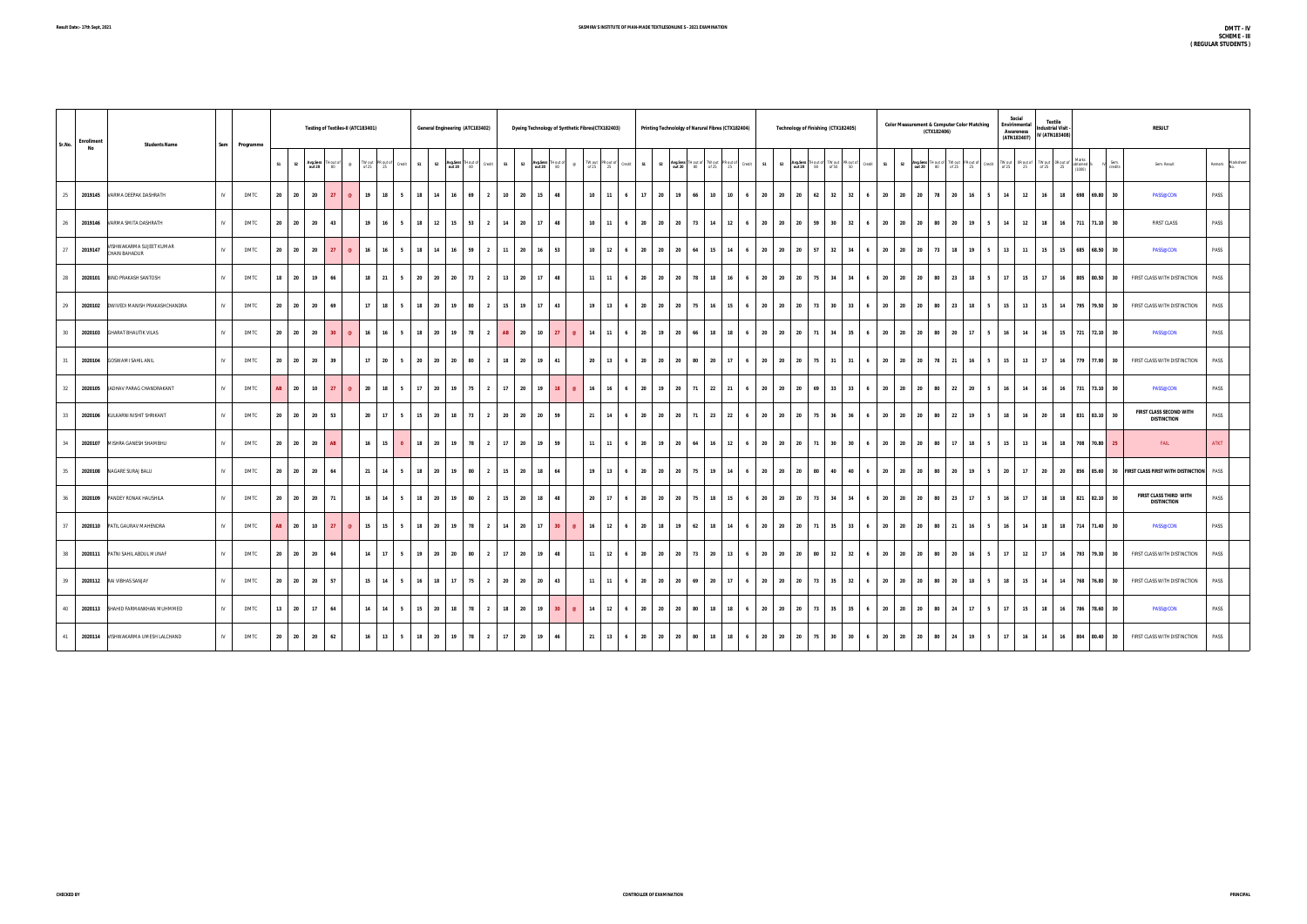| Sr.No. | Enrollment<br>No | <b>Students Name</b>                      | Sem | Programme   |       |                         |                 | Testing of Textiles-II (ATC183401) |                              |           |                      |                |           | General Engineering (ATC183402) |                               |                |    |                                 |          | Dyeing Technology of Synthetic Fibres(CTX182403) |                       |      |             |          | Printing Technololgy of Narural Fibres (CTX182404)                    |    |                       |      |                | Technology of Finishing (CTX182405)                       |    |                 |    |        |       |                   | <b>Color Measurement &amp; Computer Color Matching</b><br>(CTX182406) |                                         |              |                                                                                          | Social<br>Envirinmental<br><b>Awareness</b><br>(ATN183407)                                               |                 | <b>Textile</b><br>ndustrial Visit<br>IV (ATN183408) |                                 |                 | <b>RESULT</b>                                 |                  |
|--------|------------------|-------------------------------------------|-----|-------------|-------|-------------------------|-----------------|------------------------------------|------------------------------|-----------|----------------------|----------------|-----------|---------------------------------|-------------------------------|----------------|----|---------------------------------|----------|--------------------------------------------------|-----------------------|------|-------------|----------|-----------------------------------------------------------------------|----|-----------------------|------|----------------|-----------------------------------------------------------|----|-----------------|----|--------|-------|-------------------|-----------------------------------------------------------------------|-----------------------------------------|--------------|------------------------------------------------------------------------------------------|----------------------------------------------------------------------------------------------------------|-----------------|-----------------------------------------------------|---------------------------------|-----------------|-----------------------------------------------|------------------|
|        |                  |                                           |     |             |       | S1 S2 Avg.Sess THout of |                 |                                    | TW out PR out of<br>of 25 25 |           | S1<br>Credit         | S <sub>2</sub> |           | Avg.Sess TH out of<br>out 20 80 | Credit<br>S1                  | S <sub>2</sub> |    | Avg.Sess TH out of<br>out 20 80 |          | TW out PR out of<br>of 25 25                     | Credit                | S1   |             |          | S2 Avg.Sess THout of TW out PR out of Credit<br>out 20 80 of 25 25 25 |    |                       | S1   | S <sub>2</sub> | Avg.Sess TH out of TW out PR out of<br>out 20 80 of 50 50 |    |                 |    | Credit | S1    | S2 Avg.Sess TH of |                                                                       | Hout of TW out PR out of<br>80 of 25 25 |              | $\begin{array}{c c} \text{Credit} & \cdots & \cdots \\ \hline \text{of } 25 \end{array}$ | $\begin{tabular}{c c} \hline \text{TW out} & \text{OR out of} \\ \text{of 25} & \text{25} \end{tabular}$ | of 25           | TW out OR out of<br>25                              | obtained <sup>9</sup><br>(1000) | Sem.<br>credits | Sem. Result                                   | Remark Marksheet |
|        |                  | 25 2019145 VARMA DEEPAK DASHRATH          | IV  | <b>DMTC</b> | 20 20 | 20                      | 27              |                                    | 19                           | 18        | 18<br>5 <sup>1</sup> | 14             | 16        | 69                              | 10<br>$\overline{2}$          | 20             | 15 | 48                              |          | $10$ 11                                          | 6                     | 17   | 20          | 19       | 66                                                                    | 10 | 10<br>6               | 20   |                | 20 20                                                     | 62 | 32              | 32 | - 6    | 20 20 | 20                | 78                                                                    | 20                                      | 16           | 14<br>5                                                                                  | 12                                                                                                       | 16              |                                                     |                                 | 18 698 69.80 30 | <b>PASS@CON</b>                               | PASS             |
|        |                  | 26 2019146 VARMA SMITA DASHRATH           | IV  | <b>DMTC</b> | 20 20 | 20                      | 43              |                                    | 19                           | 16        | 18<br>5              | 12             | 15        | 53                              | $\overline{\mathbf{z}}$<br>14 | 20             | 17 | 48                              |          | $10$ 11                                          | $6\overline{6}$       | 20   |             | 20 20    | 73                                                                    | 14 | 12<br>6               | 20   | 20             | 20                                                        | 59 | 30 <sup>2</sup> | 32 |        | 20 20 | 20                | 80                                                                    | 20                                      | 19           | 14<br>$-5$                                                                               | 12                                                                                                       | 18              |                                                     |                                 | 16 711 71.10 30 | <b>FIRST CLASS</b>                            | PASS             |
|        | 27 2019147       | VISHWAKARMA SUJEET KUMAR<br>CHAIN BAHADUR | N   | <b>DMTC</b> | 20 20 | 20                      | 27              | $\circledcirc$                     | 16                           | 16        | 5 <sub>5</sub><br>18 | 14             |           | 16 59                           | $\overline{2}$<br>11          | 20             |    | $16$ 53                         |          | $10 \quad 12$                                    | $6\overline{6}$       | 20   |             | 20 20 64 |                                                                       | 15 | 14<br>$6\overline{6}$ |      |                | 20 20 20                                                  | 57 | 32 34           |    | 6      |       |                   | 20 20 20 73                                                           | 18                                      | $19 \quad 5$ |                                                                                          | 13 11                                                                                                    | 15              |                                                     |                                 | 15 685 68.50 30 | <b>PASS@CON</b>                               | PASS             |
|        |                  | 28 2020101 BIND PRAKASH SANTOSH           | IV  | <b>DMTC</b> |       | 18 20                   | 19              | 66                                 | 18                           | 21        | 5 <sup>1</sup><br>20 | 20             | 20        | 73                              | 13<br>$\overline{2}$          | 20             | 17 | 48                              |          | 11                                               | 11<br>6               | 20   | 20          | 20       | 78                                                                    | 18 | 16<br>6               | 20   |                | 20 20                                                     | 75 | 34              | 34 | 6      | 20 20 | 20                | 80                                                                    | 23                                      | 18           | 17 <sup>1</sup><br>$-5$                                                                  | 15                                                                                                       | 17              |                                                     | 16 805 80.50                    | 30              | FIRST CLASS WITH DISTINCTION                  | PASS             |
|        |                  | 29 2020102 DWIVEDI MANISH PRAKASHCHANDRA  | IV  | <b>DMTC</b> | 20    | 20<br>20                | 69              |                                    | 17                           | 18        | 18<br>5 <sup>1</sup> | 20             | 19        | 80                              |                               | 19<br>15       | 17 | 43                              |          | 19                                               | 13<br>6               | 20   | 20          | 20       | 75                                                                    | 16 | 15<br>$6\overline{6}$ | 20   | 20             | 20                                                        | 73 | 30 <sub>2</sub> | 33 | - 6    | 20 20 | 20                | 80                                                                    | 23                                      | 18           | 15                                                                                       | 13                                                                                                       | 15              |                                                     | 14 795 79.50                    | 30              | FIRST CLASS WITH DISTINCTION                  | PASS             |
|        |                  | 30 2020103 GHARAT BHAUTIK VILAS           | IV  | <b>DMTC</b> | 20    | 20<br>20                | 30 <sup>°</sup> |                                    | 16                           | 16        | 18<br>5              | 20             | - 19      | 78                              | <b>AB</b>                     | 20             | 10 | 27                              |          | 14                                               | 11<br>6               | 20   | <b>19</b>   | 20       | 66                                                                    | 18 | 18<br>6               | - 20 | 20             | 20                                                        | 71 | 34              | 35 |        | 20    | 20<br>20          | 80                                                                    | 20                                      | 17           | 16<br>- 5                                                                                | 14                                                                                                       | 16              |                                                     |                                 | 15 721 72.10 30 | PASS@CON                                      | PASS             |
|        |                  | 31 2020104 GOSWAMI SAHIL ANIL             | N   | <b>DMTC</b> | 20 20 | 20                      | 39              |                                    | 17 20                        |           | 20<br>5 <sub>5</sub> | 20             | 20        | 80                              | 18<br>$\overline{\mathbf{z}}$ | 20             | 19 | 41                              |          | 20                                               | 13<br>6               | 20   | 20          | 20       | 80                                                                    | 20 | 17<br>6               | 20   |                | 20 20                                                     | 75 | 31              | 31 |        | 20 20 | 20                | 78                                                                    | 21                                      | - 16         | 15<br>- 5                                                                                | 13                                                                                                       | 17              |                                                     |                                 | 16 779 77.90 30 | FIRST CLASS WITH DISTINCTION                  | PASS             |
| 32     | 2020105          | JADHAV PARAG CHANDRAKANT                  | IV  | <b>DMTC</b> | AB    | 20                      | 10<br>27        | $\omega$                           | 20                           | 18        | 17<br>5              | -20            | 19        | 75                              | 17                            | 20             | 19 | 18                              |          | 16                                               | 16<br>-6              | - 20 | <b>19</b>   | 20       | 71                                                                    | 22 | 21<br>- 6             | 20   | 20             | 20                                                        | 69 | 33              | 33 |        | 20 20 | 20                | 80                                                                    | 22                                      | 20           | 5<br><b>16</b>                                                                           | 14                                                                                                       | 16              |                                                     |                                 | 16 731 73.10 30 | <b>PASS@CON</b>                               | PASS             |
|        | 33 2020106       | KULKARNI NISHIT SHRIKANT                  | W   | <b>DMTC</b> | 20    | 20<br>20                | 53              |                                    | 20                           | 17        | 15<br>5 <sup>1</sup> | - 20           | 18        | 73                              | 20<br>$\overline{2}$          | 20             | 20 | 59                              |          | 21                                               | 14                    | 20   | - 20        | 20       | 71                                                                    | 23 | 22<br>$\overline{a}$  | 20   | 20             | 20                                                        | 75 | 36              | 36 |        | 20    | 20<br>20          | 80                                                                    | 22                                      | <b>19</b>    | 18                                                                                       | 16                                                                                                       | 20              |                                                     |                                 | 18 831 83.10 30 | FIRST CLASS SECOND WITH<br><b>DISTINCTION</b> | PASS             |
| 34     |                  | 2020107 MISHRA GANESH SHAMBHU             | IV  | <b>DMTC</b> | 20    | 20<br>20                |                 | AB                                 | 16                           | 15        | $\mathbf{0}$<br>18   | - 20           | 19        | 78                              | 17<br>$\overline{2}$          | 20             | 19 | 59                              |          | 11                                               | 11<br>6               | 20   | 19          | 20       | 64                                                                    | 16 | 12<br>$6\overline{6}$ | 20   | 20             | 20                                                        | 71 | 30 <sub>o</sub> | 30 |        | 20 20 | 20                | 80                                                                    | 17                                      | 18           | 15<br>- 5                                                                                | 13                                                                                                       | <b>16</b>       | 18                                                  |                                 | 708 70.80 25    | FAIL                                          | <b>ATKT</b>      |
| 35     |                  | 2020108 NAGARE SURAJ BALU                 | IV  | <b>DMTC</b> | 20    | 20<br>20                | 64              |                                    | 21                           | 14        | 18<br>5 <sup>1</sup> | 20             | <b>19</b> | 80                              |                               | 15<br>20       | 18 | 64                              |          | 19                                               | 13<br>6               | 20   | 20          | 20       | 75                                                                    | 19 | 14                    | 20   | 20             | 20                                                        | 80 | 40              | 40 |        | 20    | 20<br>20          | 80                                                                    | 20                                      | 19           | 20                                                                                       | 17                                                                                                       | 20              |                                                     | 20 856 85.60                    |                 | 30 FIRST CLASS FIRST WITH DISTINCTION PASS    |                  |
|        |                  | 36 2020109 PANDEY RONAK HAUSHILA          | N   | <b>DMTC</b> | 20 20 | 20                      |                 | 71                                 | 16                           | <b>14</b> | 5 <sub>5</sub><br>18 |                | 20 19 80  |                                 | $\overline{2}$                | 15<br>20       | 18 | 48                              |          | 20 17                                            | $6\overline{6}$       |      | 20 20 20 75 |          |                                                                       | 18 | 15<br>$6\overline{6}$ |      |                | 20 20 20                                                  |    | 73 34 34        |    | 6      |       |                   | 20 20 20 80                                                           | 23                                      | $17$ 5       | 16                                                                                       | 17                                                                                                       | 18              |                                                     |                                 | 18 821 82.10 30 | FIRST CLASS THIRD WITH<br><b>DISTINCTION</b>  | PASS             |
| 37     |                  | 2020110 PATIL GAURAV MAHENDRA             | IV  | <b>DMTC</b> | AB    | 20                      | 10<br>27        | $\omega$                           | 15                           | 15        | 18<br>5              | 20             | 19        | 78                              | 14<br>$\overline{2}$          | 20             | 17 | 30 <sup>2</sup>                 | $\omega$ | 16                                               | 12<br>$6\overline{6}$ | 20   |             | 18 19 62 |                                                                       | 18 | 14<br>$6\overline{6}$ |      |                | 20 20 20                                                  | 71 | 35              | 33 | 6      |       | 20 20 20          | 80                                                                    | 21                                      | $16$ 5       | 16                                                                                       | 14                                                                                                       | 18              |                                                     |                                 | 18 714 71.40 30 | <b>PASS@CON</b>                               | PASS             |
|        |                  | 38 2020111 PATNI SAHIL ABDUL MUNAF        | N   | <b>DMTC</b> | 20 20 | 20                      |                 | 64                                 | 14                           | 17        | 5 <sup>1</sup><br>19 | 20             | 20        | 80                              | $\overline{\mathbf{z}}$       | 17<br>20       | 19 | 48                              |          | 11 <sup>1</sup>                                  | 12<br>$6\overline{6}$ | 20   |             | 20 20 73 |                                                                       | 20 | 13<br>6               | 20   |                | 20 20                                                     | 80 | 32              | 32 | 6      | 20 20 | 20                | 80                                                                    | 20                                      | <b>16</b>    | 17 <sup>1</sup><br>- 5                                                                   | 12                                                                                                       | 17 <sup>1</sup> |                                                     |                                 | 16 793 79.30 30 | FIRST CLASS WITH DISTINCTION                  | PASS             |
|        |                  | 39 2020112 RAI VIBHAS SANJAY              | IV  | <b>DMTC</b> | 20 20 | 20                      | 57              |                                    | 15                           | 14        | 5<br>16              |                | 18 17     | 75                              | 20<br>$\overline{2}$          | 20             | 20 | 43                              |          | $11$ 11                                          | $6\overline{6}$       | 20   |             | 20 20    | 69                                                                    | 20 | 17<br>6               | 20   |                | 20 20                                                     | 73 | 35              | 32 | 6      | 20 20 | 20                | 80                                                                    | 20                                      | 18           | 18<br>- 5                                                                                | 15                                                                                                       | 14              |                                                     | 14 768 76.80                    | 30              | FIRST CLASS WITH DISTINCTION                  | PASS             |
|        |                  | 40 2020113 SHAHID FARMANKHAN MUHMMED      | IV  | <b>DMTC</b> | 13    | 20                      | 17              | 64                                 | 14                           | 14        | 5<br>15              | - 20           | 18        | 78                              |                               | 18<br>20       | 19 | 30                              |          | 14                                               | 12<br>6               | 20   | 20          | -20      | 80                                                                    | 18 | 18                    | 20   | 20             | 20                                                        | 73 | 35              | 35 |        | 20    | 20<br>20          | 80                                                                    | 24                                      | 17           | 17<br>- 5                                                                                | 15                                                                                                       | 18              | 16                                                  | 786                             | 78.60<br>30     | PASS@CON                                      | PASS             |
|        |                  | 41 2020114 VISHWAKARMA UMESH LALCHAND     | N   | <b>DMTC</b> | 20 20 | 20                      | 62              |                                    | 16                           | 13        | 5 <sub>5</sub><br>18 |                | 20 19 78  |                                 | 17<br>$\overline{2}$          | 20             | 19 | 46                              |          | 21 13                                            | $6\overline{6}$       |      | 20 20 20 80 |          |                                                                       | 18 | 18<br>6               |      |                | 20 20 20                                                  | 75 | 30 <sup>2</sup> | 30 | 6      | 20 20 | 20                | 80                                                                    | 24                                      | 19           | 17 <sup>1</sup><br>$-5$                                                                  | 16                                                                                                       | 14              |                                                     |                                 | 16 804 80.40 30 | FIRST CLASS WITH DISTINCTION                  | PASS             |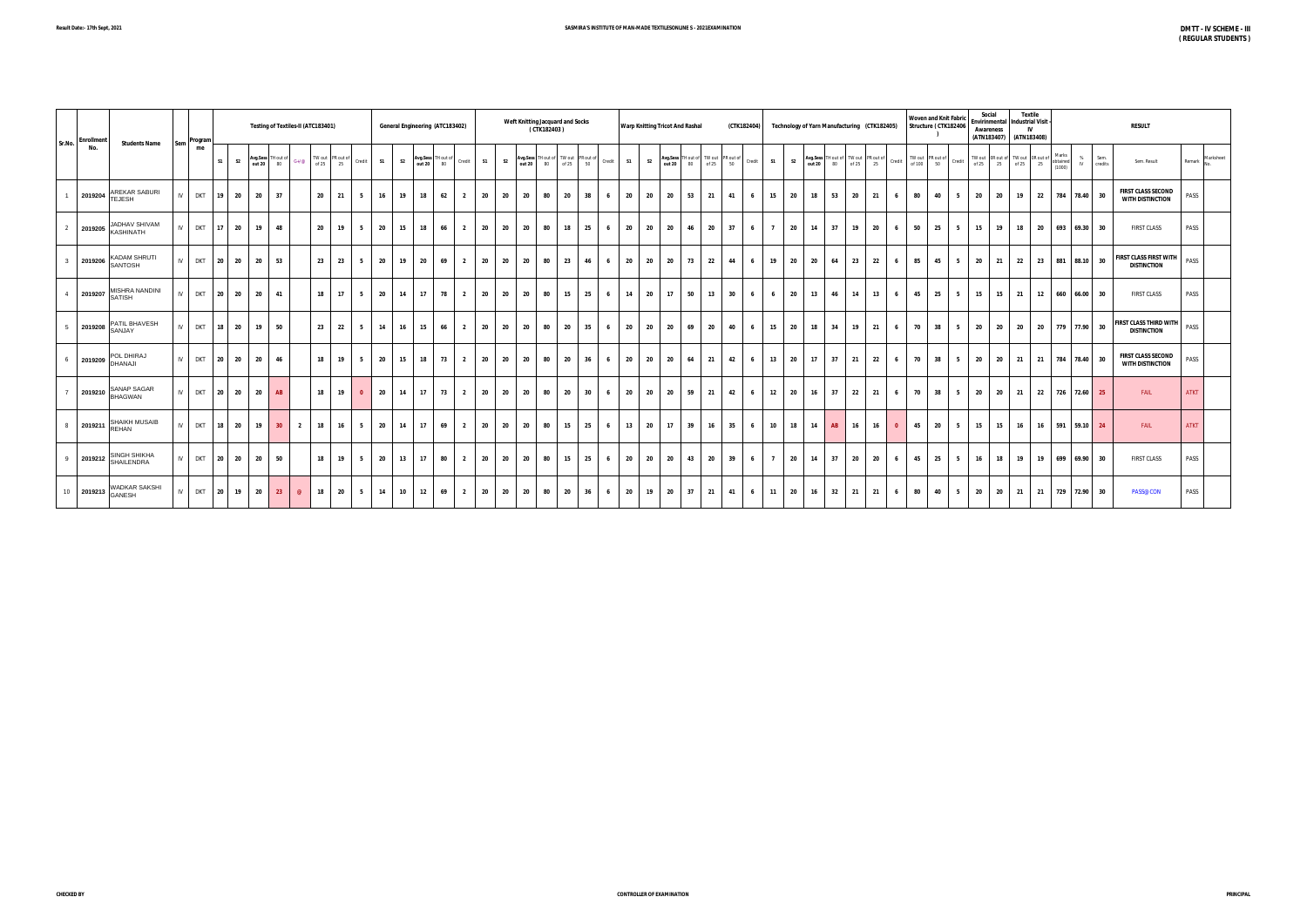| <b>Enrollment</b><br>Sr.No.              | <b>Students Name</b> |               | Sem Program  |         |                | Testing of Textiles-II (ATC183401)                      |                |    |                                                                                                                                              |                |      |                |    | General Engineering (ATC183402) |                |                      |    | Weft Knitting Jacquard and Socks<br>(CTK182403) |        |    |     | <b>Warp Knitting Tricot And Rashal</b> |    |                                                                         |      |    | (CTK182404) |                |                | Technology of Yarn Manufacturing (CTK182405)                                                    |    |      |   |    | <b>Woven and Knit Fabric</b><br>Structure (CTK182406 |    | Social<br>Envirinmental<br>Awareness | (ATN183407) (ATN183408)                                                                                                                             | <b>Textile</b><br><b>Industrial Visit</b><br>IV |                             |                      | <b>RESULT</b>                                            |                  |
|------------------------------------------|----------------------|---------------|--------------|---------|----------------|---------------------------------------------------------|----------------|----|----------------------------------------------------------------------------------------------------------------------------------------------|----------------|------|----------------|----|---------------------------------|----------------|----------------------|----|-------------------------------------------------|--------|----|-----|----------------------------------------|----|-------------------------------------------------------------------------|------|----|-------------|----------------|----------------|-------------------------------------------------------------------------------------------------|----|------|---|----|------------------------------------------------------|----|--------------------------------------|-----------------------------------------------------------------------------------------------------------------------------------------------------|-------------------------------------------------|-----------------------------|----------------------|----------------------------------------------------------|------------------|
| No.                                      |                      |               | me           | S1      | S <sub>2</sub> | <b>Avg.Sess</b> TH out of $G+/\varnothing$<br>out 20 80 |                |    | $\begin{array}{ c c c }\n\hline\n\text{TW out} & \text{PR out of} & \text{Credit} \\ \hline\n\text{of 25} & 25 & \text{Credit}\n\end{array}$ |                | S1   | S <sub>2</sub> |    | Avg.Sess TH out of Credit       |                | S <sub>2</sub><br>S1 |    | Avg.Sess TH out of TW out PR out of Credit      |        |    |     | S1<br>S <sub>2</sub>                   |    | Avg.Sess TH out of TW out PR out of Credit<br>out 20 80 of 25 50 Credit |      |    |             | S1             | S <sub>2</sub> | Avg.Sess TH out of TW out PR out of TW out PR out of out 20 80 of 25 25 Credit of 100 50 credit |    |      |   |    |                                                      |    |                                      | $\begin{array}{c c c c} \text{TW out} & \text{OR out of} & \text{TW out} & \text{OR out of} \\ \text{of } 25 & 25 & \text{of } 25 & 25 \end{array}$ |                                                 | Marks<br>obtained<br>(1000) | % Sem.<br>IV credits | Sem. Result                                              | Remark Marksheet |
| 2019204 AREKAR SABURI<br>TEJESH          |                      | $\mathsf{IV}$ | <b>DKT</b>   | 19 20   |                | 20<br>37                                                |                | 20 | 21                                                                                                                                           | 5              | 16   | 19             | 18 | 62                              | $\overline{2}$ | 20<br>20             | 20 | 80                                              | 20     | 38 | 6   | 20<br>- 20                             | 20 | 53                                                                      | 21   | 41 | 6           | 15             | 20             | 18<br>53                                                                                        | 20 | 21   | 6 | 80 | 40                                                   | 5  | 20                                   | 20<br>19                                                                                                                                            |                                                 | 22                          | 784 78.40 30         | <b>FIRST CLASS SECOND</b><br><b>WITH DISTINCTION</b>     | PASS             |
| 2019205 JADHAV SHIVAM                    |                      | $\mathsf{IV}$ | <b>DKT</b>   | $17$ 20 |                | 19<br>48                                                |                | 20 | 19                                                                                                                                           | 5              | 20   | 15             | 18 | 66                              | $\overline{2}$ | 20<br>20             | 20 | 80                                              | 18     | 25 | - 6 | 20<br>20                               | 20 | 46                                                                      | 20   | 37 | 6           | $\overline{7}$ | 20             | 14<br>37                                                                                        | 19 | 20   | 6 | 50 | 25                                                   | 5  | 15                                   | 18<br>19                                                                                                                                            |                                                 | 20                          | 693 69.30 30         | <b>FIRST CLASS</b>                                       | PASS             |
| 2019206 KADAM SHRUTI<br>$\mathbf{3}$     |                      |               | IV DKT 20 20 |         |                | 20<br>53                                                |                | 23 | 23                                                                                                                                           | 5              | 20   | 19             | 20 | 69                              | $\overline{2}$ | 20<br>20             | 20 | 80                                              | 23     | 46 | 6   | 20<br>20                               | 20 | 73                                                                      | 22   | 44 | 6           | 19             | 20             | 20<br>64                                                                                        | 23 | 22   | 6 | 85 | 45                                                   | 5  | 20                                   | 22<br>21                                                                                                                                            |                                                 | 23                          | 881 88.10 30         | <b>FIRST CLASS FIRST WITH</b> PASS<br><b>DISTINCTION</b> |                  |
| 2019207 MISHRA NANDINI<br>$\overline{4}$ |                      | $\mathsf{IV}$ | <b>DKT</b>   | 20 20   |                | 20<br>-41                                               |                | 18 | 17                                                                                                                                           | 5              | 20   | 14             | 17 | 78                              | $\overline{2}$ | 20<br>20             | 20 | 80                                              | 15     | 25 | 6   | 14<br>20                               | 17 | 50                                                                      | 13   | 30 | 6           | 6              | 20             | 13<br>46                                                                                        | 14 | 13   | 6 | 45 | 25                                                   | 5  | 15                                   | 15<br>$\frac{21}{2}$                                                                                                                                |                                                 | 660<br>12                   | 66.00 30             | <b>FIRST CLASS</b>                                       | PASS             |
| 2019208 PATIL BHAVESH<br>5               |                      | $\mathsf{IV}$ | <b>DKT</b>   | 18 20   |                | 19<br>50                                                |                | 23 | 22                                                                                                                                           | 5              | 14   | 16             | 15 | 66                              | $\overline{2}$ | - 20<br>20           | 20 | 80                                              | $20\,$ | 35 | 6   | 20<br>- 20                             | 20 | 69                                                                      | 20   | 40 | 6           | 15             | 20             | 18<br>34                                                                                        | 19 | - 21 | 6 | 70 | 38                                                   | 5  | 20                                   | 20<br>20                                                                                                                                            |                                                 | - 20                        | 779 77.90 30         | <b>FIRST CLASS THIRD WITH PASS</b><br><b>DISTINCTION</b> |                  |
| 2019209 POL DHIRAJ<br>6                  |                      | IV            | <b>DKT</b>   | 20 20   |                | 20<br>46                                                |                | 18 | 19                                                                                                                                           | 5              | 20   | 15             | 18 | 73                              | $\overline{2}$ | 20<br>20             | 20 | 80                                              | 20     | 36 | - 6 | 20<br>20                               | 20 | 64                                                                      | - 21 | 42 | 6           | 13             | 20             | 17<br>37                                                                                        | 21 | 22   | 6 | 70 | 38                                                   | -5 | 20                                   | 20<br>21                                                                                                                                            | - 21                                            |                             | 784 78.40 30         | <b>FIRST CLASS SECOND</b><br><b>WITH DISTINCTION</b>     | PASS             |
| 2019210 SANAP SAGAR<br>$\overline{7}$    |                      | $\mathsf{IV}$ | <b>DKT</b>   | 20 20   |                | 20<br>AB                                                |                | 18 | 19                                                                                                                                           | $\overline{0}$ | - 20 | 14             | 17 | 73                              | $\overline{2}$ | 20<br>- 20           | 20 | 80                                              | 20     | 30 | 6   | 20<br>20                               | 20 | 59                                                                      | - 21 | 42 | 6           | 12             | 20             | 16<br>37                                                                                        | 22 | - 21 | 6 | 70 | 38                                                   | 5  | 20                                   | 20<br>21                                                                                                                                            |                                                 | - 22                        | 726 72.60 25         | FAIL                                                     | <b>ATKT</b>      |
| 2019211 SHAIKH MUSAIB<br>8               |                      |               | IV DKT       | 18 20   |                | 19<br>30 <sup>2</sup>                                   | $\overline{2}$ | 18 | 16                                                                                                                                           | 5              | 20   | 14             | 17 | 69                              | $\overline{2}$ | 20<br>20             | 20 | 80                                              | 15     | 25 | 6   | 13<br>20                               | 17 | 39                                                                      | 16   | 35 | 6           | 10             | 18             | <b>AB</b><br>14                                                                                 | 16 | 16   |   | 45 | 20                                                   | 5  | 15                                   | 16<br>15                                                                                                                                            |                                                 | 16 591 59.10 24             |                      | FAIL                                                     | <b>ATKT</b>      |
| 2019212 SINGH SHIKHA<br>9                |                      |               | IV DKT 20 20 |         |                | 20<br>50                                                |                | 18 | 19                                                                                                                                           | 5              | 20   | 13             | 17 | 80                              | $\overline{2}$ | 20<br>20             | 20 | 80                                              | 15     | 25 | 6   | 20<br>20                               | 20 | 43                                                                      | 20   | 39 | 6           | $\overline{7}$ | 20             | <b>14</b><br>37                                                                                 | 20 | 20   | 6 | 45 | 25                                                   | 5  | 16                                   | 19<br>18                                                                                                                                            |                                                 | 19 699 69.90 30             |                      | <b>FIRST CLASS</b>                                       | PASS             |
| 10 2019213 WADKAR SAKSHI                 |                      | $\mathsf{IV}$ | <b>DKT</b>   | 20 19   |                | 20<br>23                                                | $\omega$       | 18 | 20                                                                                                                                           | 5              | 14   | 10             | 12 | 69                              | $\overline{2}$ | 20<br>20             | 20 | 80                                              | 20     | 36 | - 6 | 20<br>19                               | 20 | 37                                                                      | - 21 | 41 | 6           | 11             | 20             | 16<br>32                                                                                        | 21 | - 21 | 6 | 80 | 40                                                   | 5  | 20                                   | 20 21                                                                                                                                               |                                                 | 21                          | 729 72.90 30         | PASS@CON                                                 | PASS             |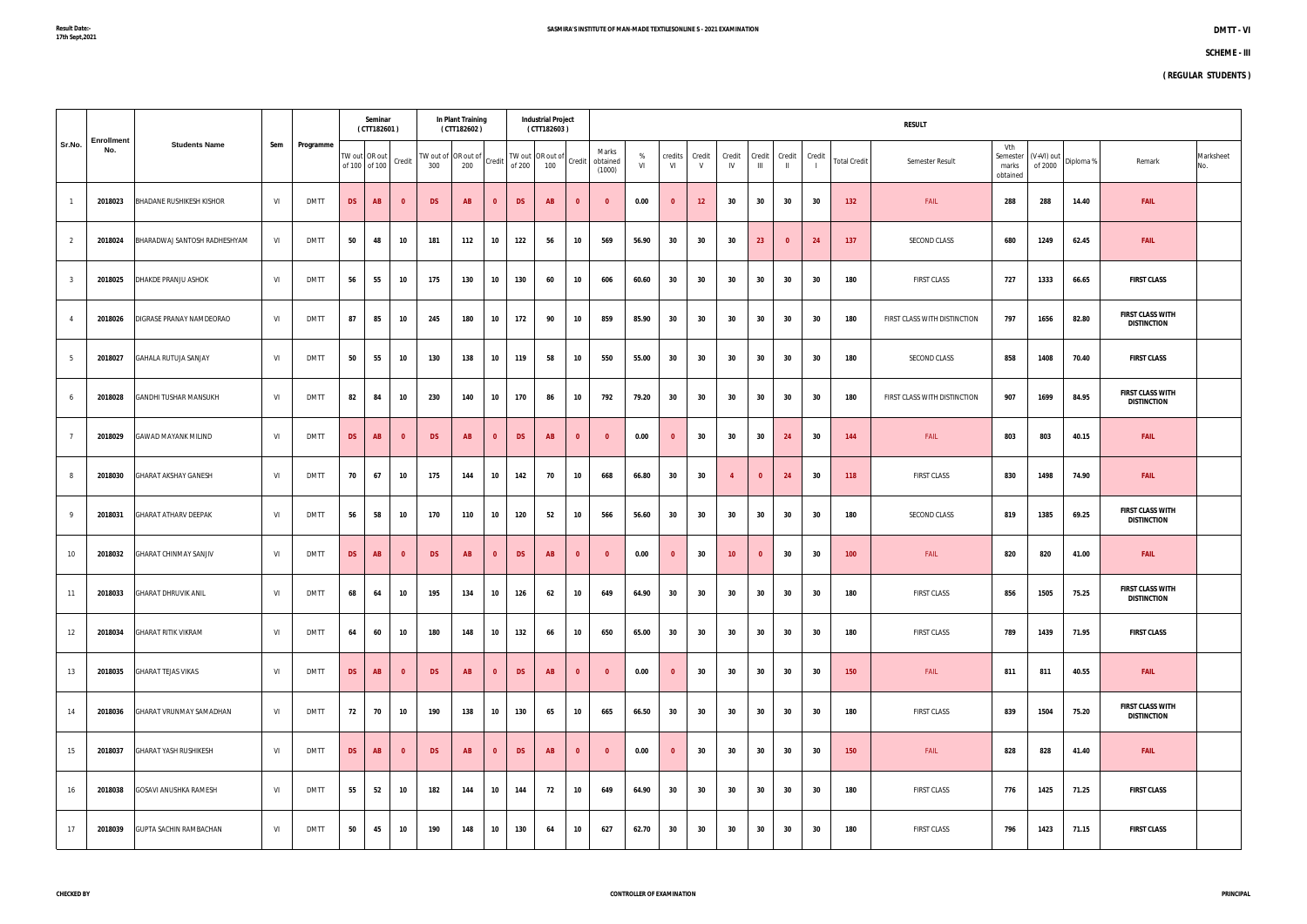|                |                   |                                 |     |             |           | Seminar<br>(CTT182601)         |              |                                             | In Plant Training<br>(CTT182602) |              |           | <b>Industrial Project</b><br>(CTT182603) |                         |                                    |         |               |                        |                |                          |               |        |                     | <b>RESULT</b>                |                                      |                       |           |                                               |                  |
|----------------|-------------------|---------------------------------|-----|-------------|-----------|--------------------------------|--------------|---------------------------------------------|----------------------------------|--------------|-----------|------------------------------------------|-------------------------|------------------------------------|---------|---------------|------------------------|----------------|--------------------------|---------------|--------|---------------------|------------------------------|--------------------------------------|-----------------------|-----------|-----------------------------------------------|------------------|
| Sr.No.         | Enrollment<br>No. | <b>Students Name</b>            | Sem | Programme   |           | TW out OR out<br>of 100 of 100 | Credit       | $ TW$ out of $ OR$ out of $ C$ redit<br>300 | 200                              |              | of 200    | TW out OR out of<br>100                  |                         | Marks<br>Credit obtained<br>(1000) | %<br>VI | credits<br>VI | Credit<br>$\mathsf{V}$ | Credit<br>IV   | Credit<br>$\mathbf{III}$ | Credit<br>-H. | Credit | <b>Total Credit</b> | Semester Result              | Vth<br>Semester<br>marks<br>obtained | (V+VI) out<br>of 2000 | Diploma % | Remark                                        | Marksheet<br>No. |
|                | 2018023           | <b>BHADANE RUSHIKESH KISHOR</b> | VI  | <b>DMTT</b> | <b>DS</b> | AB                             | $\mathbf{0}$ | <b>DS</b>                                   | <b>AB</b>                        | $\mathbf{0}$ | <b>DS</b> | <b>AB</b>                                | $\mathbf{0}$            | $\Omega$                           | 0.00    | $\mathbf{0}$  | 12                     | 30             | 30                       | 30            | 30     | 132                 | FAIL                         | 288                                  | 288                   | 14.40     | <b>FAIL</b>                                   |                  |
| $\overline{2}$ | 2018024           | BHARADWAJ SANTOSH RADHESHYAM    | VI  | <b>DMTT</b> | 50        | 48                             | 10           | 181                                         | 112                              | 10           | 122       | 56                                       | 10                      | 569                                | 56.90   | 30            | 30                     | 30             | 23                       | $\mathbf{0}$  | 24     | 137                 | SECOND CLASS                 | 680                                  | 1249                  | 62.45     | <b>FAIL</b>                                   |                  |
| 3              | 2018025           | DHAKDE PRANJU ASHOK             | VI  | <b>DMTT</b> | 56        | 55                             | 10           | 175                                         | 130                              | 10           | 130       | 60                                       | 10                      | 606                                | 60.60   | 30            | 30                     | 30             | 30                       | 30            | 30     | 180                 | <b>FIRST CLASS</b>           | 727                                  | 1333                  | 66.65     | <b>FIRST CLASS</b>                            |                  |
|                | 2018026           | DIGRASE PRANAY NAMDEORAO        | VI  | <b>DMTT</b> | 87        | 85                             | 10           | 245                                         | 180                              | 10           | 172       | 90                                       | 10                      | 859                                | 85.90   | 30            | 30                     | 30             | 30                       | 30            | 30     | 180                 | FIRST CLASS WITH DISTINCTION | 797                                  | 1656                  | 82.80     | <b>FIRST CLASS WITH</b><br><b>DISTINCTION</b> |                  |
| 5              | 2018027           | <b>GAHALA RUTUJA SANJAY</b>     | VI  | <b>DMTT</b> | 50        | 55                             | 10           | 130                                         | 138                              | 10           | 119       | 58                                       | 10                      | 550                                | 55.00   | 30            | 30                     | 30             | 30                       | 30            | 30     | 180                 | SECOND CLASS                 | 858                                  | 1408                  | 70.40     | <b>FIRST CLASS</b>                            |                  |
|                | 2018028           | <b>GANDHI TUSHAR MANSUKH</b>    | VI  | <b>DMTT</b> | 82        | 84                             | 10           | 230                                         | 140                              | 10           | 170       | 86                                       | 10                      | 792                                | 79.20   | 30            | 30                     | 30             | 30                       | 30            | 30     | 180                 | FIRST CLASS WITH DISTINCTION | 907                                  | 1699                  | 84.95     | <b>FIRST CLASS WITH</b><br><b>DISTINCTION</b> |                  |
|                | 2018029           | <b>GAWAD MAYANK MILIND</b>      | VI  | <b>DMTT</b> | <b>DS</b> | <b>AB</b>                      | $\mathbf{0}$ | <b>DS</b>                                   | <b>AB</b>                        | $\mathbf{0}$ | <b>DS</b> | <b>AB</b>                                | $\mathbf{0}$            | - 0                                | 0.00    | $\mathbf{0}$  | 30                     | 30             | 30                       | 24            | 30     | 144                 | FAIL                         | 803                                  | 803                   | 40.15     | <b>FAIL</b>                                   |                  |
|                | 2018030           | <b>GHARAT AKSHAY GANESH</b>     | VI  | <b>DMTT</b> | 70        | 67                             | 10           | 175                                         | 144                              | 10           | 142       | 70                                       | 10                      | 668                                | 66.80   | 30            | 30                     | $\overline{4}$ | $\mathbf{0}$             | 24            | 30     | 118                 | <b>FIRST CLASS</b>           | 830                                  | 1498                  | 74.90     | <b>FAIL</b>                                   |                  |
|                | 2018031           | <b>GHARAT ATHARV DEEPAK</b>     | VI  | <b>DMTT</b> | 56        | 58                             | 10           | 170                                         | 110                              | 10           | 120       | 52                                       | 10                      | 566                                | 56.60   | 30            | 30                     | 30             | 30                       | 30            | 30     | 180                 | SECOND CLASS                 | 819                                  | 1385                  | 69.25     | <b>FIRST CLASS WITH</b><br><b>DISTINCTION</b> |                  |
| 10             | 2018032           | <b>GHARAT CHINMAY SANJIV</b>    | VI  | <b>DMTT</b> | <b>DS</b> | <b>AB</b>                      | $\mathbf{0}$ | <b>DS</b>                                   | <b>AB</b>                        | $\mathbf 0$  | <b>DS</b> | <b>AB</b>                                | $\mathbf{0}$            | - 0                                | 0.00    | $\mathbf{0}$  | 30                     | 10             | $\mathbf{0}$             | 30            | 30     | 100                 | FAIL                         | 820                                  | 820                   | 41.00     | <b>FAIL</b>                                   |                  |
| 11             | 2018033           | <b>GHARAT DHRUVIK ANIL</b>      | VI  | <b>DMTT</b> | 68        | 64                             | 10           | 195                                         | 134                              | 10           | 126       | 62                                       | 10                      | 649                                | 64.90   | 30            | 30                     | 30             | 30                       | 30            | 30     | 180                 | <b>FIRST CLASS</b>           | 856                                  | 1505                  | 75.25     | <b>FIRST CLASS WITH</b><br><b>DISTINCTION</b> |                  |
| 12             | 2018034           | <b>GHARAT RITIK VIKRAM</b>      | VI  | <b>DMTT</b> | 64        | 60                             | 10           | 180                                         | 148                              | 10           | 132       | 66                                       | 10                      | 650                                | 65.00   | 30            | 30                     | 30             | 30                       | 30            | 30     | 180                 | <b>FIRST CLASS</b>           | 789                                  | 1439                  | 71.95     | <b>FIRST CLASS</b>                            |                  |
| 13             | 2018035           | <b>GHARAT TEJAS VIKAS</b>       | VI  | <b>DMTT</b> | <b>DS</b> | AB                             | $\mathbf{0}$ | <b>DS</b>                                   | <b>AB</b>                        | $\mathbf{0}$ | <b>DS</b> | <b>AB</b>                                | $\overline{\mathbf{0}}$ | $\mathbf{0}$                       | 0.00    | $\mathbf{0}$  | 30                     | 30             | 30                       | 30            | 30     | 150                 | FAIL                         | 811                                  | 811                   | 40.55     | <b>FAIL</b>                                   |                  |
| 14             | 2018036           | GHARAT VRUNMAY SAMADHAN         | VI  | <b>DMTT</b> | 72        | 70                             | 10           | 190                                         | 138                              | 10           | 130       | 65                                       | 10                      | 665                                | 66.50   | 30            | 30                     | 30             | 30                       | 30            | 30     | 180                 | <b>FIRST CLASS</b>           | 839                                  | 1504                  | 75.20     | <b>FIRST CLASS WITH</b><br><b>DISTINCTION</b> |                  |
| 15             | 2018037           | <b>GHARAT YASH RUSHIKESH</b>    | VI  | <b>DMTT</b> | <b>DS</b> | AB                             | $\mathbf{0}$ | <b>DS</b>                                   | <b>AB</b>                        | $\mathbf{0}$ | <b>DS</b> | <b>AB</b>                                | $\overline{\mathbf{0}}$ | $\mathbf{0}$                       | 0.00    | $\mathbf{0}$  | 30                     | 30             | 30                       | 30            | 30     | 150                 | FAIL                         | 828                                  | 828                   | 41.40     | <b>FAIL</b>                                   |                  |
| 16             | 2018038           | <b>GOSAVI ANUSHKA RAMESH</b>    | VI  | <b>DMTT</b> | 55        | 52                             | 10           | 182                                         | 144                              | 10           | 144       | 72                                       | 10                      | 649                                | 64.90   | 30            | 30                     | 30             | 30                       | 30            | 30     | 180                 | <b>FIRST CLASS</b>           | 776                                  | 1425                  | 71.25     | <b>FIRST CLASS</b>                            |                  |
| 17             | 2018039           | <b>GUPTA SACHIN RAMBACHAN</b>   | VI  | <b>DMTT</b> | 50        | 45                             | 10           | 190                                         | 148                              | 10           | 130       | 64                                       | 10                      | 627                                | 62.70   | 30            | 30                     | 30             | 30                       | 30            | 30     | 180                 | FIRST CLASS                  | 796                                  | 1423                  | 71.15     | <b>FIRST CLASS</b>                            |                  |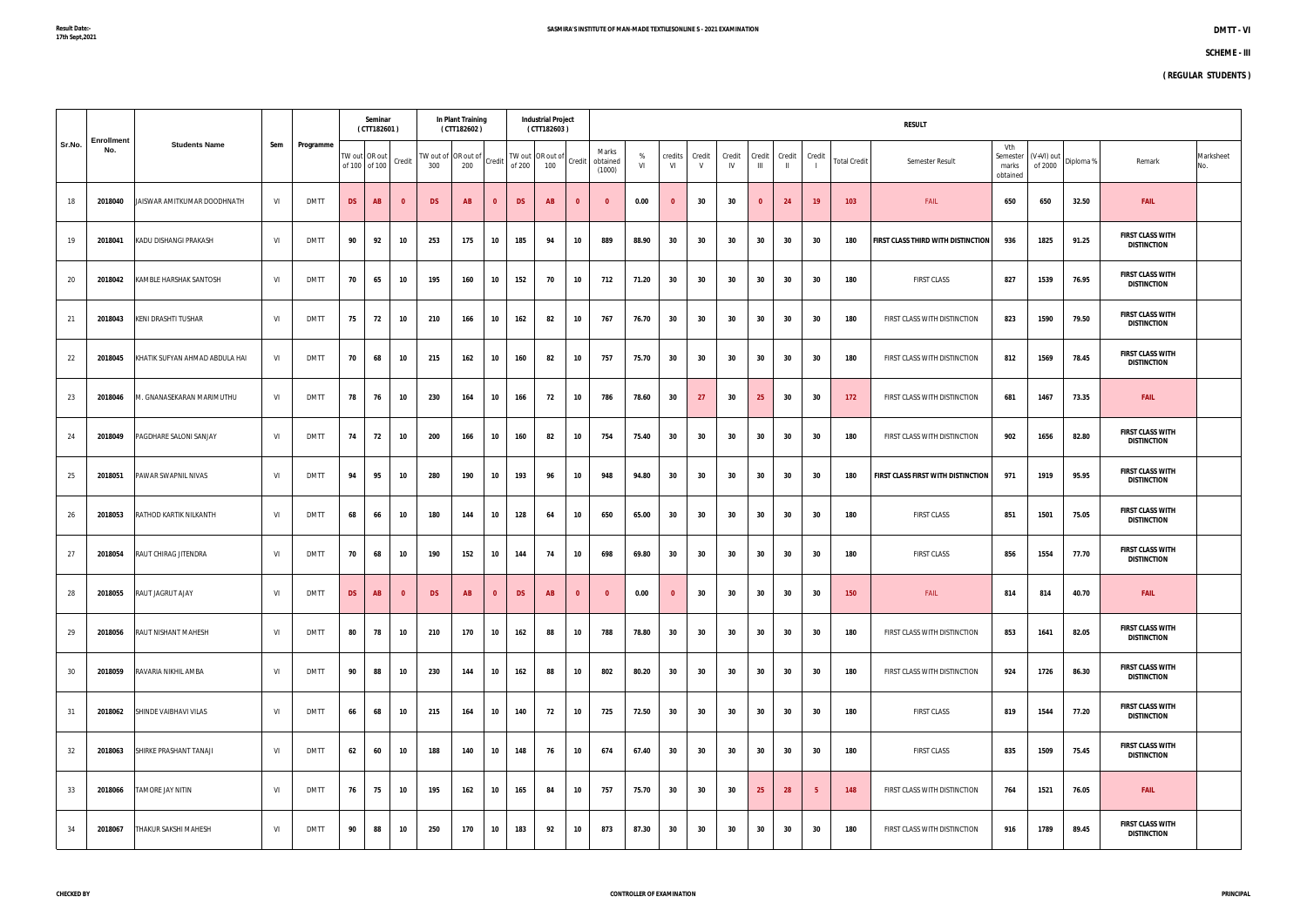|        |                          |                                |     |             |               | Seminar<br>(CTT182601) |                         |                                                                       | In Plant Training<br>(CTT182602) |                         |              | <b>Industrial Project</b><br>(CTT182603) |                         |                                                         |         |               |                        |              |                          |                        |                 |                     | <b>RESULT</b>                      |                                      |         |                           |                                               |                  |
|--------|--------------------------|--------------------------------|-----|-------------|---------------|------------------------|-------------------------|-----------------------------------------------------------------------|----------------------------------|-------------------------|--------------|------------------------------------------|-------------------------|---------------------------------------------------------|---------|---------------|------------------------|--------------|--------------------------|------------------------|-----------------|---------------------|------------------------------------|--------------------------------------|---------|---------------------------|-----------------------------------------------|------------------|
| Sr.No. | <b>Enrollment</b><br>No. | <b>Students Name</b>           | Sem | Programme   | of 100 of 100 | TW out OR out          | Credit                  | TW out of $\left $ OR out of $\right $ Credit $\left  \right $<br>300 | 200                              |                         | of 200   100 |                                          |                         | Marks<br> TW out OR out of  credit   obtained<br>(1000) | %<br>VI | credits<br>VI | Credit<br>$\mathsf{V}$ | Credit<br>IV | Credit<br>$\mathbf{III}$ | Credit<br>$\mathbf{H}$ | Credit          | <b>Total Credit</b> | Semester Result                    | Vth<br>Semester<br>marks<br>obtained | of 2000 | $ (V+VI)$ out   Diploma % | Remark                                        | Marksheet<br>No. |
| 18     | 2018040                  | JAISWAR AMITKUMAR DOODHNATH    | VI  | <b>DMTT</b> | <b>DS</b>     | <b>AB</b>              | $\mathbf{0}$            | <b>DS</b>                                                             | <b>AB</b>                        | $\Omega$                | <b>DS</b>    | AB                                       | $\mathbf{0}$            | - 0                                                     | 0.00    | $\mathbf{0}$  | 30                     | 30           | $\mathbf{0}$             | 24                     | 19 <sup>°</sup> | 103                 | FAIL                               | 650                                  | 650     | 32.50                     | <b>FAIL</b>                                   |                  |
| 19     | 2018041                  | KADU DISHANGI PRAKASH          | VI  | <b>DMTT</b> | 90            | 92                     | 10                      | 253                                                                   | 175                              | 10                      | 185          | 94                                       | 10                      | 889                                                     | 88.90   | 30            | 30                     | 30           | 30                       | 30                     | 30              | 180                 | FIRST CLASS THIRD WITH DISTINCTION | 936                                  | 1825    | 91.25                     | <b>FIRST CLASS WITH</b><br><b>DISTINCTION</b> |                  |
| 20     | 2018042                  | KAMBLE HARSHAK SANTOSH         | VI  | <b>DMTT</b> | 70            | 65                     | 10                      | 195                                                                   | 160                              | 10                      | 152          | 70                                       | 10                      | 712                                                     | 71.20   | 30            | 30                     | 30           | 30                       | 30                     | 30              | 180                 | <b>FIRST CLASS</b>                 | 827                                  | 1539    | 76.95                     | <b>FIRST CLASS WITH</b><br><b>DISTINCTION</b> |                  |
| 21     | 2018043                  | <b>KENI DRASHTI TUSHAR</b>     | VI  | <b>DMTT</b> | 75            | 72                     | 10                      | 210                                                                   | 166                              | 10                      | 162          | 82                                       | 10                      | 767                                                     | 76.70   | 30            | 30                     | 30           | 30                       | 30                     | 30              | 180                 | FIRST CLASS WITH DISTINCTION       | 823                                  | 1590    | 79.50                     | <b>FIRST CLASS WITH</b><br><b>DISTINCTION</b> |                  |
| 22     | 2018045                  | KHATIK SUFYAN AHMAD ABDULA HAI | VI  | <b>DMTT</b> | 70            | 68                     | 10                      | 215                                                                   | 162                              | 10                      | 160          | 82                                       | 10                      | 757                                                     | 75.70   | 30            | 30                     | 30           | 30                       | 30                     | 30              | 180                 | FIRST CLASS WITH DISTINCTION       | 812                                  | 1569    | 78.45                     | <b>FIRST CLASS WITH</b><br><b>DISTINCTION</b> |                  |
| 23     | 2018046                  | M. GNANASEKARAN MARIMUTHU      | VI  | <b>DMTT</b> | 78            | 76                     | 10                      | 230                                                                   | 164                              | 10                      | 166          | 72                                       | 10                      | 786                                                     | 78.60   | 30            | 27                     | 30           | 25                       | 30                     | 30              | 172                 | FIRST CLASS WITH DISTINCTION       | 681                                  | 1467    | 73.35                     | <b>FAIL</b>                                   |                  |
| 24     | 2018049                  | PAGDHARE SALONI SANJAY         | VI  | <b>DMTT</b> | 74            | 72                     | 10                      | 200                                                                   | 166                              | 10                      | 160          | 82                                       | 10                      | 754                                                     | 75.40   | 30            | 30                     | 30           | 30                       | 30                     | 30              | 180                 | FIRST CLASS WITH DISTINCTION       | 902                                  | 1656    | 82.80                     | <b>FIRST CLASS WITH</b><br><b>DISTINCTION</b> |                  |
| 25     | 2018051                  | PAWAR SWAPNIL NIVAS            | VI  | <b>DMTT</b> | 94            | 95                     | 10                      | 280                                                                   | 190                              | 10                      | 193          | 96                                       | 10                      | 948                                                     | 94.80   | 30            | 30                     | 30           | 30                       | 30                     | 30              | 180                 | FIRST CLASS FIRST WITH DISTINCTION | 971                                  | 1919    | 95.95                     | <b>FIRST CLASS WITH</b><br><b>DISTINCTION</b> |                  |
| 26     | 2018053                  | <b>RATHOD KARTIK NILKANTH</b>  | VI  | <b>DMTT</b> | 68            | 66                     | 10                      | 180                                                                   | 144                              | 10                      | 128          | 64                                       | 10                      | 650                                                     | 65.00   | 30            | 30                     | 30           | 30                       | 30                     | 30              | 180                 | <b>FIRST CLASS</b>                 | 851                                  | 1501    | 75.05                     | <b>FIRST CLASS WITH</b><br><b>DISTINCTION</b> |                  |
| 27     | 2018054                  | RAUT CHIRAG JITENDRA           | VI  | <b>DMTT</b> | 70            | 68                     | 10                      | 190                                                                   | 152                              | 10                      | 144          | 74                                       | 10                      | 698                                                     | 69.80   | 30            | 30                     | 30           | 30                       | 30                     | 30              | 180                 | <b>FIRST CLASS</b>                 | 856                                  | 1554    | 77.70                     | <b>FIRST CLASS WITH</b><br><b>DISTINCTION</b> |                  |
| 28     | 2018055                  | <b>RAUT JAGRUT AJAY</b>        | VI  | <b>DMTT</b> | <b>DS</b>     | AB                     | $\overline{\mathbf{0}}$ | <b>DS</b>                                                             | <b>AB</b>                        | $\overline{\mathbf{0}}$ | <b>DS</b>    | <b>AB</b>                                | $\overline{\mathbf{0}}$ | - 0                                                     | 0.00    | $\mathbf{0}$  | 30                     | 30           | 30                       | 30                     | 30              | 150                 | FAIL                               | 814                                  | 814     | 40.70                     | <b>FAIL</b>                                   |                  |
| 29     | 2018056                  | <b>RAUT NISHANT MAHESH</b>     | VI  | <b>DMTT</b> | 80            | 78                     | 10                      | 210                                                                   | 170                              | 10                      | 162          | 88                                       | 10                      | 788                                                     | 78.80   | 30            | 30                     | 30           | 30                       | 30                     | 30              | 180                 | FIRST CLASS WITH DISTINCTION       | 853                                  | 1641    | 82.05                     | <b>FIRST CLASS WITH</b><br><b>DISTINCTION</b> |                  |
| 30     | 2018059                  | RAVARIA NIKHIL AMBA            | VI  | <b>DMTT</b> | 90            | 88                     | 10                      | 230                                                                   | 144                              | 10                      | 162          | 88                                       | 10                      | 802                                                     | 80.20   | 30            | 30                     | 30           | 30                       | 30                     | 30              | 180                 | FIRST CLASS WITH DISTINCTION       | 924                                  | 1726    | 86.30                     | <b>FIRST CLASS WITH</b><br><b>DISTINCTION</b> |                  |
| 31     | 2018062                  | SHINDE VAIBHAVI VILAS          | VI  | <b>DMTT</b> | 66            | 68                     | 10                      | 215                                                                   | 164                              | 10                      | 140          | 72                                       | 10                      | 725                                                     | 72.50   | 30            | 30                     | 30           | 30                       | 30                     | 30              | 180                 | <b>FIRST CLASS</b>                 | 819                                  | 1544    | 77.20                     | <b>FIRST CLASS WITH</b><br><b>DISTINCTION</b> |                  |
| 32     | 2018063                  | SHIRKE PRASHANT TANAJI         | VI  | <b>DMTT</b> | 62            | 60                     | 10                      | 188                                                                   | 140                              | 10                      | 148          | 76                                       | 10                      | 674                                                     | 67.40   | 30            | 30                     | 30           | 30                       | 30                     | 30              | 180                 | <b>FIRST CLASS</b>                 | 835                                  | 1509    | 75.45                     | FIRST CLASS WITH<br><b>DISTINCTION</b>        |                  |
| 33     | 2018066                  | TAMORE JAY NITIN               | VI  | <b>DMTT</b> | 76            | 75                     | 10                      | 195                                                                   | 162                              | 10                      | 165          | 84                                       | 10                      | 757                                                     | 75.70   | 30            | 30                     | 30           | 25                       | 28                     | 5 <sub>1</sub>  | 148                 | FIRST CLASS WITH DISTINCTION       | 764                                  | 1521    | 76.05                     | <b>FAIL</b>                                   |                  |
| 34     | 2018067                  | THAKUR SAKSHI MAHESH           | VI  | <b>DMTT</b> | 90            | 88                     | 10                      | 250                                                                   | 170                              | 10                      | 183          | 92                                       | 10                      | 873                                                     | 87.30   | 30            | 30                     | 30           | 30                       | 30                     | 30              | 180                 | FIRST CLASS WITH DISTINCTION       | 916                                  | 1789    | 89.45                     | FIRST CLASS WITH<br><b>DISTINCTION</b>        |                  |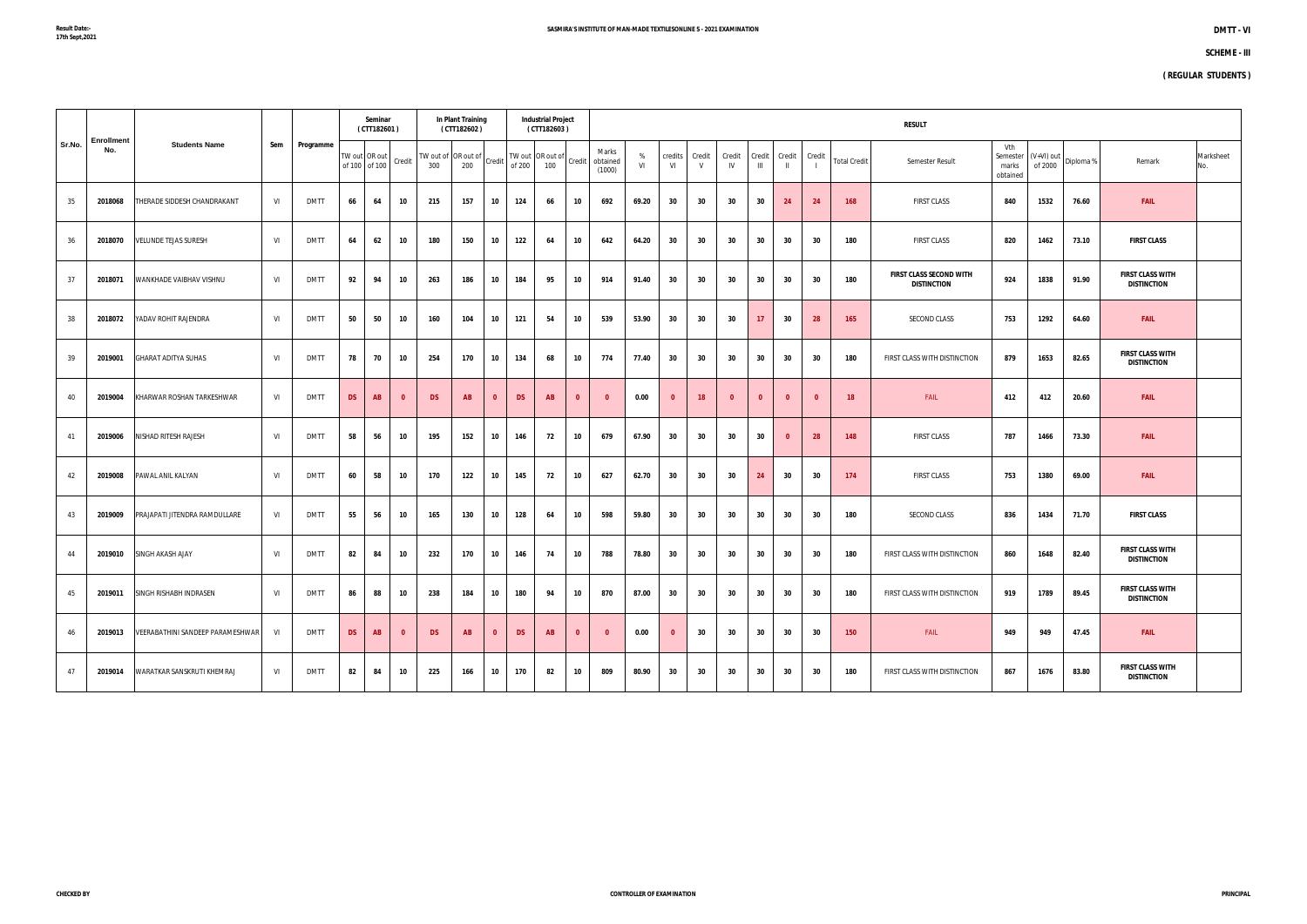|        |                          |                                  |     |             |           | Seminar<br>(CTT182601) |                         |                                                                       | In Plant Training<br>(CTT182602) |              |           | <b>Industrial Project</b><br>(CTT182603) |              |                             |         |               |             |              |                 |              |              |                     | <b>RESULT</b>                                        |                                      |                       |           |                                               |                  |
|--------|--------------------------|----------------------------------|-----|-------------|-----------|------------------------|-------------------------|-----------------------------------------------------------------------|----------------------------------|--------------|-----------|------------------------------------------|--------------|-----------------------------|---------|---------------|-------------|--------------|-----------------|--------------|--------------|---------------------|------------------------------------------------------|--------------------------------------|-----------------------|-----------|-----------------------------------------------|------------------|
| Sr.No. | <b>Enrollment</b><br>No. | <b>Students Name</b>             | Sem | Programme   |           | of 100 of 100          | TW out OR out   Credit  | TW out of $\left $ OR out of $\right $ Credit $\left  \right $<br>300 | 200                              |              | of 200    | TW out OR out of<br>100                  | Credit       | Marks<br>obtained<br>(1000) | %<br>VI | credits<br>VI | Credit<br>V | Credit<br>IV | Credit<br>Ш     | Credit       | Credit       | <b>Total Credit</b> | Semester Result                                      | Vth<br>Semester<br>marks<br>obtained | (V+VI) out<br>of 2000 | Diploma % | Remark                                        | Marksheet<br>No. |
| 35     | 2018068                  | THERADE SIDDESH CHANDRAKANT      | VI  | <b>DMTT</b> | 66        | 64                     | 10                      | 215                                                                   | 157                              | 10           | 124       | 66                                       | 10           | 692                         | 69.20   | 30            | 30          | 30           | 30              | 24           | 24           | 168                 | <b>FIRST CLASS</b>                                   | 840                                  | 1532                  | 76.60     | <b>FAIL</b>                                   |                  |
| 36     | 2018070                  | VELUNDE TEJAS SURESH             | VI  | <b>DMTT</b> | 64        | 62                     | 10                      | 180                                                                   | 150                              | 10           | 122       | 64                                       | 10           | 642                         | 64.20   | 30            | 30          | 30           | 30              | 30           | 30           | 180                 | <b>FIRST CLASS</b>                                   | 820                                  | 1462                  | 73.10     | <b>FIRST CLASS</b>                            |                  |
| 37     | 2018071                  | WANKHADE VAIBHAV VISHNU          | VI  | <b>DMTT</b> | 92        | 94                     | 10                      | 263                                                                   | 186                              | 10           | 184       | 95                                       | 10           | 914                         | 91.40   | 30            | 30          | 30           | 30              | 30           | 30           | 180                 | <b>FIRST CLASS SECOND WITH</b><br><b>DISTINCTION</b> | 924                                  | 1838                  | 91.90     | <b>FIRST CLASS WITH</b><br><b>DISTINCTION</b> |                  |
| 38     | 2018072                  | YADAV ROHIT RAJENDRA             | VI  | <b>DMTT</b> | 50        | 50                     | 10                      | 160                                                                   | 104                              | 10           | 121       | 54                                       | 10           | 539                         | 53.90   | 30            | 30          | 30           | 17 <sub>2</sub> | 30           | 28           | 165                 | SECOND CLASS                                         | 753                                  | 1292                  | 64.60     | <b>FAIL</b>                                   |                  |
| 39     | 2019001                  | <b>GHARAT ADITYA SUHAS</b>       | VI  | <b>DMTT</b> | 78        | 70                     | 10                      | 254                                                                   | 170                              | 10           | 134       | 68                                       | 10           | 774                         | 77.40   | 30            | 30          | 30           | 30              | 30           | 30           | 180                 | FIRST CLASS WITH DISTINCTION                         | 879                                  | 1653                  | 82.65     | <b>FIRST CLASS WITH</b><br><b>DISTINCTION</b> |                  |
| 40     | 2019004                  | KHARWAR ROSHAN TARKESHWAR        | VI  | <b>DMTT</b> | <b>DS</b> | AB                     | $\mathbf{0}$            | <b>DS</b>                                                             | AB                               | $\bf{0}$     | <b>DS</b> | <b>AB</b>                                | $\mathbf{0}$ | - 0                         | 0.00    | $\mathbf{0}$  | 18          | $\mathbf{0}$ | $\mathbf{0}$    | $\mathbf{0}$ | $\mathbf{0}$ | 18                  | FAIL                                                 | 412                                  | 412                   | 20.60     | <b>FAIL</b>                                   |                  |
| 41     | 2019006                  | NISHAD RITESH RAJESH             | VI  | <b>DMTT</b> | 58        | 56                     | 10                      | 195                                                                   | 152                              | 10           | 146       | 72                                       | 10           | 679                         | 67.90   | 30            | 30          | 30           | 30              | $\mathbf{0}$ | 28           | 148                 | <b>FIRST CLASS</b>                                   | 787                                  | 1466                  | 73.30     | <b>FAIL</b>                                   |                  |
| 42     | 2019008                  | PAWAL ANIL KALYAN                | VI  | <b>DMTT</b> | 60        | 58                     | 10                      | 170                                                                   | 122                              | 10           | 145       | 72                                       | 10           | 627                         | 62.70   | 30            | 30          | 30           | 24              | 30           | 30           | 174                 | <b>FIRST CLASS</b>                                   | 753                                  | 1380                  | 69.00     | <b>FAIL</b>                                   |                  |
| 43     | 2019009                  | PRAJAPATI JITENDRA RAMDULLARE    | VI  | <b>DMTT</b> | 55        | 56                     | 10                      | 165                                                                   | 130                              | 10           | 128       | 64                                       | 10           | 598                         | 59.80   | 30            | 30          | 30           | 30              | 30           | 30           | 180                 | SECOND CLASS                                         | 836                                  | 1434                  | 71.70     | <b>FIRST CLASS</b>                            |                  |
| 44     | 2019010                  | <b>SINGH AKASH AJAY</b>          | VI  | <b>DMTT</b> | 82        | 84                     | 10                      | 232                                                                   | 170                              | 10           | 146       | 74                                       | 10           | 788                         | 78.80   | 30            | 30          | 30           | 30              | 30           | 30           | 180                 | FIRST CLASS WITH DISTINCTION                         | 860                                  | 1648                  | 82.40     | <b>FIRST CLASS WITH</b><br><b>DISTINCTION</b> |                  |
| 45     | 2019011                  | SINGH RISHABH INDRASEN           | VI  | <b>DMTT</b> | 86        | 88                     | 10                      | 238                                                                   | 184                              | 10           | 180       | 94                                       | 10           | 870                         | 87.00   | 30            | 30          | 30           | 30              | 30           | 30           | 180                 | FIRST CLASS WITH DISTINCTION                         | 919                                  | 1789                  | 89.45     | <b>FIRST CLASS WITH</b><br><b>DISTINCTION</b> |                  |
| 46     | 2019013                  | VEERABATHINI SANDEEP PARAMESHWAR | VI  | <b>DMTT</b> | <b>DS</b> | AB                     | $\overline{\mathbf{0}}$ | <b>DS</b>                                                             | AB                               | $\mathbf{0}$ | <b>DS</b> | <b>AB</b>                                | $\mathbf{0}$ | $\mathbf{0}$                | 0.00    | $\mathbf{0}$  | 30          | 30           | 30              | 30           | 30           | 150                 | FAIL                                                 | 949                                  | 949                   | 47.45     | <b>FAIL</b>                                   |                  |
| 47     | 2019014                  | WARATKAR SANSKRUTI KHEMRAJ       | VI  | <b>DMTT</b> | 82        | 84                     | 10                      | 225                                                                   | 166                              | 10           | 170       | 82                                       | 10           | 809                         | 80.90   | 30            | 30          | 30           | 30              | 30           | 30           | 180                 | FIRST CLASS WITH DISTINCTION                         | 867                                  | 1676                  | 83.80     | <b>FIRST CLASS WITH</b><br><b>DISTINCTION</b> |                  |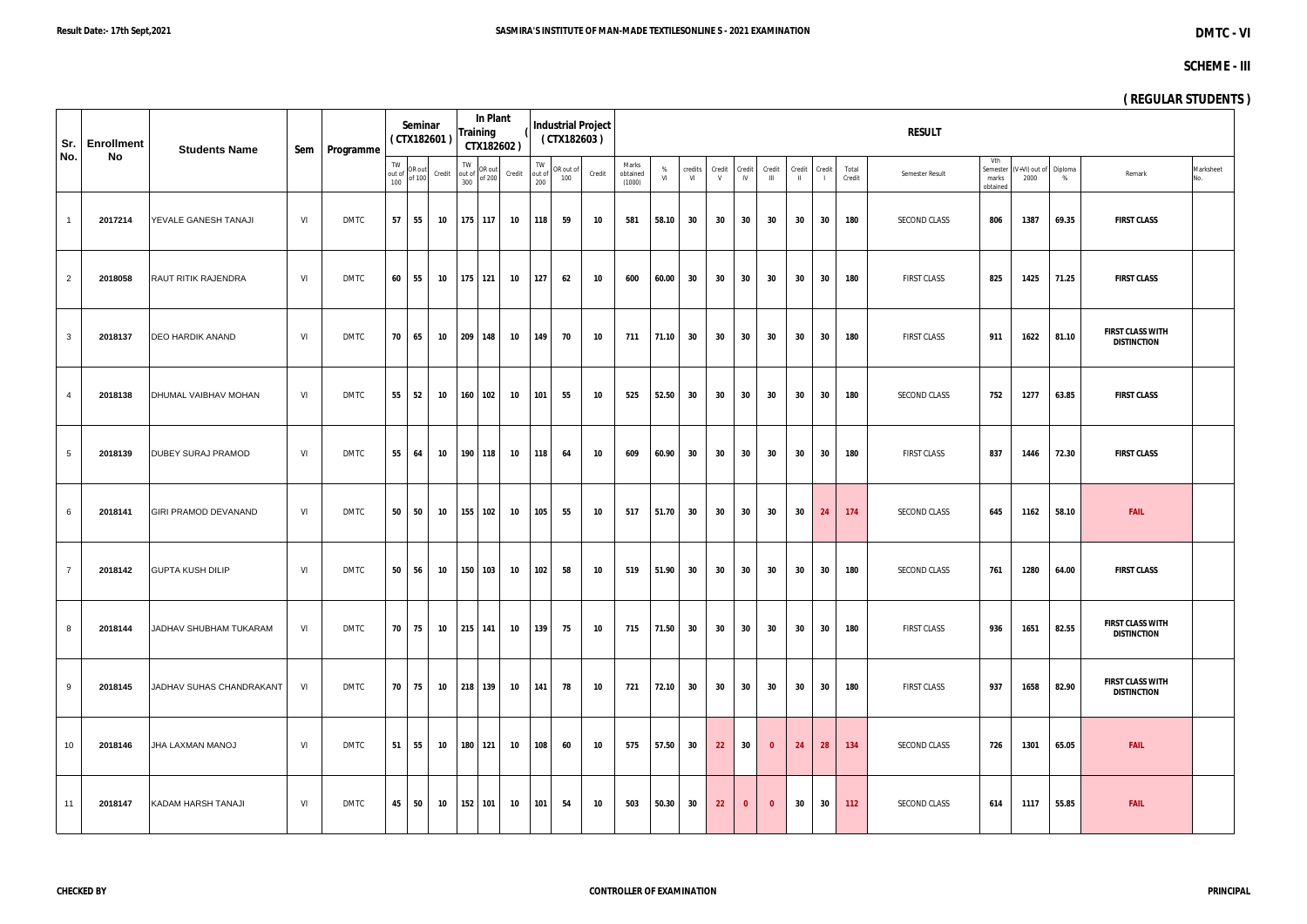|                 | Sr. Enrollment | <b>Students Name</b>           |    | Sem   Programme |                     | Seminar          | (CTX182601) | <b>Training</b> | In Plant                                                                                                                                  | CTX182602) |     | <b>Industrial Project</b><br>(CTX182603)                                                          |        |                             |         |               |                 |              |                        |                        |        |                 | <b>RESULT</b>       |                                      |                       |              | $\ddot{\phantom{1}}$                          |                 |
|-----------------|----------------|--------------------------------|----|-----------------|---------------------|------------------|-------------|-----------------|-------------------------------------------------------------------------------------------------------------------------------------------|------------|-----|---------------------------------------------------------------------------------------------------|--------|-----------------------------|---------|---------------|-----------------|--------------|------------------------|------------------------|--------|-----------------|---------------------|--------------------------------------|-----------------------|--------------|-----------------------------------------------|-----------------|
| No.             | No             |                                |    |                 | TW<br>out of<br>100 | OR out<br>of 100 | Credit      |                 | $\begin{array}{c}\n\text{TW} \\ \text{out of} \\ \text{300}\n\end{array}\n\begin{array}{c}\n\text{OR out} \\ \text{of } 200\n\end{array}$ | Credit     | 200 | $\begin{array}{c}\n\text{TW} \\ \text{out of} \\ \begin{array}{c}\n100\n\end{array}\n\end{array}$ | Credit | Marks<br>obtained<br>(1000) | %<br>VI | credits<br>VI | Credit<br>V     | Credit<br>IV | Credit<br>$\mathbf{m}$ | Credit<br>$\mathbf{H}$ | Credit | Total<br>Credit | Semester Result     | Vth<br>Semester<br>marks<br>obtained | (V+VI) out of<br>2000 | Diploma<br>% | Remark                                        | Marksheet<br>No |
| $\mathbf{1}$    | 2017214        | YEVALE GANESH TANAJI           | VI | DMTC            | 57                  | 55               | 10          |                 | 175 117                                                                                                                                   | 10         | 118 | 59                                                                                                | 10     | 581                         | 58.10   | 30            | 30              | 30           | 30                     | 30                     | 30     | 180             | SECOND CLASS        | 806                                  | 1387                  | 69.35        | <b>FIRST CLASS</b>                            |                 |
| $\overline{2}$  | 2018058        | <b>RAUT RITIK RAJENDRA</b>     | VI | <b>DMTC</b>     | 60                  | 55               | 10          | 175 121         |                                                                                                                                           | 10         | 127 | 62                                                                                                | 10     | 600                         | 60.00   | 30            | 30 <sub>o</sub> | 30           | 30                     | 30 <sub>o</sub>        | 30     | 180             | <b>FIRST CLASS</b>  | 825                                  | 1425                  | 71.25        | <b>FIRST CLASS</b>                            |                 |
| $\mathbf{3}$    | 2018137        | <b>DEO HARDIK ANAND</b>        | VI | <b>DMTC</b>     | 70                  | 65               | 10          | 209             | 148                                                                                                                                       | 10         | 149 | 70                                                                                                | 10     | 711                         | 71.10   | 30            | 30 <sub>o</sub> | 30           | 30                     | 30 <sub>o</sub>        | 30     | 180             | <b>FIRST CLASS</b>  | 911                                  | 1622                  | 81.10        | <b>FIRST CLASS WITH</b><br><b>DISTINCTION</b> |                 |
| $\overline{4}$  | 2018138        | DHUMAL VAIBHAV MOHAN           | VI | <b>DMTC</b>     | 55                  | 52               | 10          |                 | $160$ 102                                                                                                                                 | 10         | 101 | 55                                                                                                | 10     | 525                         | 52.50   | 30            | 30 <sub>o</sub> | 30           | 30                     | 30 <sub>o</sub>        | 30     | 180             | SECOND CLASS        | 752                                  | 1277                  | 63.85        | <b>FIRST CLASS</b>                            |                 |
| 5 <sub>5</sub>  | 2018139        | <b>DUBEY SURAJ PRAMOD</b>      | VI | <b>DMTC</b>     | 55                  | 64               | 10          |                 | 190 118                                                                                                                                   | 10         | 118 | 64                                                                                                | 10     | 609                         | 60.90   | 30            | 30              | 30           | 30                     | 30                     | 30     | 180             | <b>FIRST CLASS</b>  | 837                                  | 1446                  | 72.30        | <b>FIRST CLASS</b>                            |                 |
| 6               | 2018141        | <b>GIRI PRAMOD DEVANAND</b>    | VI | <b>DMTC</b>     | 50                  | 50               | 10          |                 | 155 102                                                                                                                                   | 10         | 105 | 55                                                                                                | 10     | 517                         | 51.70   | 30            | 30              | 30           | 30                     | 30 <sup>°</sup>        | 24     | 174             | SECOND CLASS        | 645                                  | 1162                  | 58.10        | <b>FAIL</b>                                   |                 |
| $7^{\circ}$     | 2018142        | <b>GUPTA KUSH DILIP</b>        | VI | <b>DMTC</b>     | 50                  | 56               | 10          |                 | 150 103                                                                                                                                   | 10         | 102 | 58                                                                                                | 10     | 519                         | 51.90   | 30            | 30              | 30           | 30                     | 30                     | 30     | 180             | <b>SECOND CLASS</b> | 761                                  | 1280                  | 64.00        | <b>FIRST CLASS</b>                            |                 |
| 8               | 2018144        | <b>JJADHAV SHUBHAM TUKARAM</b> | VI | DMTC            | 70                  | 75               | 10          |                 | $215$ 141                                                                                                                                 | 10         | 139 | 75                                                                                                | 10     | 715                         | 71.50   | 30            | 30 <sub>o</sub> | 30           | 30                     | 30                     | 30     | 180             | <b>FIRST CLASS</b>  | 936                                  | 1651                  | 82.55        | <b>FIRST CLASS WITH</b><br><b>DISTINCTION</b> |                 |
| 9               | 2018145        | JADHAV SUHAS CHANDRAKANT       | VI | <b>DMTC</b>     | 70                  | 75               |             |                 | 10 218 139                                                                                                                                | 10         | 141 | 78                                                                                                | 10     | 721                         | 72.10   | 30            | 30              | 30           | 30                     | 30                     | 30     | 180             | <b>FIRST CLASS</b>  | 937                                  | 1658                  | 82.90        | <b>FIRST CLASS WITH</b><br><b>DISTINCTION</b> |                 |
| 10 <sup>°</sup> | 2018146        | <b>JHA LAXMAN MANOJ</b>        | VI | DMTC            | 51                  | 55               | 10          | 180 121         |                                                                                                                                           | 10         | 108 | 60                                                                                                | 10     | 575                         | 57.50   | 30            | 22              | 30           | $\mathbf{0}$           | 24                     | 28     | 134             | SECOND CLASS        | 726                                  | 1301                  | 65.05        | <b>FAIL</b>                                   |                 |
| 11              | 2018147        | KADAM HARSH TANAJI             | VI | <b>DMTC</b>     | 45                  | 50               | 10          | 152 101         |                                                                                                                                           | 10         | 101 | 54                                                                                                | 10     | 503                         | 50.30   | 30            | 22              | $\mathbf{0}$ | $\mathbf{0}$           | 30                     | 30     | 112             | SECOND CLASS        | 614                                  | 1117                  | 55.85        | <b>FAIL</b>                                   |                 |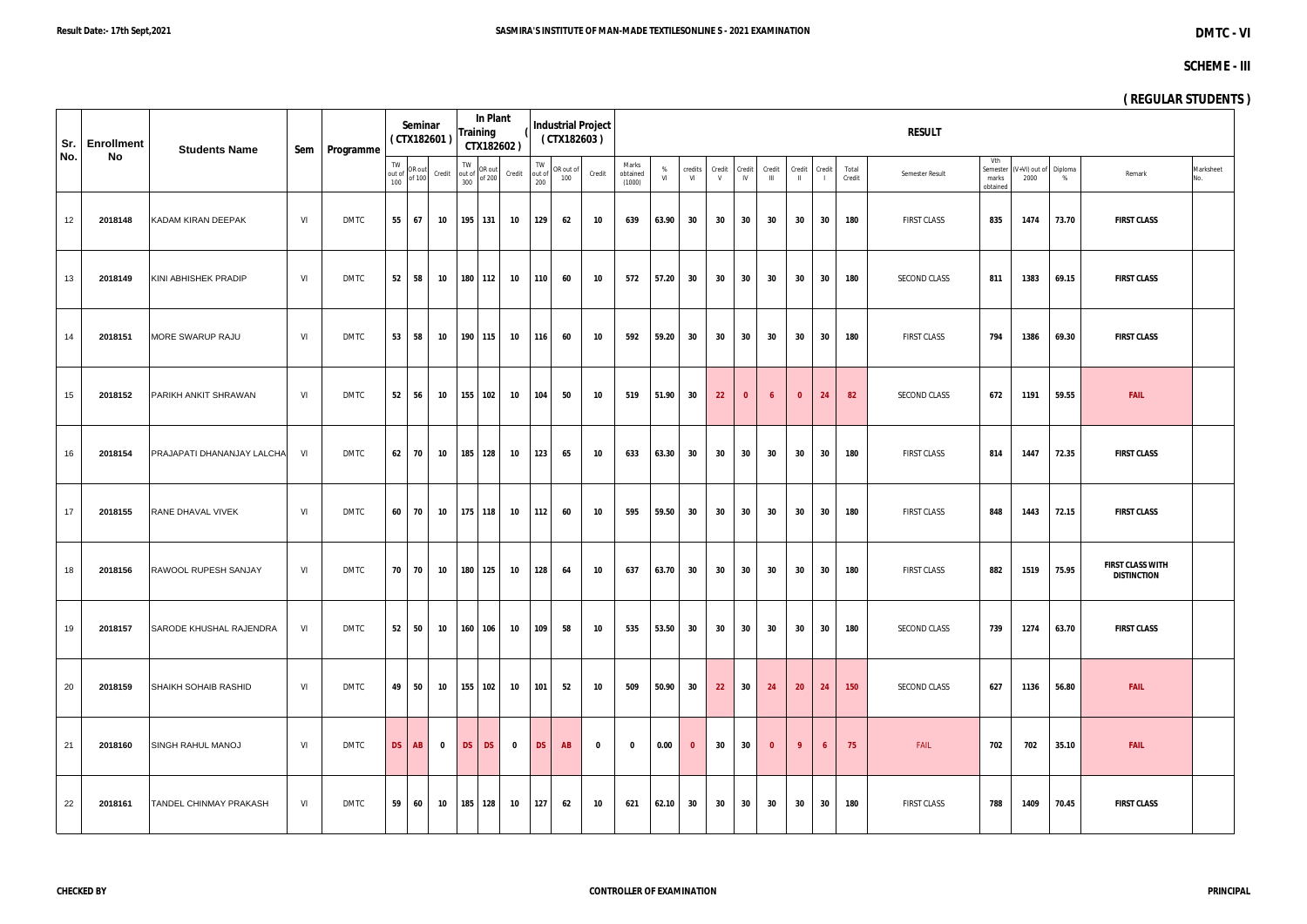| Sr. | <b>Enrollment</b> | <b>Students Name</b>           |     | Sem   Programme |                     | Seminar          | (CTX182601) | <b>Training</b> | In Plant                                                                                   | CTX182602)  |                     | (CTX182603)      | <b>Industrial Project</b> |                             |         |               |             |              |                         |                        |                          |                 | <b>RESULT</b>      |                                      |                       |              | $\cdot$                                       |                 |
|-----|-------------------|--------------------------------|-----|-----------------|---------------------|------------------|-------------|-----------------|--------------------------------------------------------------------------------------------|-------------|---------------------|------------------|---------------------------|-----------------------------|---------|---------------|-------------|--------------|-------------------------|------------------------|--------------------------|-----------------|--------------------|--------------------------------------|-----------------------|--------------|-----------------------------------------------|-----------------|
| No. | No                |                                |     |                 | TW<br>out of<br>100 | OR out<br>of 100 | Credit      | 300             | $\begin{array}{c}\n\text{TW} \\ \text{out of} \\ \text{on} \\ \text{of } 200\n\end{array}$ | Credit      | TW<br>out of<br>200 | OR out of<br>100 | Credit                    | Marks<br>obtained<br>(1000) | %<br>VI | credits<br>VI | Credit<br>V | Credit<br>IV | Credit<br>$\mathbf{m}$  | Credit<br>$\mathbf{H}$ | Credit<br>$\overline{1}$ | Total<br>Credit | Semester Result    | Vth<br>Semester<br>marks<br>obtained | (V+VI) out of<br>2000 | Diploma<br>% | Remark                                        | Marksheet<br>No |
| 12  | 2018148           | KADAM KIRAN DEEPAK             | VI  | <b>DMTC</b>     |                     | 55 67            | 10          |                 | 195 131                                                                                    | 10          | 129                 | 62               | 10                        | 639                         | 63.90   | 30            | 30          | 30           | 30                      | 30                     | 30                       | 180             | <b>FIRST CLASS</b> | 835                                  | 1474                  | 73.70        | <b>FIRST CLASS</b>                            |                 |
| 13  | 2018149           | KINI ABHISHEK PRADIP           | VI. | <b>DMTC</b>     | 52                  | 58               | 10          |                 | 180 112                                                                                    | 10          | 110                 | 60               | 10                        | 572                         | 57.20   | 30            | 30          | 30           | 30                      | 30                     | 30                       | 180             | SECOND CLASS       | 811                                  | 1383                  | 69.15        | <b>FIRST CLASS</b>                            |                 |
| 14  | 2018151           | MORE SWARUP RAJU               | VI  | <b>DMTC</b>     | 53                  | 58               | 10          |                 | 190 115                                                                                    | 10          | 116                 | 60               | 10                        | 592                         | 59.20   | 30            | 30          | 30           | 30                      | 30                     | 30                       | 180             | <b>FIRST CLASS</b> | 794                                  | 1386                  | 69.30        | <b>FIRST CLASS</b>                            |                 |
| 15  | 2018152           | PARIKH ANKIT SHRAWAN           | VI  | <b>DMTC</b>     | 52                  | 56               | 10          |                 | 155 102                                                                                    | 10          | 104                 | 50               | 10                        | 519                         | 51.90   | 30            | 22          | $\mathbf{0}$ | $\overline{6}$          | $\mathbf{0}$           | 24                       | 82              | SECOND CLASS       | 672                                  | 1191                  | 59.55        | <b>FAIL</b>                                   |                 |
| 16  | 2018154           | PRAJAPATI DHANANJAY LALCHA     | VI  | <b>DMTC</b>     |                     | 62 70            | 10          |                 | 185 128                                                                                    | 10          | 123                 | 65               | 10                        | 633                         | 63.30   | 30            | 30          | 30           | 30                      | 30                     | 30                       | 180             | <b>FIRST CLASS</b> | 814                                  | 1447                  | 72.35        | <b>FIRST CLASS</b>                            |                 |
| 17  | 2018155           | RANE DHAVAL VIVEK              | VI  | <b>DMTC</b>     | 60                  | 70               | 10          |                 | 175 118                                                                                    | 10          | 112                 | 60               | 10                        | 595                         | 59.50   | 30            | 30          | 30           | 30                      | 30                     | 30                       | 180             | <b>FIRST CLASS</b> | 848                                  | 1443                  | 72.15        | <b>FIRST CLASS</b>                            |                 |
| 18  | 2018156           | RAWOOL RUPESH SANJAY           | VI  | <b>DMTC</b>     |                     | 70 70            | 10          |                 | 180 125                                                                                    | 10          | 128                 | 64               | 10                        | 637                         | 63.70   | 30            | 30          | 30           | 30                      | 30                     | 30                       | 180             | <b>FIRST CLASS</b> | 882                                  | 1519                  | 75.95        | <b>FIRST CLASS WITH</b><br><b>DISTINCTION</b> |                 |
| 19  | 2018157           | <b>SARODE KHUSHAL RAJENDRA</b> | VI  | DMTC            |                     | $52 \quad 50$    | 10          |                 | 160 106                                                                                    | 10          | 109                 | 58               | 10                        | 535                         | 53.50   | 30            | 30          | 30           | 30                      | 30 <sup>°</sup>        | 30                       | 180             | SECOND CLASS       | 739                                  | 1274                  | 63.70        | <b>FIRST CLASS</b>                            |                 |
| 20  | 2018159           | SHAIKH SOHAIB RASHID           | VI  | <b>DMTC</b>     |                     | 49 50            | 10          |                 | 155 102                                                                                    | 10          | 101                 | 52               | 10                        | 509                         | 50.90   | 30            | 22          | 30           | 24                      | 20 <sub>2</sub>        | 24                       | 150             | SECOND CLASS       | 627                                  | 1136                  | 56.80        | <b>FAIL</b>                                   |                 |
| 21  | 2018160           | <b>SINGH RAHUL MANOJ</b>       | VI  | DMTC            | <b>DS</b>           | AB               | $\mathbf 0$ | DS              | <b>DS</b>                                                                                  | $\mathbf 0$ | <b>DS</b>           | <b>AB</b>        | $\bf{0}$                  | $\mathbf 0$                 | 0.00    | $\mathbf{0}$  | 30          | 30           | $\overline{\mathbf{0}}$ | -9                     | 6                        | 75              | FAIL               | 702                                  | 702                   | 35.10        | <b>FAIL</b>                                   |                 |
| 22  | 2018161           | <b>TANDEL CHINMAY PRAKASH</b>  | VI  | <b>DMTC</b>     | 59                  | 60               | 10          |                 | 185 128                                                                                    | 10          | 127                 | 62               | 10                        | 621                         | 62.10   | 30            | 30          | 30           | 30                      | 30                     | 30                       | 180             | FIRST CLASS        | 788                                  | 1409                  | 70.45        | <b>FIRST CLASS</b>                            |                 |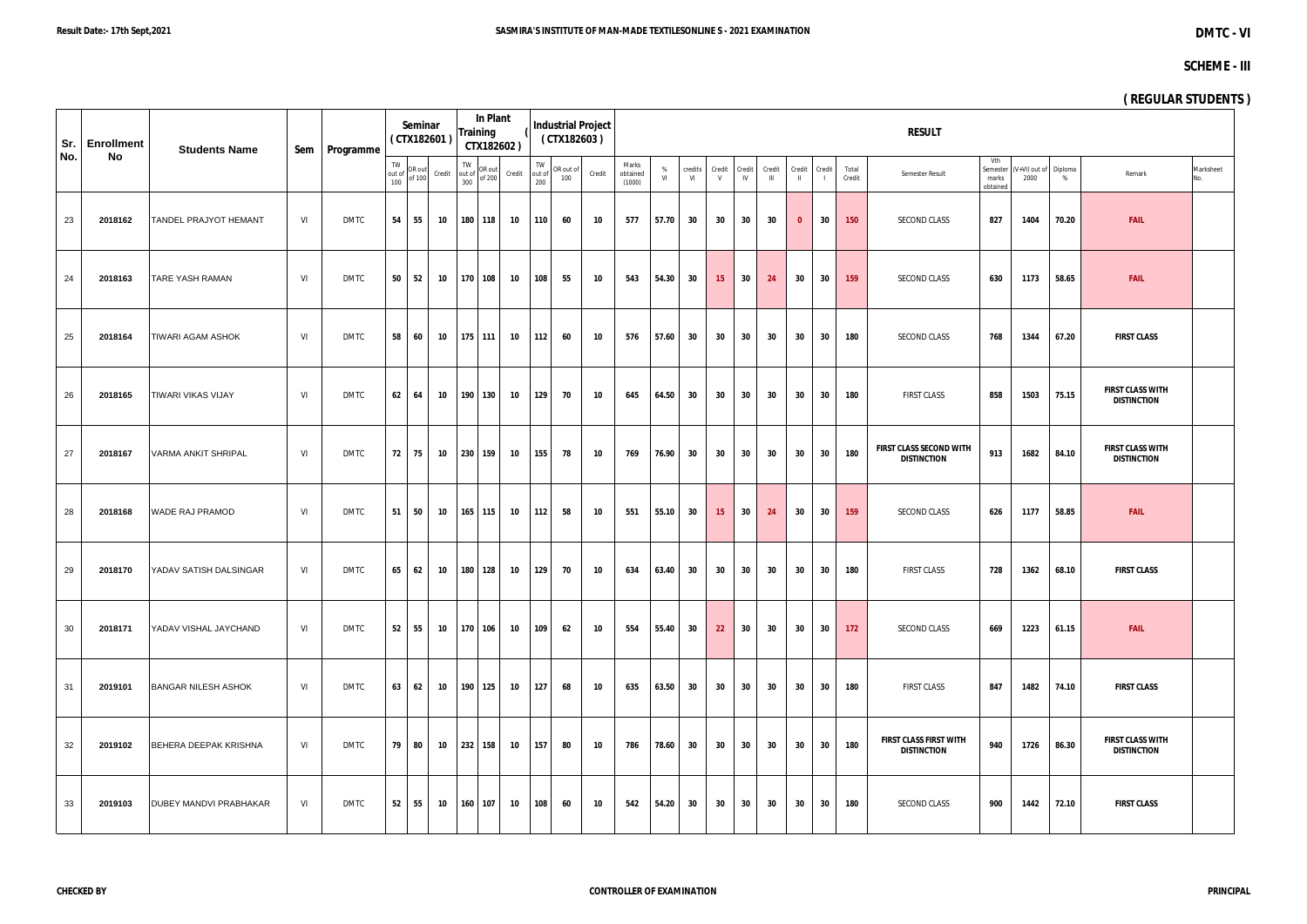| Sr. | <b>Enrollment</b> | <b>Students Name</b>          |           | Sem   Programme |                     | Seminar | (CTX182601)             | <b>Training</b>                                                                                   | In Plant<br>CTX182602) |        |                     | (CTX182603)      | <b>Industrial Project</b> |                             |         |               |                  |              |                        |                        |        |                 | <b>RESULT</b>                                       |                                      |                       |              | $\ddot{\phantom{1}}$                          |
|-----|-------------------|-------------------------------|-----------|-----------------|---------------------|---------|-------------------------|---------------------------------------------------------------------------------------------------|------------------------|--------|---------------------|------------------|---------------------------|-----------------------------|---------|---------------|------------------|--------------|------------------------|------------------------|--------|-----------------|-----------------------------------------------------|--------------------------------------|-----------------------|--------------|-----------------------------------------------|
| No. | No                |                               |           |                 | TW<br>out of<br>100 |         | OR out<br>of 100 Credit | $\begin{array}{c}\n\text{TW} \\ \text{out of} \\ \text{on} \\ \text{of } 200\n\end{array}$<br>300 |                        | Credit | TW<br>out of<br>200 | OR out of<br>100 | Credit                    | Marks<br>obtained<br>(1000) | %<br>VI | credits<br>VI | Credit<br>V      | Credit<br>IV | Credit<br>$\mathbf{m}$ | Credit<br>$\mathbf{H}$ | Credit | Total<br>Credit | Semester Result                                     | Vth<br>Semester<br>marks<br>obtained | (V+VI) out of<br>2000 | Diploma<br>% | Marksheet<br>Remark<br>No.                    |
| 23  | 2018162           | <b>TANDEL PRAJYOT HEMANT</b>  | VI        | <b>DMTC</b>     | 54                  | 55      | 10                      |                                                                                                   | 180 118                | 10     | 110                 | 60               | 10                        | 577                         | 57.70   | 30            | 30               | 30           | 30                     | $\mathbf{0}$           | 30     | 150             | SECOND CLASS                                        | 827                                  | 1404                  | 70.20        | <b>FAIL</b>                                   |
| 24  | 2018163           | <b>TARE YASH RAMAN</b>        | VI        | <b>DMTC</b>     | 50                  | 52      | 10                      | 170 108                                                                                           |                        | 10     | 108                 | 55               | 10                        | 543                         | 54.30   | 30            | 15 <sub>15</sub> | 30           | 24                     | 30 <sup>°</sup>        | 30     | 159             | SECOND CLASS                                        | 630                                  | 1173                  | 58.65        | <b>FAIL</b>                                   |
| 25  | 2018164           | <b>TIWARI AGAM ASHOK</b>      | VI        | <b>DMTC</b>     | 58                  | 60      | 10                      | 175 111                                                                                           |                        | 10     | 112                 | 60               | 10                        | 576                         | 57.60   | 30            | 30               | 30           | 30                     | 30                     | 30     | 180             | SECOND CLASS                                        | 768                                  | 1344                  | 67.20        | <b>FIRST CLASS</b>                            |
| 26  | 2018165           | <b>TIWARI VIKAS VIJAY</b>     | VI        | DMTC            | 62                  | 64      | 10                      | 190 130                                                                                           |                        | 10     | 129                 | 70               | 10                        | 645                         | 64.50   | 30            | 30               | 30           | 30                     | 30                     | 30     | 180             | <b>FIRST CLASS</b>                                  | 858                                  | 1503                  | 75.15        | <b>FIRST CLASS WITH</b><br><b>DISTINCTION</b> |
| 27  | 2018167           | VARMA ANKIT SHRIPAL           | VI        | <b>DMTC</b>     | 72                  | 75      | 10                      | 230 159                                                                                           |                        | 10     | 155                 | 78               | 10                        | 769                         | 76.90   | 30            | 30               | 30           | 30                     | 30                     | 30     | 180             | FIRST CLASS SECOND WITH<br><b>DISTINCTION</b>       | 913                                  | 1682                  | 84.10        | <b>FIRST CLASS WITH</b><br><b>DISTINCTION</b> |
| 28  | 2018168           | WADE RAJ PRAMOD               | <b>VI</b> | <b>DMTC</b>     | 51                  | 50      | 10                      | $165$ 115                                                                                         |                        | 10     | 112                 | 58               | 10                        | 551                         | 55.10   | 30            | 15 <sub>1</sub>  | 30           | 24                     | 30                     | 30     | 159             | SECOND CLASS                                        | 626                                  | 1177                  | 58.85        | <b>FAIL</b>                                   |
| 29  | 2018170           | YADAV SATISH DALSINGAR        | VI        | <b>DMTC</b>     | 65                  | 62      | 10                      | 180 128                                                                                           |                        | 10     | 129                 | 70               | 10                        | 634                         | 63.40   | 30            | 30               | 30           | 30                     | 30                     | 30     | 180             | <b>FIRST CLASS</b>                                  | 728                                  | 1362                  | 68.10        | <b>FIRST CLASS</b>                            |
| 30  | 2018171           | <b>YADAV VISHAL JAYCHAND</b>  | VI        | DMTC            | 52                  | 55      | 10                      | 170 106                                                                                           |                        | 10     | 109                 | 62               | 10                        | 554                         | 55.40   | 30            | 22               | 30           | 30                     | 30                     | 30     | 172             | SECOND CLASS                                        | 669                                  | 1223                  | 61.15        | <b>FAIL</b>                                   |
| 31  | 2019101           | <b>BANGAR NILESH ASHOK</b>    | VI        | <b>DMTC</b>     | 63                  | 62      | 10                      | 190 125                                                                                           |                        | 10     | 127                 | 68               | 10                        | 635                         | 63.50   | 30            | 30               | 30           | 30                     | 30                     | 30     | 180             | <b>FIRST CLASS</b>                                  | 847                                  | 1482                  | 74.10        | <b>FIRST CLASS</b>                            |
| 32  | 2019102           | BEHERA DEEPAK KRISHNA         | VI        | DMTC            | 79                  | 80      | 10                      | 232 158                                                                                           |                        | 10     | 157                 | 80               | 10                        | 786                         | 78.60   | 30            | 30               | 30           | 30                     | 30                     | 30     | 180             | <b>FIRST CLASS FIRST WITH</b><br><b>DISTINCTION</b> | 940                                  | 1726                  | 86.30        | <b>FIRST CLASS WITH</b><br><b>DISTINCTION</b> |
| 33  | 2019103           | <b>DUBEY MANDVI PRABHAKAR</b> | VI        | <b>DMTC</b>     | 52                  | 55      | 10                      | 160 107                                                                                           |                        | 10     | 108                 | 60               | 10                        | 542                         | 54.20   | 30            | 30               | 30           | 30                     | 30                     | 30     | 180             | SECOND CLASS                                        | 900                                  | 1442                  | 72.10        | <b>FIRST CLASS</b>                            |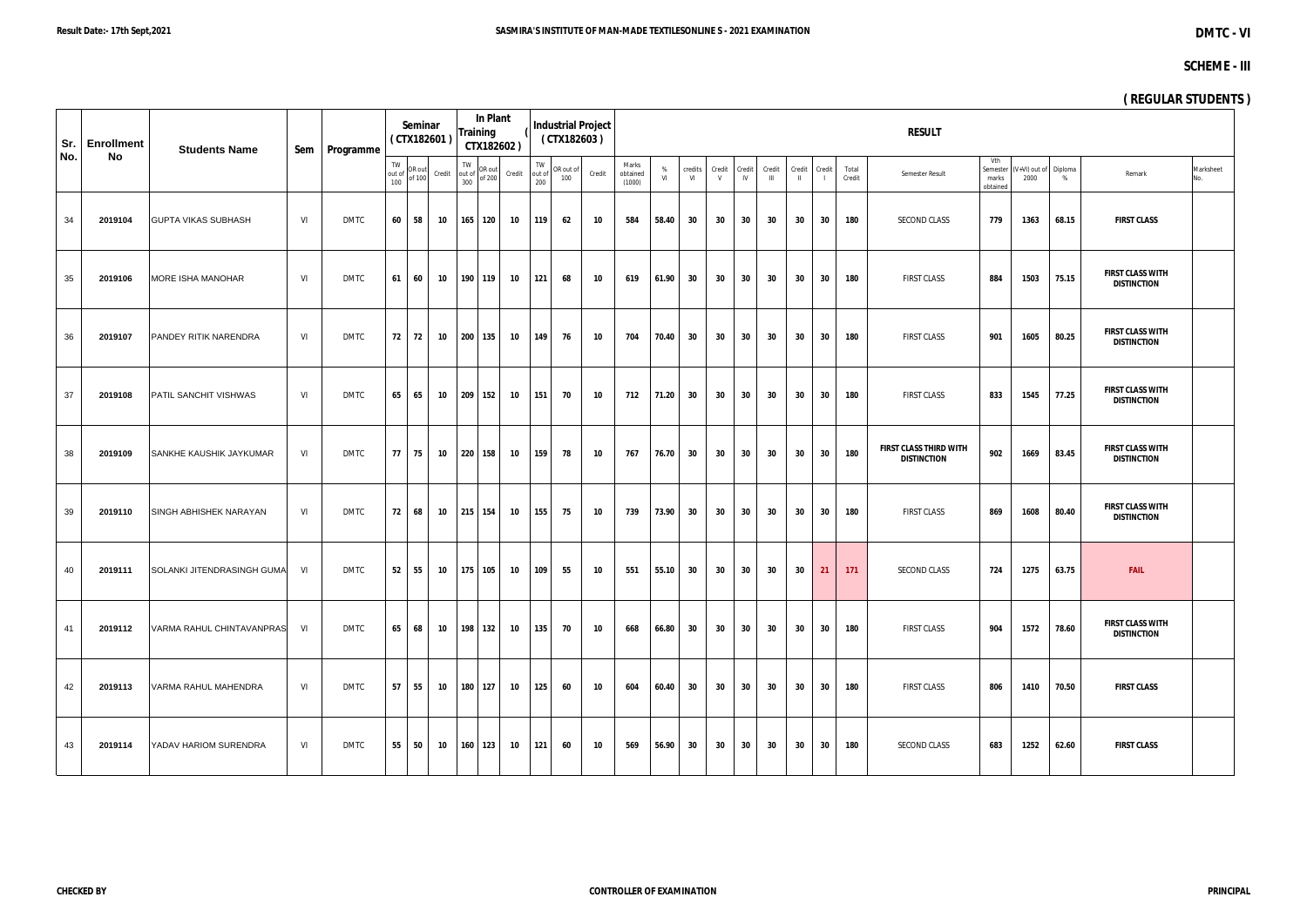| Sr. | <b>Enrollment</b> | <b>Students Name</b>       |     | Sem   Programme |                     | Seminar          | (CTX182601) | In Plant<br><b>Training</b>                                                       | CTX182602) |                     |                  | <b>Industrial Project</b><br>(CTX182603) |                             |         |               |             |                 |                        |                 |                 |                 | <b>RESULT</b>                                |                                      |      |                            |                                               |                  |
|-----|-------------------|----------------------------|-----|-----------------|---------------------|------------------|-------------|-----------------------------------------------------------------------------------|------------|---------------------|------------------|------------------------------------------|-----------------------------|---------|---------------|-------------|-----------------|------------------------|-----------------|-----------------|-----------------|----------------------------------------------|--------------------------------------|------|----------------------------|-----------------------------------------------|------------------|
| No. | No                |                            |     |                 | TW<br>out of<br>100 | OR out<br>of 100 | Credit      | $\begin{array}{c}\n\text{TW} \\ \text{out of } \\ \text{on of } 200\n\end{array}$ | Credit     | TW<br>out of<br>200 | OR out of<br>100 | Credit                                   | Marks<br>obtained<br>(1000) | %<br>VI | credits<br>VI | Credit<br>V | Credit<br>IV    | Credit<br>$\mathbf{H}$ | Credit          | Credit          | Total<br>Credit | Semester Result                              | Vth<br>Semester<br>marks<br>obtained | 2000 | (V+VI) out of Diploma<br>% | Remark                                        | Marksheet<br>No. |
| 34  | 2019104           | <b>GUPTA VIKAS SUBHASH</b> | VI  | <b>DMTC</b>     | 60                  | 58               | 10          | 165 120                                                                           | 10         | 119                 | 62               | 10                                       | 584                         | 58.40   | 30            | 30          | 30              | 30                     | 30              | 30              | 180             | SECOND CLASS                                 | 779                                  | 1363 | 68.15                      | <b>FIRST CLASS</b>                            |                  |
| 35  | 2019106           | MORE ISHA MANOHAR          | VI. | DMTC            | 61                  | 60               | 10          | 190 119                                                                           | 10         | 121                 | 68               | 10                                       | 619                         | 61.90   | 30            | 30          | 30              | 30                     | 30              | 30              | 180             | <b>FIRST CLASS</b>                           | 884                                  | 1503 | 75.15                      | <b>FIRST CLASS WITH</b><br><b>DISTINCTION</b> |                  |
| 36  | 2019107           | PANDEY RITIK NARENDRA      | VI  | <b>DMTC</b>     | 72                  | 72               | 10          | 200 135                                                                           | 10         | 149                 | 76               | 10                                       | 704                         | 70.40   | 30            | 30          | 30              | 30                     | 30              | 30              | 180             | <b>FIRST CLASS</b>                           | 901                                  | 1605 | 80.25                      | <b>FIRST CLASS WITH</b><br><b>DISTINCTION</b> |                  |
| 37  | 2019108           | PATIL SANCHIT VISHWAS      | VI. | <b>DMTC</b>     | 65                  | 65               | 10          | 209 152                                                                           | 10         | 151                 | 70               | 10                                       | 712                         | 71.20   | 30            | 30          | 30              | 30                     | 30              | 30              | 180             | <b>FIRST CLASS</b>                           | 833                                  | 1545 | 77.25                      | <b>FIRST CLASS WITH</b><br><b>DISTINCTION</b> |                  |
| 38  | 2019109           | SANKHE KAUSHIK JAYKUMAR    | VI  | DMTC            | 77                  | 75               | 10          | 220 158                                                                           | 10         | 159                 | 78               | 10                                       | 767                         | 76.70   | 30            | 30          | 30              | 30                     | 30              | 30              | 180             | FIRST CLASS THIRD WITH<br><b>DISTINCTION</b> | 902                                  | 1669 | 83.45                      | <b>FIRST CLASS WITH</b><br><b>DISTINCTION</b> |                  |
| 39  | 2019110           | SINGH ABHISHEK NARAYAN     | VI  | <b>DMTC</b>     | 72                  | 68               | 10          | 215 154                                                                           | 10         | 155                 | 75               | 10                                       | 739                         | 73.90   | 30            | 30          | 30              | 30                     | 30              | 30              | 180             | <b>FIRST CLASS</b>                           | 869                                  | 1608 | 80.40                      | <b>FIRST CLASS WITH</b><br><b>DISTINCTION</b> |                  |
| 40  | 2019111           | SOLANKI JITENDRASINGH GUMA | VI  | <b>DMTC</b>     | 52                  | 55               | 10          | 175 105                                                                           | 10         | 109                 | 55               | 10                                       | 551                         | 55.10   | 30            | 30          | 30 <sup>°</sup> | 30                     | 30 <sup>°</sup> | 21              | 171             | SECOND CLASS                                 | 724                                  | 1275 | 63.75                      | <b>FAIL</b>                                   |                  |
| 41  | 2019112           | VARMA RAHUL CHINTAVANPRAS  | VI  | DMTC            | 65                  | 68               | 10          | 198 132                                                                           | 10         | 135                 | 70               | 10                                       | 668                         | 66.80   | 30            | 30          | 30              | 30                     | 30 <sup>°</sup> | 30 <sup>°</sup> | 180             | <b>FIRST CLASS</b>                           | 904                                  | 1572 | 78.60                      | <b>FIRST CLASS WITH</b><br><b>DISTINCTION</b> |                  |
| 42  | 2019113           | VARMA RAHUL MAHENDRA       | VI  | <b>DMTC</b>     | 57                  | 55               | 10          | 180 127                                                                           | 10         | 125                 | 60               | 10                                       | 604                         | 60.40   | 30            | 30          | 30              | 30                     | 30              | 30 <sup>°</sup> | 180             | <b>FIRST CLASS</b>                           | 806                                  | 1410 | 70.50                      | <b>FIRST CLASS</b>                            |                  |
| 43  | 2019114           | YADAV HARIOM SURENDRA      | VI  | DMTC            | 55                  | 50               | 10          | $160$ 123                                                                         | 10         | 121                 | 60               | 10                                       | 569                         | 56.90   | 30            | 30          | 30              | 30                     | 30              | 30              | 180             | <b>SECOND CLASS</b>                          | 683                                  | 1252 | 62.60                      | <b>FIRST CLASS</b>                            |                  |